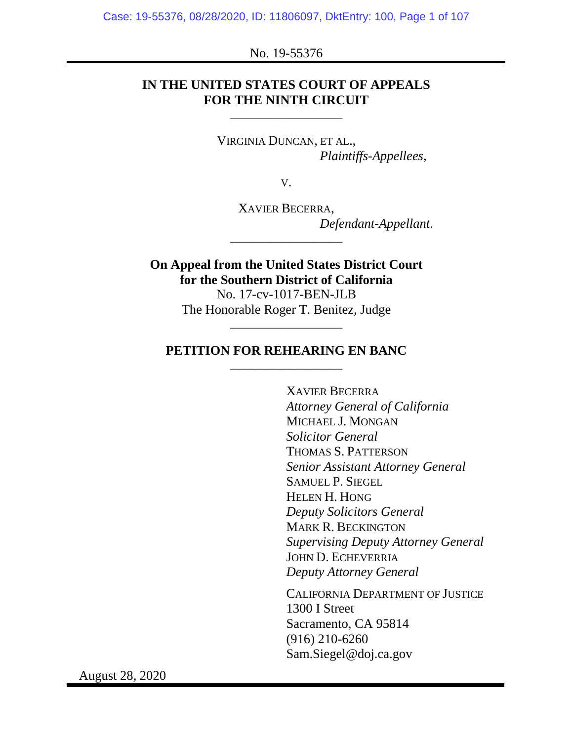#### No. 19-55376

## **IN THE UNITED STATES COURT OF APPEALS FOR THE NINTH CIRCUIT**

\_\_\_\_\_\_\_\_\_\_\_\_\_\_\_\_\_\_\_\_

VIRGINIA DUNCAN, ET AL., *Plaintiffs-Appellees*,

V.

XAVIER BECERRA, *Defendant-Appellant*.

**On Appeal from the United States District Court for the Southern District of California** No. 17-cv-1017-BEN-JLB

\_\_\_\_\_\_\_\_\_\_\_\_\_\_\_\_\_\_\_\_

The Honorable Roger T. Benitez, Judge \_\_\_\_\_\_\_\_\_\_\_\_\_\_\_\_\_\_\_\_

## **PETITION FOR REHEARING EN BANC** \_\_\_\_\_\_\_\_\_\_\_\_\_\_\_\_\_\_\_\_

XAVIER BECERRA *Attorney General of California* MICHAEL J. MONGAN *Solicitor General* THOMAS S. PATTERSON *Senior Assistant Attorney General* SAMUEL P. SIEGEL HELEN H. HONG *Deputy Solicitors General* MARK R. BECKINGTON *Supervising Deputy Attorney General* JOHN D. ECHEVERRIA *Deputy Attorney General*

CALIFORNIA DEPARTMENT OF JUSTICE 1300 I Street Sacramento, CA 95814 (916) 210-6260 Sam.Siegel@doj.ca.gov

August 28, 2020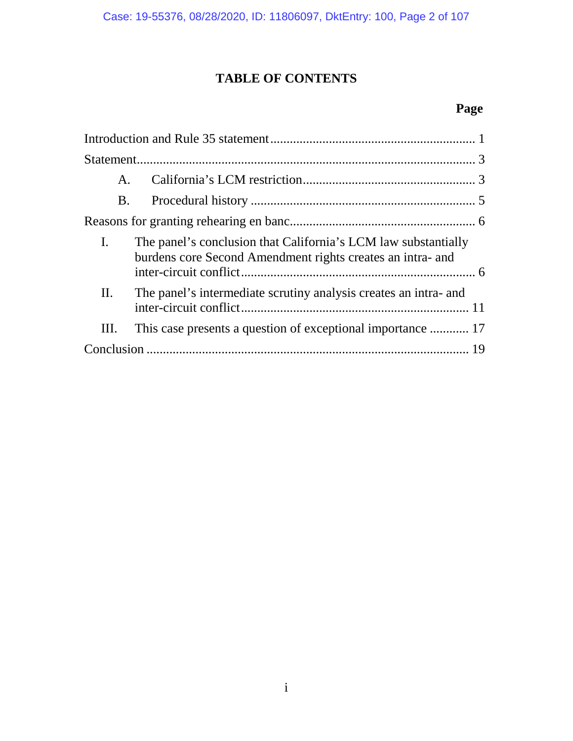# **TABLE OF CONTENTS**

# **Page**

| A.        |                                                                                                                              |  |
|-----------|------------------------------------------------------------------------------------------------------------------------------|--|
| <b>B.</b> |                                                                                                                              |  |
|           |                                                                                                                              |  |
| L.        | The panel's conclusion that California's LCM law substantially<br>burdens core Second Amendment rights creates an intra- and |  |
| II.       | The panel's intermediate scrutiny analysis creates an intra- and                                                             |  |
| Ш.        | This case presents a question of exceptional importance  17                                                                  |  |
|           |                                                                                                                              |  |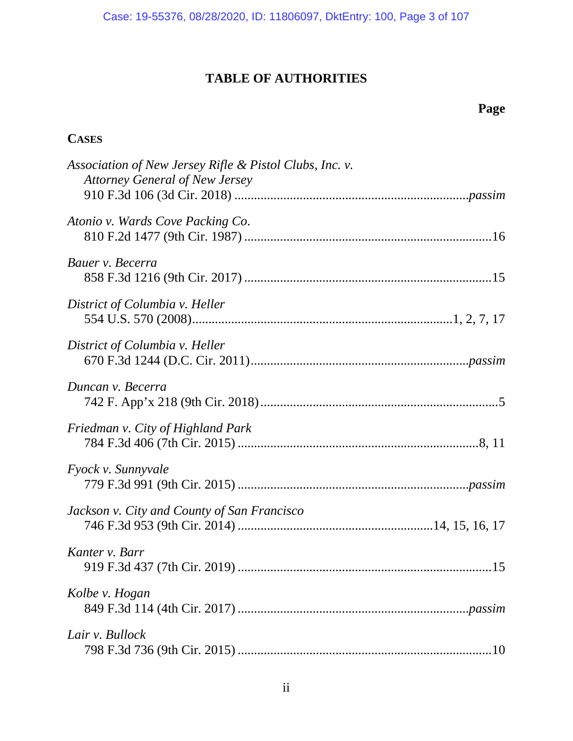# **TABLE OF AUTHORITIES**

# **Page**

# **CASES**

| Association of New Jersey Rifle & Pistol Clubs, Inc. v.<br><b>Attorney General of New Jersey</b> |
|--------------------------------------------------------------------------------------------------|
| Atonio v. Wards Cove Packing Co.                                                                 |
| Bauer v. Becerra                                                                                 |
| District of Columbia v. Heller                                                                   |
| District of Columbia v. Heller                                                                   |
| Duncan v. Becerra                                                                                |
| Friedman v. City of Highland Park                                                                |
| <i>Fyock v. Sunnyvale</i>                                                                        |
| Jackson v. City and County of San Francisco                                                      |
| Kanter v. Barr                                                                                   |
| Kolbe v. Hogan                                                                                   |
| Lair v. Bullock                                                                                  |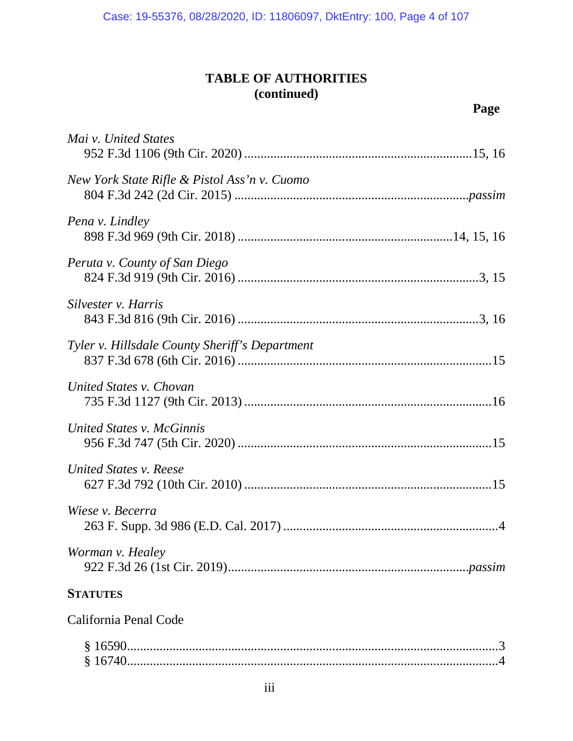# **TABLE OF AUTHORITIES (continued)**

| Mai v. United States                           |
|------------------------------------------------|
| New York State Rifle & Pistol Ass'n v. Cuomo   |
| Pena <i>v</i> . Lindley                        |
| Peruta v. County of San Diego                  |
| Silvester v. Harris                            |
| Tyler v. Hillsdale County Sheriff's Department |
| United States v. Chovan                        |
| United States v. McGinnis                      |
| United States v. Reese                         |
| Wiese v. Becerra                               |
| Worman v. Healey                               |
| <b>STATUTES</b>                                |
| California Penal Code                          |
|                                                |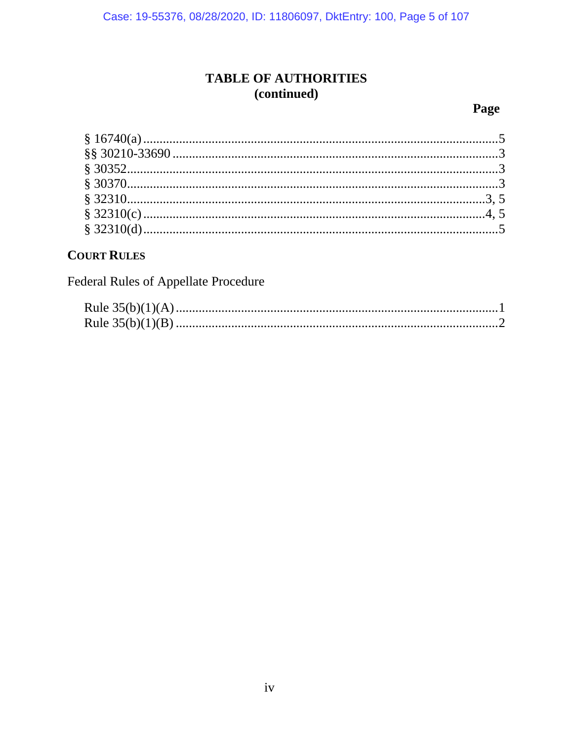Case: 19-55376, 08/28/2020, ID: 11806097, DktEntry: 100, Page 5 of 107

# **TABLE OF AUTHORITIES** (continued)

## Page

# **COURT RULES**

Federal Rules of Appellate Procedure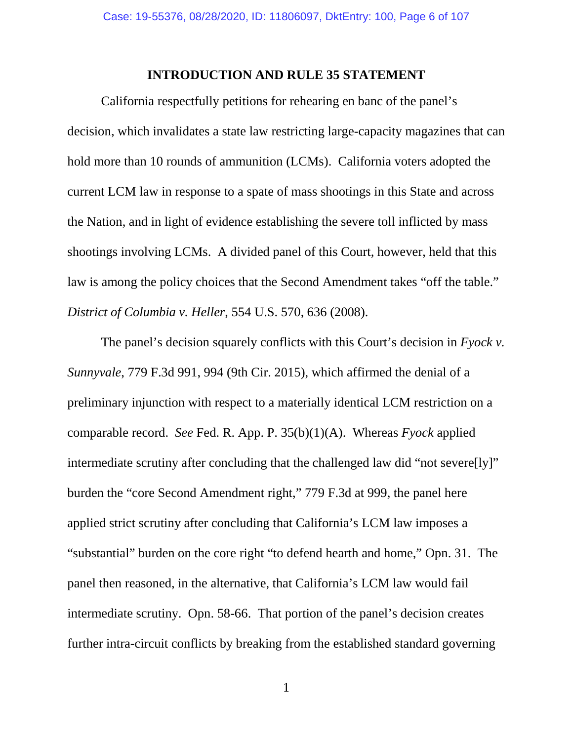## **INTRODUCTION AND RULE 35 STATEMENT**

California respectfully petitions for rehearing en banc of the panel's decision, which invalidates a state law restricting large-capacity magazines that can hold more than 10 rounds of ammunition (LCMs). California voters adopted the current LCM law in response to a spate of mass shootings in this State and across the Nation, and in light of evidence establishing the severe toll inflicted by mass shootings involving LCMs. A divided panel of this Court, however, held that this law is among the policy choices that the Second Amendment takes "off the table." *District of Columbia v. Heller*, 554 U.S. 570, 636 (2008).

The panel's decision squarely conflicts with this Court's decision in *Fyock v. Sunnyvale*, 779 F.3d 991, 994 (9th Cir. 2015), which affirmed the denial of a preliminary injunction with respect to a materially identical LCM restriction on a comparable record. *See* Fed. R. App. P. 35(b)(1)(A). Whereas *Fyock* applied intermediate scrutiny after concluding that the challenged law did "not severe[ly]" burden the "core Second Amendment right," 779 F.3d at 999, the panel here applied strict scrutiny after concluding that California's LCM law imposes a "substantial" burden on the core right "to defend hearth and home," Opn. 31. The panel then reasoned, in the alternative, that California's LCM law would fail intermediate scrutiny. Opn. 58-66. That portion of the panel's decision creates further intra-circuit conflicts by breaking from the established standard governing

1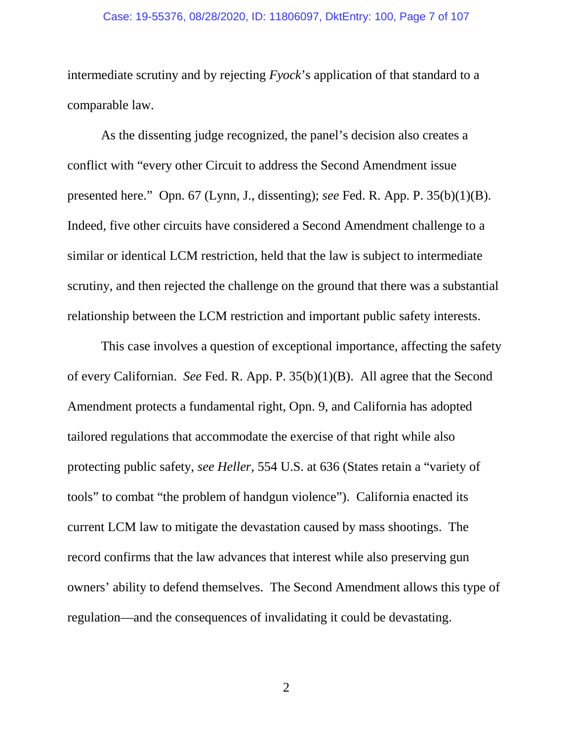#### Case: 19-55376, 08/28/2020, ID: 11806097, DktEntry: 100, Page 7 of 107

intermediate scrutiny and by rejecting *Fyock*'s application of that standard to a comparable law.

As the dissenting judge recognized, the panel's decision also creates a conflict with "every other Circuit to address the Second Amendment issue presented here." Opn. 67 (Lynn, J., dissenting); *see* Fed. R. App. P. 35(b)(1)(B). Indeed, five other circuits have considered a Second Amendment challenge to a similar or identical LCM restriction, held that the law is subject to intermediate scrutiny, and then rejected the challenge on the ground that there was a substantial relationship between the LCM restriction and important public safety interests.

This case involves a question of exceptional importance, affecting the safety of every Californian. *See* Fed. R. App. P. 35(b)(1)(B). All agree that the Second Amendment protects a fundamental right, Opn. 9, and California has adopted tailored regulations that accommodate the exercise of that right while also protecting public safety, *see Heller*, 554 U.S. at 636 (States retain a "variety of tools" to combat "the problem of handgun violence"). California enacted its current LCM law to mitigate the devastation caused by mass shootings. The record confirms that the law advances that interest while also preserving gun owners' ability to defend themselves. The Second Amendment allows this type of regulation—and the consequences of invalidating it could be devastating.

2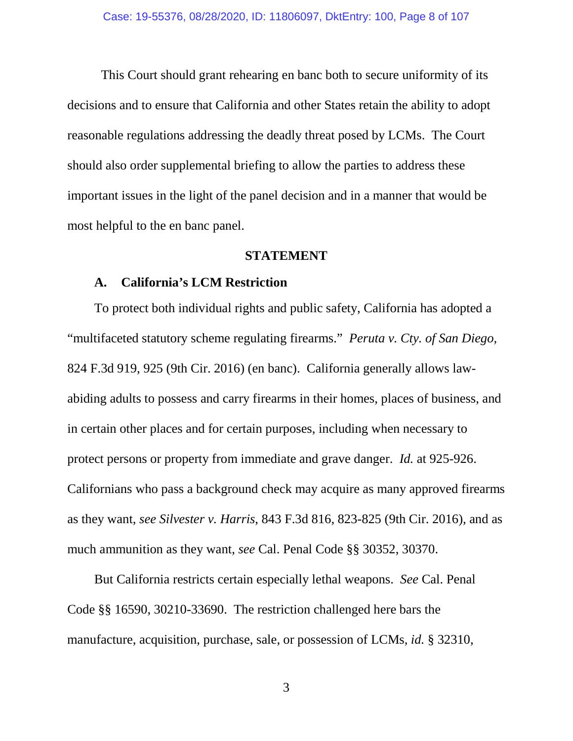This Court should grant rehearing en banc both to secure uniformity of its decisions and to ensure that California and other States retain the ability to adopt reasonable regulations addressing the deadly threat posed by LCMs. The Court should also order supplemental briefing to allow the parties to address these important issues in the light of the panel decision and in a manner that would be most helpful to the en banc panel.

## **STATEMENT**

#### **A. California's LCM Restriction**

To protect both individual rights and public safety, California has adopted a "multifaceted statutory scheme regulating firearms." *Peruta v. Cty. of San Diego*, 824 F.3d 919, 925 (9th Cir. 2016) (en banc). California generally allows lawabiding adults to possess and carry firearms in their homes, places of business, and in certain other places and for certain purposes, including when necessary to protect persons or property from immediate and grave danger. *Id.* at 925-926. Californians who pass a background check may acquire as many approved firearms as they want, *see Silvester v. Harris*, 843 F.3d 816, 823-825 (9th Cir. 2016), and as much ammunition as they want, *see* Cal. Penal Code §§ 30352, 30370.

But California restricts certain especially lethal weapons. *See* Cal. Penal Code §§ 16590, 30210-33690. The restriction challenged here bars the manufacture, acquisition, purchase, sale, or possession of LCMs, *id.* § 32310,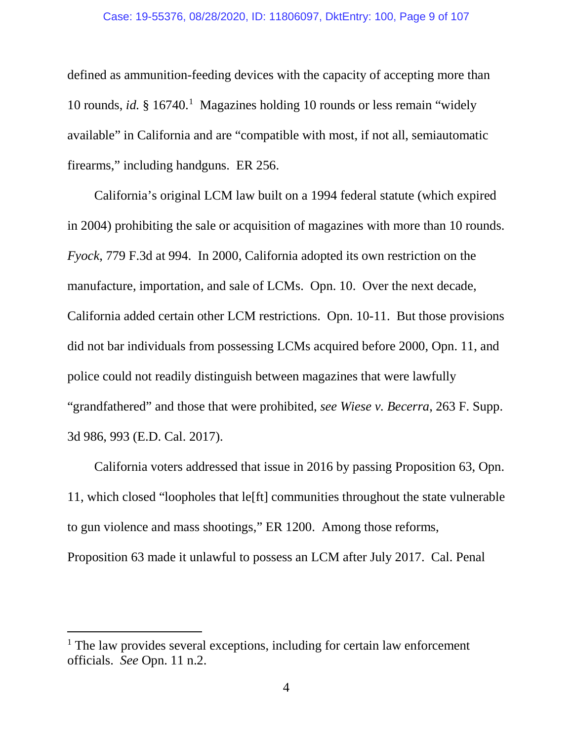#### Case: 19-55376, 08/28/2020, ID: 11806097, DktEntry: 100, Page 9 of 107

defined as ammunition-feeding devices with the capacity of accepting more than [1](#page-8-0)0 rounds, *id.* § 16740.<sup>1</sup> Magazines holding 10 rounds or less remain "widely available" in California and are "compatible with most, if not all, semiautomatic firearms," including handguns. ER 256.

California's original LCM law built on a 1994 federal statute (which expired in 2004) prohibiting the sale or acquisition of magazines with more than 10 rounds. *Fyock*, 779 F.3d at 994. In 2000, California adopted its own restriction on the manufacture, importation, and sale of LCMs. Opn. 10. Over the next decade, California added certain other LCM restrictions. Opn. 10-11. But those provisions did not bar individuals from possessing LCMs acquired before 2000, Opn. 11, and police could not readily distinguish between magazines that were lawfully "grandfathered" and those that were prohibited, *see Wiese v. Becerra*, 263 F. Supp. 3d 986, 993 (E.D. Cal. 2017).

California voters addressed that issue in 2016 by passing Proposition 63, Opn. 11, which closed "loopholes that le[ft] communities throughout the state vulnerable to gun violence and mass shootings," ER 1200. Among those reforms, Proposition 63 made it unlawful to possess an LCM after July 2017. Cal. Penal

<span id="page-8-0"></span> $<sup>1</sup>$  The law provides several exceptions, including for certain law enforcement</sup> officials. *See* Opn. 11 n.2.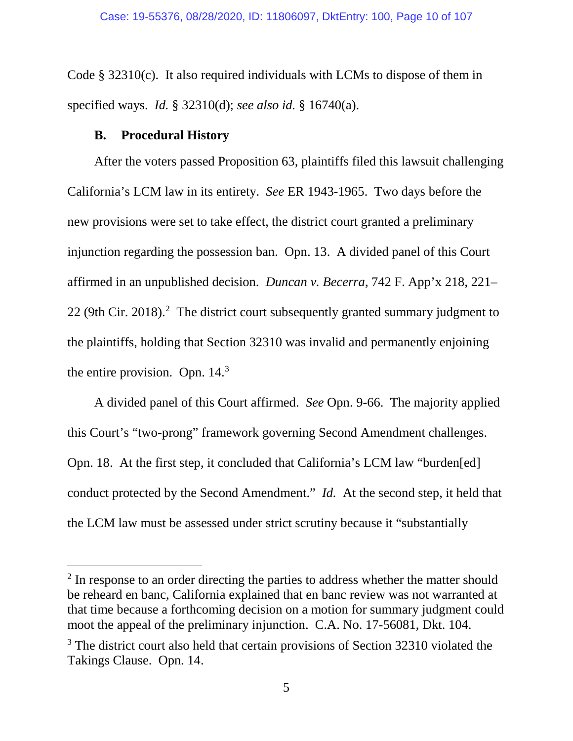Code § 32310(c). It also required individuals with LCMs to dispose of them in specified ways. *Id.* § 32310(d); *see also id.* § 16740(a).

#### **B. Procedural History**

After the voters passed Proposition 63, plaintiffs filed this lawsuit challenging California's LCM law in its entirety. *See* ER 1943-1965. Two days before the new provisions were set to take effect, the district court granted a preliminary injunction regarding the possession ban. Opn. 13. A divided panel of this Court affirmed in an unpublished decision. *Duncan v. Becerra*, 742 F. App'x 218, 221– [2](#page-9-0)2 (9th Cir. 2018). $^2$  The district court subsequently granted summary judgment to the plaintiffs, holding that Section 32310 was invalid and permanently enjoining the entire provision. Opn.  $14<sup>3</sup>$ 

A divided panel of this Court affirmed. *See* Opn. 9-66. The majority applied this Court's "two-prong" framework governing Second Amendment challenges. Opn. 18. At the first step, it concluded that California's LCM law "burden[ed] conduct protected by the Second Amendment." *Id.* At the second step, it held that the LCM law must be assessed under strict scrutiny because it "substantially

<span id="page-9-0"></span><sup>&</sup>lt;sup>2</sup> In response to an order directing the parties to address whether the matter should be reheard en banc, California explained that en banc review was not warranted at that time because a forthcoming decision on a motion for summary judgment could moot the appeal of the preliminary injunction. C.A. No. 17-56081, Dkt. 104.

<span id="page-9-1"></span><sup>&</sup>lt;sup>3</sup> The district court also held that certain provisions of Section 32310 violated the Takings Clause. Opn. 14.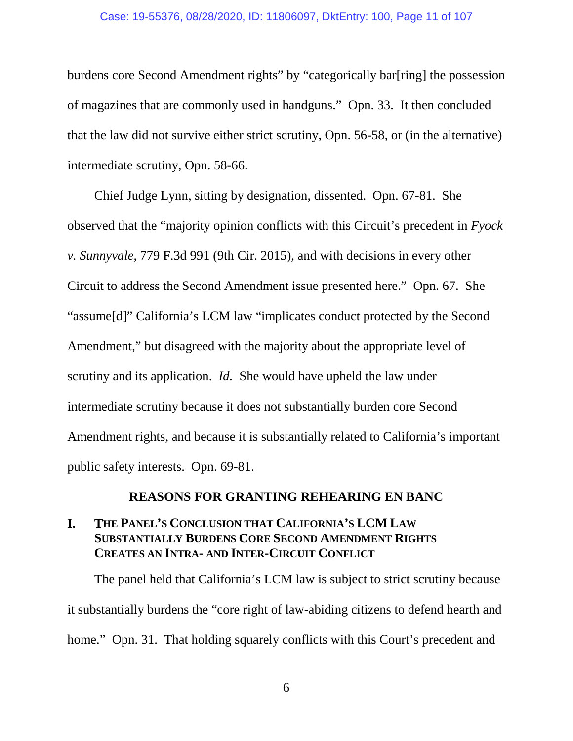#### Case: 19-55376, 08/28/2020, ID: 11806097, DktEntry: 100, Page 11 of 107

burdens core Second Amendment rights" by "categorically bar[ring] the possession of magazines that are commonly used in handguns." Opn. 33. It then concluded that the law did not survive either strict scrutiny, Opn. 56-58, or (in the alternative) intermediate scrutiny, Opn. 58-66.

Chief Judge Lynn, sitting by designation, dissented. Opn. 67-81. She observed that the "majority opinion conflicts with this Circuit's precedent in *Fyock v. Sunnyvale*, 779 F.3d 991 (9th Cir. 2015), and with decisions in every other Circuit to address the Second Amendment issue presented here." Opn. 67. She "assume[d]" California's LCM law "implicates conduct protected by the Second Amendment," but disagreed with the majority about the appropriate level of scrutiny and its application. *Id.* She would have upheld the law under intermediate scrutiny because it does not substantially burden core Second Amendment rights, and because it is substantially related to California's important public safety interests. Opn. 69-81.

#### **REASONS FOR GRANTING REHEARING EN BANC**

## **I. THE PANEL'S CONCLUSION THAT CALIFORNIA'S LCM LAW SUBSTANTIALLY BURDENS CORE SECOND AMENDMENT RIGHTS CREATES AN INTRA- AND INTER-CIRCUIT CONFLICT**

The panel held that California's LCM law is subject to strict scrutiny because it substantially burdens the "core right of law-abiding citizens to defend hearth and home." Opn. 31. That holding squarely conflicts with this Court's precedent and

6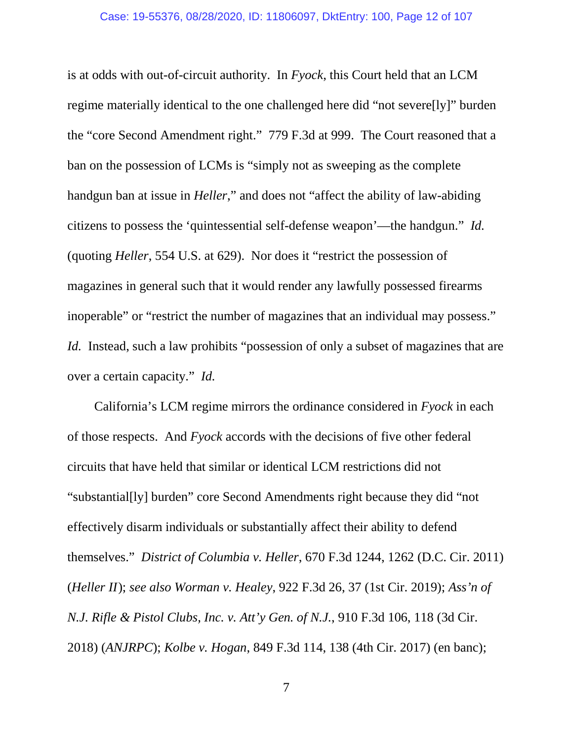is at odds with out-of-circuit authority. In *Fyock*, this Court held that an LCM regime materially identical to the one challenged here did "not severe[ly]" burden the "core Second Amendment right." 779 F.3d at 999. The Court reasoned that a ban on the possession of LCMs is "simply not as sweeping as the complete handgun ban at issue in *Heller*," and does not "affect the ability of law-abiding citizens to possess the 'quintessential self-defense weapon'—the handgun." *Id.*  (quoting *Heller*, 554 U.S. at 629). Nor does it "restrict the possession of magazines in general such that it would render any lawfully possessed firearms inoperable" or "restrict the number of magazines that an individual may possess." *Id.* Instead, such a law prohibits "possession of only a subset of magazines that are over a certain capacity." *Id.*

California's LCM regime mirrors the ordinance considered in *Fyock* in each of those respects. And *Fyock* accords with the decisions of five other federal circuits that have held that similar or identical LCM restrictions did not "substantial[ly] burden" core Second Amendments right because they did "not effectively disarm individuals or substantially affect their ability to defend themselves." *District of Columbia v. Heller*, 670 F.3d 1244, 1262 (D.C. Cir. 2011) (*Heller II*); *see also Worman v. Healey*, 922 F.3d 26, 37 (1st Cir. 2019); *Ass'n of N.J. Rifle & Pistol Clubs, Inc. v. Att'y Gen. of N.J.*, 910 F.3d 106, 118 (3d Cir. 2018) (*ANJRPC*); *Kolbe v. Hogan*, 849 F.3d 114, 138 (4th Cir. 2017) (en banc);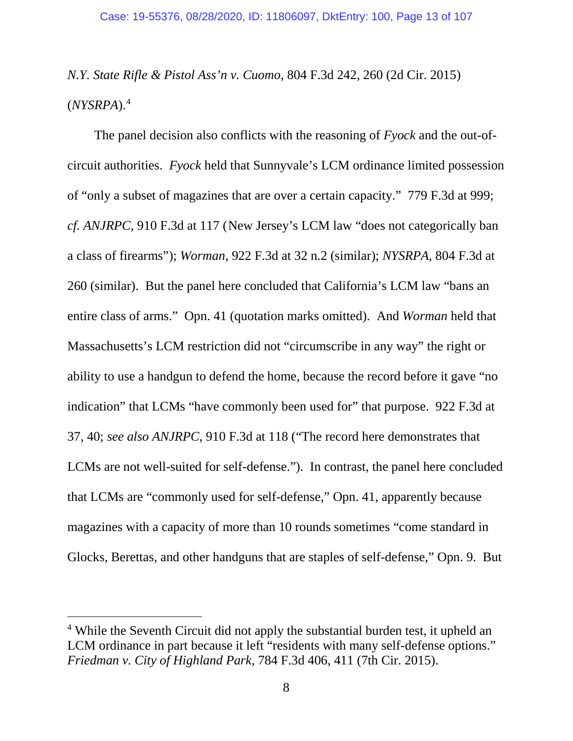*N.Y. State Rifle & Pistol Ass'n v. Cuomo*, 804 F.3d 242, 260 (2d Cir. 2015) (*NYSRPA*). [4](#page-12-0)

The panel decision also conflicts with the reasoning of *Fyock* and the out-ofcircuit authorities. *Fyock* held that Sunnyvale's LCM ordinance limited possession of "only a subset of magazines that are over a certain capacity." 779 F.3d at 999; *cf. ANJRPC*, 910 F.3d at 117 (New Jersey's LCM law "does not categorically ban a class of firearms"); *Worman*, 922 F.3d at 32 n.2 (similar); *NYSRPA*, 804 F.3d at 260 (similar). But the panel here concluded that California's LCM law "bans an entire class of arms." Opn. 41 (quotation marks omitted). And *Worman* held that Massachusetts's LCM restriction did not "circumscribe in any way" the right or ability to use a handgun to defend the home, because the record before it gave "no indication" that LCMs "have commonly been used for" that purpose. 922 F.3d at 37, 40; *see also ANJRPC*, 910 F.3d at 118 ("The record here demonstrates that LCMs are not well-suited for self-defense."). In contrast, the panel here concluded that LCMs are "commonly used for self-defense," Opn. 41, apparently because magazines with a capacity of more than 10 rounds sometimes "come standard in Glocks, Berettas, and other handguns that are staples of self-defense," Opn. 9. But

<span id="page-12-0"></span><sup>&</sup>lt;sup>4</sup> While the Seventh Circuit did not apply the substantial burden test, it upheld an LCM ordinance in part because it left "residents with many self-defense options." *Friedman v. City of Highland Park*, 784 F.3d 406, 411 (7th Cir. 2015).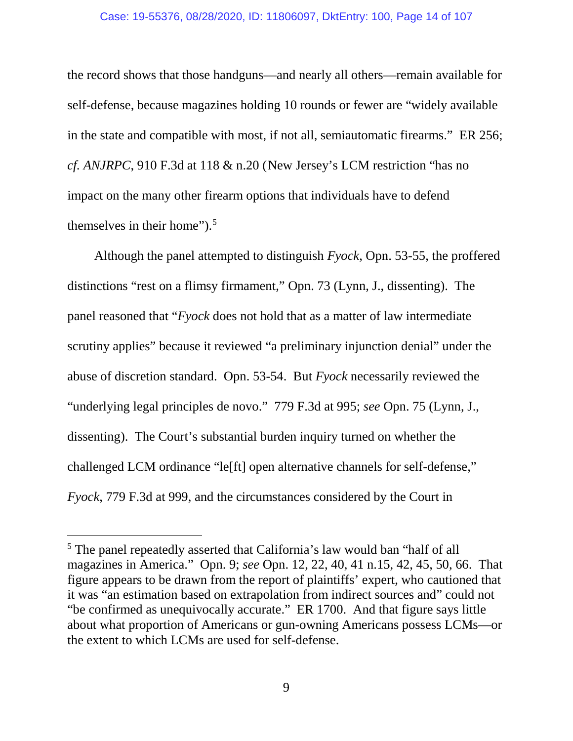#### Case: 19-55376, 08/28/2020, ID: 11806097, DktEntry: 100, Page 14 of 107

the record shows that those handguns—and nearly all others—remain available for self-defense, because magazines holding 10 rounds or fewer are "widely available in the state and compatible with most, if not all, semiautomatic firearms." ER 256; *cf. ANJRPC*, 910 F.3d at 118 & n.20 (New Jersey's LCM restriction "has no impact on the many other firearm options that individuals have to defend themselves in their home").<sup>[5](#page-13-0)</sup>

Although the panel attempted to distinguish *Fyock*, Opn. 53-55, the proffered distinctions "rest on a flimsy firmament," Opn. 73 (Lynn, J., dissenting). The panel reasoned that "*Fyock* does not hold that as a matter of law intermediate scrutiny applies" because it reviewed "a preliminary injunction denial" under the abuse of discretion standard. Opn. 53-54. But *Fyock* necessarily reviewed the "underlying legal principles de novo." 779 F.3d at 995; *see* Opn. 75 (Lynn, J., dissenting). The Court's substantial burden inquiry turned on whether the challenged LCM ordinance "le[ft] open alternative channels for self-defense," *Fyock*, 779 F.3d at 999, and the circumstances considered by the Court in

<span id="page-13-0"></span><sup>&</sup>lt;sup>5</sup> The panel repeatedly asserted that California's law would ban "half of all magazines in America." Opn. 9; *see* Opn. 12, 22, 40, 41 n.15, 42, 45, 50, 66. That figure appears to be drawn from the report of plaintiffs' expert, who cautioned that it was "an estimation based on extrapolation from indirect sources and" could not "be confirmed as unequivocally accurate." ER 1700. And that figure says little about what proportion of Americans or gun-owning Americans possess LCMs—or the extent to which LCMs are used for self-defense.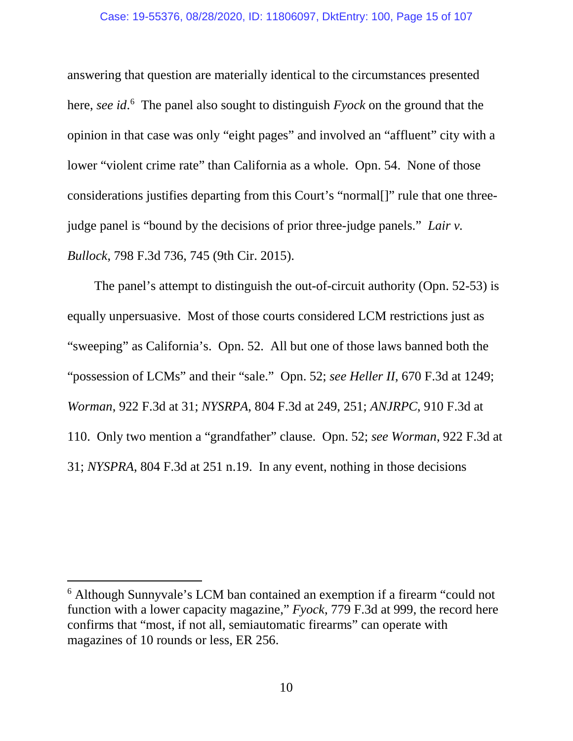#### Case: 19-55376, 08/28/2020, ID: 11806097, DktEntry: 100, Page 15 of 107

answering that question are materially identical to the circumstances presented here, *see id*. [6](#page-14-0) The panel also sought to distinguish *Fyock* on the ground that the opinion in that case was only "eight pages" and involved an "affluent" city with a lower "violent crime rate" than California as a whole. Opn. 54. None of those considerations justifies departing from this Court's "normal[]" rule that one threejudge panel is "bound by the decisions of prior three-judge panels." *Lair v. Bullock*, 798 F.3d 736, 745 (9th Cir. 2015).

The panel's attempt to distinguish the out-of-circuit authority (Opn. 52-53) is equally unpersuasive. Most of those courts considered LCM restrictions just as "sweeping" as California's. Opn. 52. All but one of those laws banned both the "possession of LCMs" and their "sale." Opn. 52; *see Heller II*, 670 F.3d at 1249; *Worman*, 922 F.3d at 31; *NYSRPA*, 804 F.3d at 249, 251; *ANJRPC*, 910 F.3d at 110. Only two mention a "grandfather" clause. Opn. 52; *see Worman*, 922 F.3d at 31; *NYSPRA*, 804 F.3d at 251 n.19. In any event, nothing in those decisions

<span id="page-14-0"></span> <sup>6</sup> Although Sunnyvale's LCM ban contained an exemption if a firearm "could not function with a lower capacity magazine," *Fyock*, 779 F.3d at 999, the record here confirms that "most, if not all, semiautomatic firearms" can operate with magazines of 10 rounds or less, ER 256.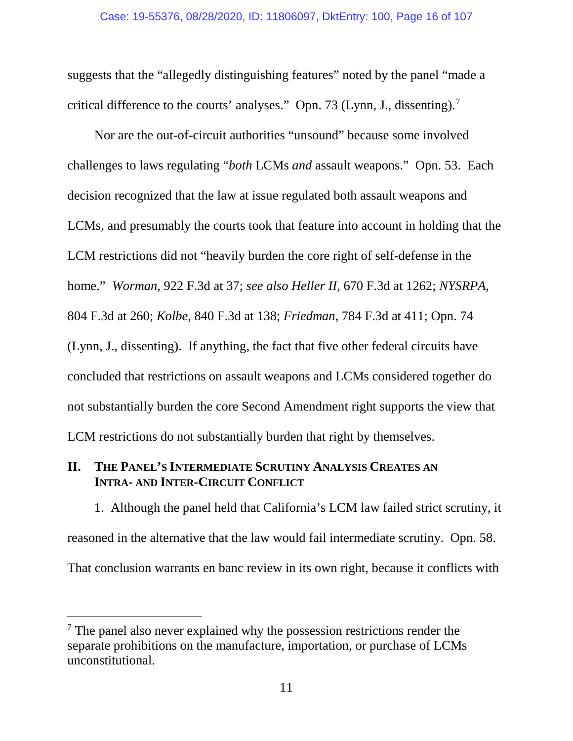suggests that the "allegedly distinguishing features" noted by the panel "made a critical difference to the courts' analyses." Opn. [7](#page-15-0)3 (Lynn, J., dissenting).<sup>7</sup>

Nor are the out-of-circuit authorities "unsound" because some involved challenges to laws regulating "*both* LCMs *and* assault weapons." Opn. 53. Each decision recognized that the law at issue regulated both assault weapons and LCMs, and presumably the courts took that feature into account in holding that the LCM restrictions did not "heavily burden the core right of self-defense in the home." *Worman*, 922 F.3d at 37; *see also Heller II*, 670 F.3d at 1262; *NYSRPA*, 804 F.3d at 260; *Kolbe*, 840 F.3d at 138; *Friedman*, 784 F.3d at 411; Opn. 74 (Lynn, J., dissenting). If anything, the fact that five other federal circuits have concluded that restrictions on assault weapons and LCMs considered together do not substantially burden the core Second Amendment right supports the view that LCM restrictions do not substantially burden that right by themselves.

## **II. THE PANEL'S INTERMEDIATE SCRUTINY ANALYSIS CREATES AN INTRA- AND INTER-CIRCUIT CONFLICT**

1. Although the panel held that California's LCM law failed strict scrutiny, it reasoned in the alternative that the law would fail intermediate scrutiny. Opn. 58. That conclusion warrants en banc review in its own right, because it conflicts with

<span id="page-15-0"></span><sup>&</sup>lt;sup>7</sup> The panel also never explained why the possession restrictions render the separate prohibitions on the manufacture, importation, or purchase of LCMs unconstitutional.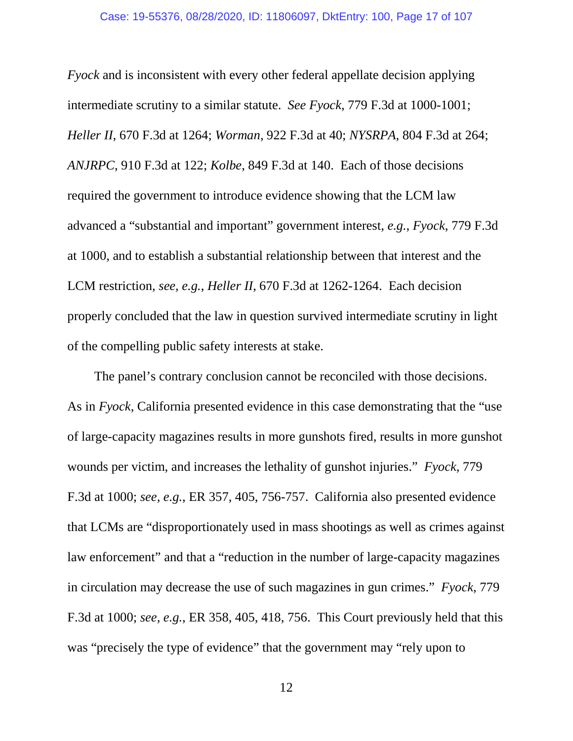*Fyock* and is inconsistent with every other federal appellate decision applying intermediate scrutiny to a similar statute. *See Fyock*, 779 F.3d at 1000-1001; *Heller II*, 670 F.3d at 1264; *Worman*, 922 F.3d at 40; *NYSRPA*, 804 F.3d at 264; *ANJRPC*, 910 F.3d at 122; *Kolbe*, 849 F.3d at 140. Each of those decisions required the government to introduce evidence showing that the LCM law advanced a "substantial and important" government interest, *e.g.*, *Fyock*, 779 F.3d at 1000, and to establish a substantial relationship between that interest and the LCM restriction, *see, e.g.*, *Heller II*, 670 F.3d at 1262-1264. Each decision properly concluded that the law in question survived intermediate scrutiny in light of the compelling public safety interests at stake.

The panel's contrary conclusion cannot be reconciled with those decisions. As in *Fyock*, California presented evidence in this case demonstrating that the "use of large-capacity magazines results in more gunshots fired, results in more gunshot wounds per victim, and increases the lethality of gunshot injuries." *Fyock*, 779 F.3d at 1000; *see, e.g.*, ER 357, 405, 756-757. California also presented evidence that LCMs are "disproportionately used in mass shootings as well as crimes against law enforcement" and that a "reduction in the number of large-capacity magazines in circulation may decrease the use of such magazines in gun crimes." *Fyock*, 779 F.3d at 1000; *see, e.g.*, ER 358, 405, 418, 756. This Court previously held that this was "precisely the type of evidence" that the government may "rely upon to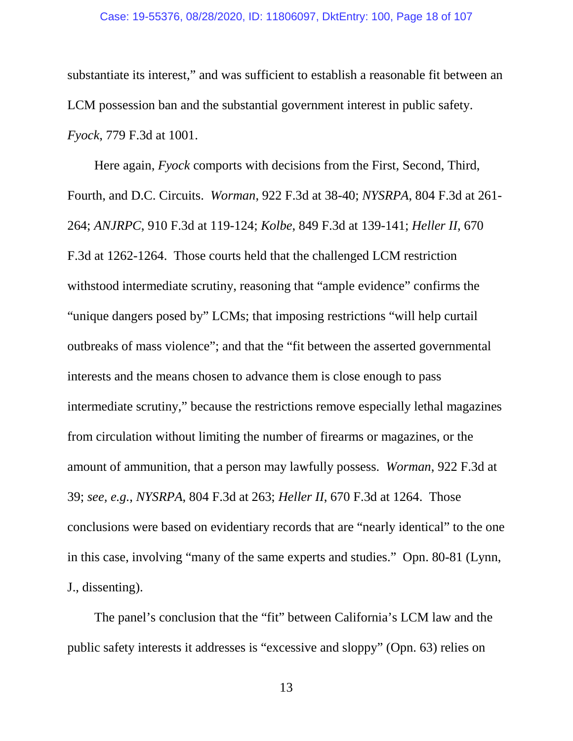substantiate its interest," and was sufficient to establish a reasonable fit between an LCM possession ban and the substantial government interest in public safety. *Fyock*, 779 F.3d at 1001.

Here again, *Fyock* comports with decisions from the First, Second, Third, Fourth, and D.C. Circuits. *Worman*, 922 F.3d at 38-40; *NYSRPA*, 804 F.3d at 261- 264; *ANJRPC*, 910 F.3d at 119-124; *Kolbe*, 849 F.3d at 139-141; *Heller II*, 670 F.3d at 1262-1264. Those courts held that the challenged LCM restriction withstood intermediate scrutiny, reasoning that "ample evidence" confirms the "unique dangers posed by" LCMs; that imposing restrictions "will help curtail outbreaks of mass violence"; and that the "fit between the asserted governmental interests and the means chosen to advance them is close enough to pass intermediate scrutiny," because the restrictions remove especially lethal magazines from circulation without limiting the number of firearms or magazines, or the amount of ammunition, that a person may lawfully possess. *Worman*, 922 F.3d at 39; *see, e.g.*, *NYSRPA*, 804 F.3d at 263; *Heller II*, 670 F.3d at 1264. Those conclusions were based on evidentiary records that are "nearly identical" to the one in this case, involving "many of the same experts and studies." Opn. 80-81 (Lynn, J., dissenting).

The panel's conclusion that the "fit" between California's LCM law and the public safety interests it addresses is "excessive and sloppy" (Opn. 63) relies on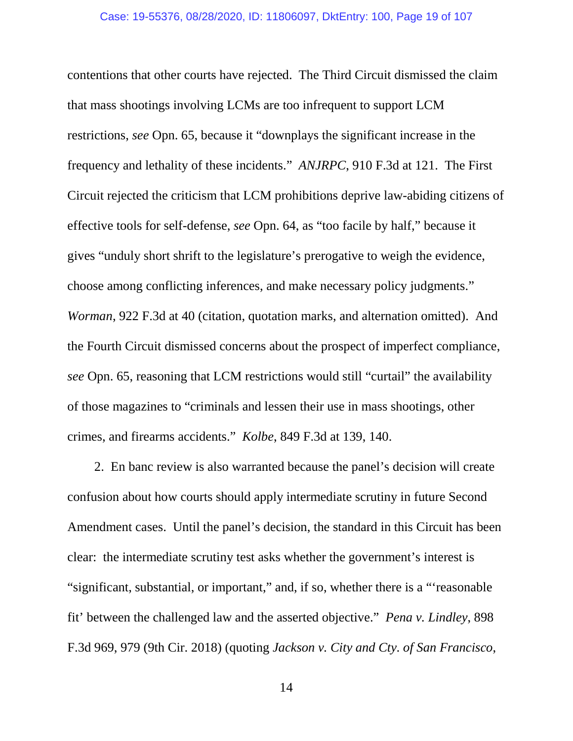contentions that other courts have rejected. The Third Circuit dismissed the claim that mass shootings involving LCMs are too infrequent to support LCM restrictions, *see* Opn. 65, because it "downplays the significant increase in the frequency and lethality of these incidents." *ANJRPC*, 910 F.3d at 121. The First Circuit rejected the criticism that LCM prohibitions deprive law-abiding citizens of effective tools for self-defense, *see* Opn. 64, as "too facile by half," because it gives "unduly short shrift to the legislature's prerogative to weigh the evidence, choose among conflicting inferences, and make necessary policy judgments." *Worman*, 922 F.3d at 40 (citation, quotation marks, and alternation omitted). And the Fourth Circuit dismissed concerns about the prospect of imperfect compliance, *see* Opn. 65, reasoning that LCM restrictions would still "curtail" the availability of those magazines to "criminals and lessen their use in mass shootings, other crimes, and firearms accidents." *Kolbe*, 849 F.3d at 139, 140.

2. En banc review is also warranted because the panel's decision will create confusion about how courts should apply intermediate scrutiny in future Second Amendment cases. Until the panel's decision, the standard in this Circuit has been clear: the intermediate scrutiny test asks whether the government's interest is "significant, substantial, or important," and, if so, whether there is a "'reasonable fit' between the challenged law and the asserted objective." *Pena v. Lindley*, 898 F.3d 969, 979 (9th Cir. 2018) (quoting *Jackson v. City and Cty. of San Francisco*,

14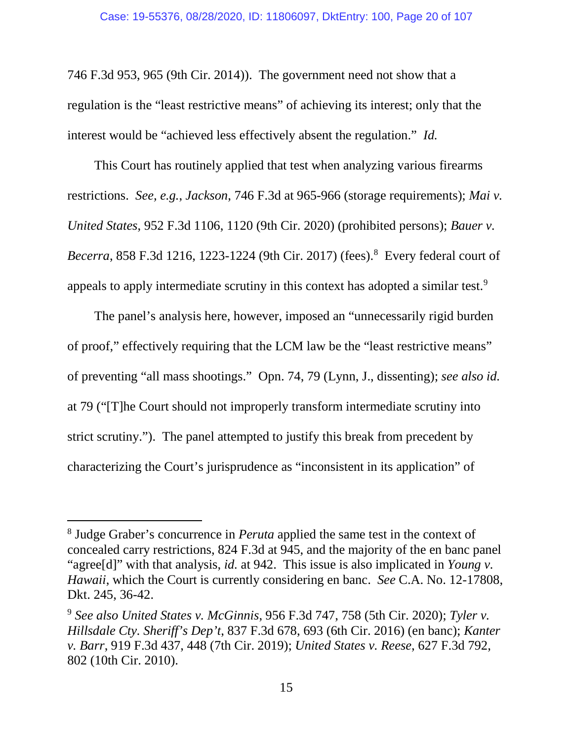746 F.3d 953, 965 (9th Cir. 2014)). The government need not show that a regulation is the "least restrictive means" of achieving its interest; only that the interest would be "achieved less effectively absent the regulation." *Id.*

This Court has routinely applied that test when analyzing various firearms restrictions. *See, e.g.*, *Jackson*, 746 F.3d at 965-966 (storage requirements); *Mai v. United States*, 952 F.3d 1106, 1120 (9th Cir. 2020) (prohibited persons); *Bauer v. Becerra*, 858 F.3d 1216, 1223-1224 (9th Cir. 2017) (fees). [8](#page-19-0) Every federal court of appeals to apply intermediate scrutiny in this context has adopted a similar test.<sup>[9](#page-19-1)</sup>

The panel's analysis here, however, imposed an "unnecessarily rigid burden of proof," effectively requiring that the LCM law be the "least restrictive means" of preventing "all mass shootings." Opn. 74, 79 (Lynn, J., dissenting); *see also id.*  at 79 ("[T]he Court should not improperly transform intermediate scrutiny into strict scrutiny."). The panel attempted to justify this break from precedent by characterizing the Court's jurisprudence as "inconsistent in its application" of

<span id="page-19-0"></span> <sup>8</sup> Judge Graber's concurrence in *Peruta* applied the same test in the context of concealed carry restrictions, 824 F.3d at 945, and the majority of the en banc panel "agree[d]" with that analysis, *id.* at 942. This issue is also implicated in *Young v. Hawaii*, which the Court is currently considering en banc. *See* C.A. No. 12-17808, Dkt. 245, 36-42.

<span id="page-19-1"></span><sup>9</sup> *See also United States v. McGinnis*, 956 F.3d 747, 758 (5th Cir. 2020); *Tyler v. Hillsdale Cty. Sheriff's Dep't*, 837 F.3d 678, 693 (6th Cir. 2016) (en banc); *Kanter v. Barr*, 919 F.3d 437, 448 (7th Cir. 2019); *United States v. Reese*, 627 F.3d 792, 802 (10th Cir. 2010).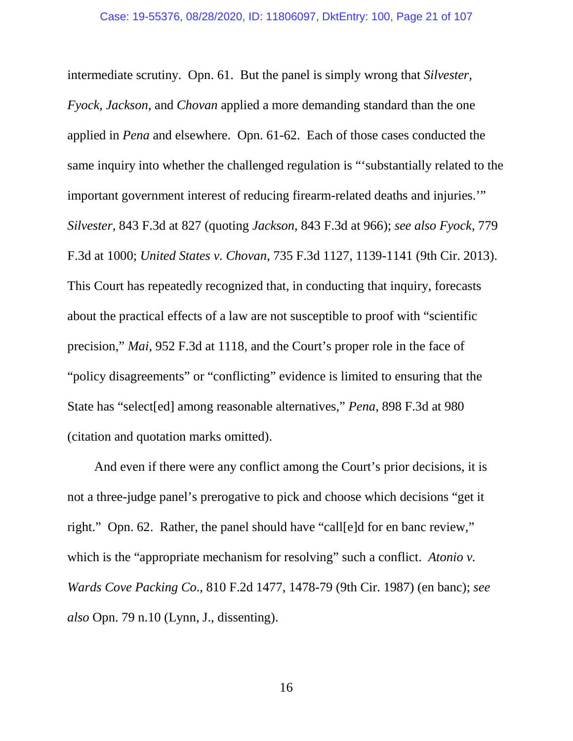intermediate scrutiny. Opn. 61. But the panel is simply wrong that *Silvester, Fyock, Jackson*, and *Chovan* applied a more demanding standard than the one applied in *Pena* and elsewhere. Opn. 61-62. Each of those cases conducted the same inquiry into whether the challenged regulation is "'substantially related to the important government interest of reducing firearm-related deaths and injuries.'" *Silvester*, 843 F.3d at 827 (quoting *Jackson*, 843 F.3d at 966); *see also Fyock*, 779 F.3d at 1000; *United States v. Chovan*, 735 F.3d 1127, 1139-1141 (9th Cir. 2013). This Court has repeatedly recognized that, in conducting that inquiry, forecasts about the practical effects of a law are not susceptible to proof with "scientific precision," *Mai*, 952 F.3d at 1118, and the Court's proper role in the face of "policy disagreements" or "conflicting" evidence is limited to ensuring that the State has "select[ed] among reasonable alternatives," *Pena*, 898 F.3d at 980 (citation and quotation marks omitted).

And even if there were any conflict among the Court's prior decisions, it is not a three-judge panel's prerogative to pick and choose which decisions "get it right." Opn. 62. Rather, the panel should have "call[e]d for en banc review," which is the "appropriate mechanism for resolving" such a conflict. *Atonio v*. *Wards Cove Packing Co*., 810 F.2d 1477, 1478-79 (9th Cir. 1987) (en banc); *see also* Opn. 79 n.10 (Lynn, J., dissenting).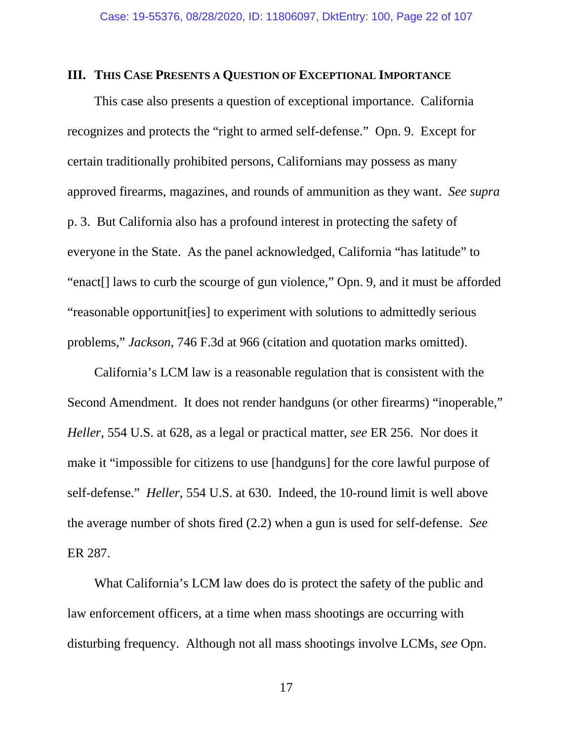#### **III. THIS CASE PRESENTS A QUESTION OF EXCEPTIONAL IMPORTANCE**

This case also presents a question of exceptional importance. California recognizes and protects the "right to armed self-defense." Opn. 9. Except for certain traditionally prohibited persons, Californians may possess as many approved firearms, magazines, and rounds of ammunition as they want. *See supra* p. 3. But California also has a profound interest in protecting the safety of everyone in the State. As the panel acknowledged, California "has latitude" to "enact[] laws to curb the scourge of gun violence," Opn. 9, and it must be afforded "reasonable opportunit[ies] to experiment with solutions to admittedly serious problems," *Jackson*, 746 F.3d at 966 (citation and quotation marks omitted).

California's LCM law is a reasonable regulation that is consistent with the Second Amendment. It does not render handguns (or other firearms) "inoperable," *Heller*, 554 U.S. at 628, as a legal or practical matter, *see* ER 256. Nor does it make it "impossible for citizens to use [handguns] for the core lawful purpose of self-defense." *Heller*, 554 U.S. at 630. Indeed, the 10-round limit is well above the average number of shots fired (2.2) when a gun is used for self-defense. *See*  ER 287.

What California's LCM law does do is protect the safety of the public and law enforcement officers, at a time when mass shootings are occurring with disturbing frequency. Although not all mass shootings involve LCMs, *see* Opn.

17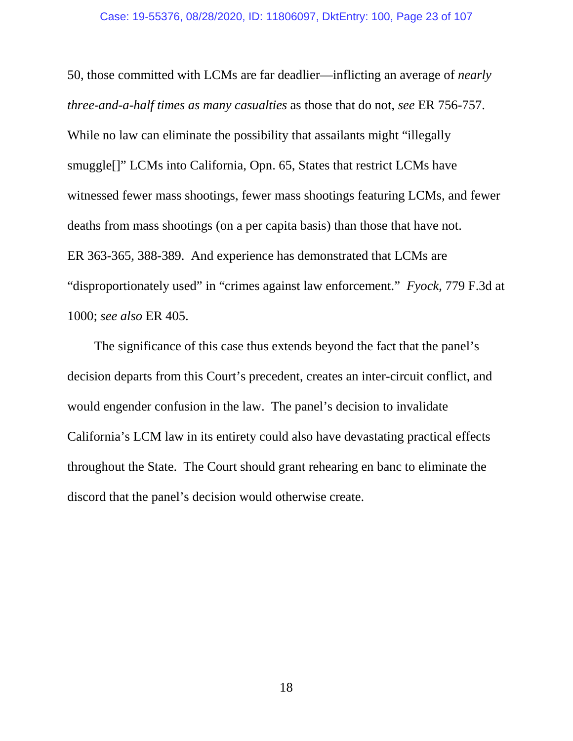50, those committed with LCMs are far deadlier—inflicting an average of *nearly three-and-a-half times as many casualties* as those that do not, *see* ER 756-757. While no law can eliminate the possibility that assailants might "illegally" smuggle[]" LCMs into California, Opn. 65, States that restrict LCMs have witnessed fewer mass shootings, fewer mass shootings featuring LCMs, and fewer deaths from mass shootings (on a per capita basis) than those that have not. ER 363-365, 388-389. And experience has demonstrated that LCMs are "disproportionately used" in "crimes against law enforcement." *Fyock*, 779 F.3d at 1000; *see also* ER 405.

The significance of this case thus extends beyond the fact that the panel's decision departs from this Court's precedent, creates an inter-circuit conflict, and would engender confusion in the law. The panel's decision to invalidate California's LCM law in its entirety could also have devastating practical effects throughout the State. The Court should grant rehearing en banc to eliminate the discord that the panel's decision would otherwise create.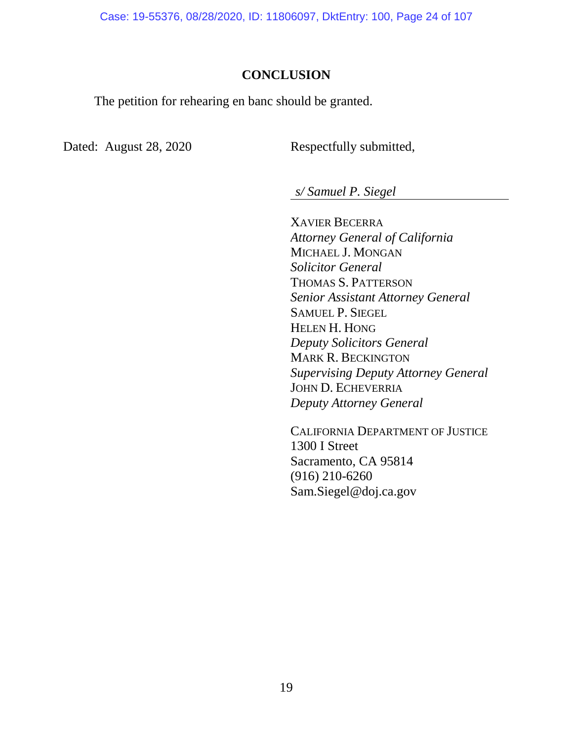Case: 19-55376, 08/28/2020, ID: 11806097, DktEntry: 100, Page 24 of 107

## **CONCLUSION**

The petition for rehearing en banc should be granted.

Dated: August 28, 2020 Respectfully submitted,

*s/ Samuel P. Siegel*

XAVIER BECERRA *Attorney General of California* MICHAEL J. MONGAN *Solicitor General* THOMAS S. PATTERSON *Senior Assistant Attorney General* SAMUEL P. SIEGEL HELEN H. HONG *Deputy Solicitors General* MARK R. BECKINGTON *Supervising Deputy Attorney General* JOHN D. ECHEVERRIA *Deputy Attorney General*

CALIFORNIA DEPARTMENT OF JUSTICE 1300 I Street Sacramento, CA 95814 (916) 210-6260 Sam.Siegel@doj.ca.gov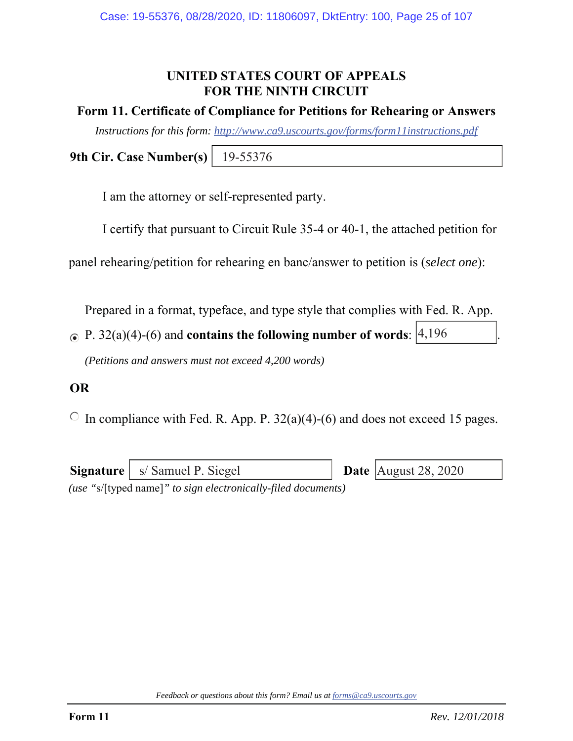## **UNITED STATES COURT OF APPEALS FOR THE NINTH CIRCUIT**

## **Form 11. Certificate of Compliance for Petitions for Rehearing or Answers**

*Instructions for this form: http://www.ca9.uscourts.gov/forms/form11instructions.pdf*

**9th Cir. Case Number(s)** 19-55376

I am the attorney or self-represented party.

I certify that pursuant to Circuit Rule 35-4 or 40-1, the attached petition for

panel rehearing/petition for rehearing en banc/answer to petition is (*select one*):

Prepared in a format, typeface, and type style that complies with Fed. R. App.

P.  $32(a)(4)-(6)$  and **contains the following number of words**:  $\begin{vmatrix} 4 & 196 \\ 4 & 196 \end{vmatrix}$ .

*(Petitions and answers must not exceed 4,200 words)* 

## **OR**

 $\circ$  In compliance with Fed. R. App. P. 32(a)(4)-(6) and does not exceed 15 pages.

**Signature** | s/ Samuel P. Siegel *(use "*s/[typed name]*" to sign electronically-filed documents)* Date  $\vert$  August 28, 2020

*Feedback or questions about this form? Email us at forms@ca9.uscourts.gov*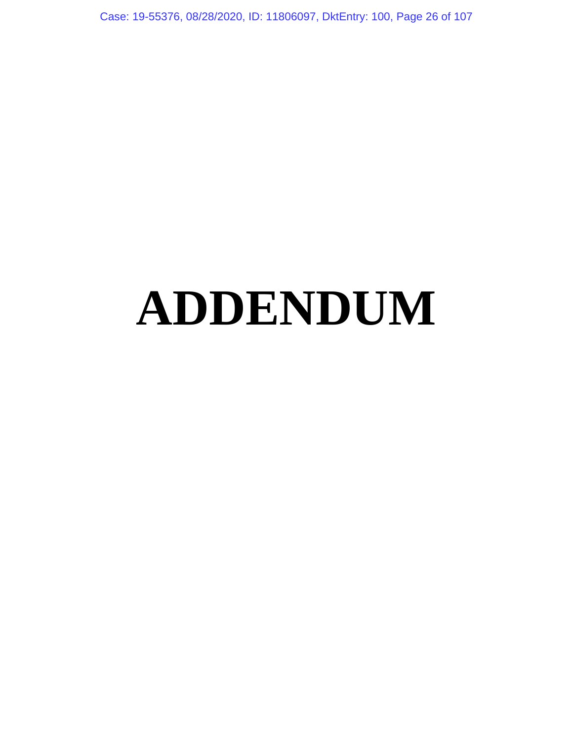Case: 19-55376, 08/28/2020, ID: 11806097, DktEntry: 100, Page 26 of 107

# **ADDENDUM**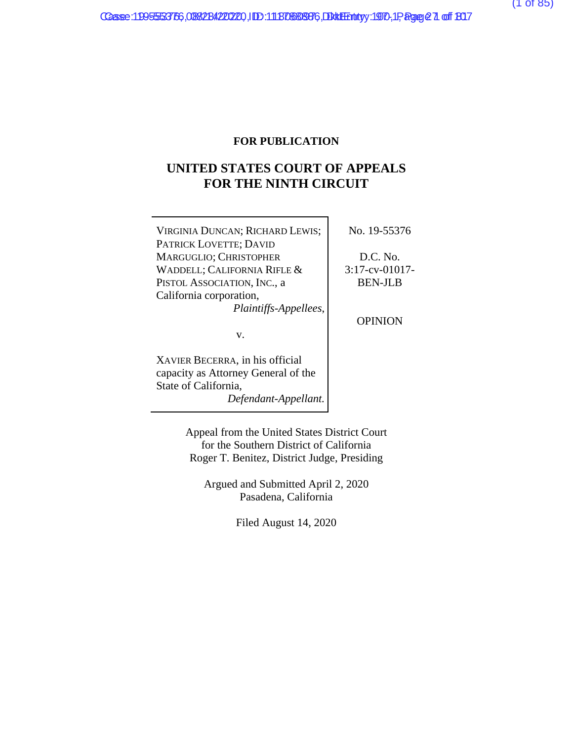#### **FOR PUBLICATION**

## **UNITED STATES COURT OF APPEALS FOR THE NINTH CIRCUIT**

| VIRGINIA DUNCAN; RICHARD LEWIS;     | No. 19-55376      |
|-------------------------------------|-------------------|
| PATRICK LOVETTE; DAVID              |                   |
| MARGUGLIO; CHRISTOPHER              | D.C. No.          |
| WADDELL; CALIFORNIA RIFLE &         | $3:17$ -cv-01017- |
| PISTOL ASSOCIATION, INC., a         | <b>BEN-JLB</b>    |
| California corporation,             |                   |
| Plaintiffs-Appellees,               |                   |
|                                     | <b>OPINION</b>    |
| V.                                  |                   |
| XAVIER BECERRA, in his official     |                   |
| capacity as Attorney General of the |                   |
| State of California,                |                   |
|                                     |                   |

*Defendant-Appellant.* 

Appeal from the United States District Court for the Southern District of California Roger T. Benitez, District Judge, Presiding

Argued and Submitted April 2, 2020 Pasadena, California

Filed August 14, 2020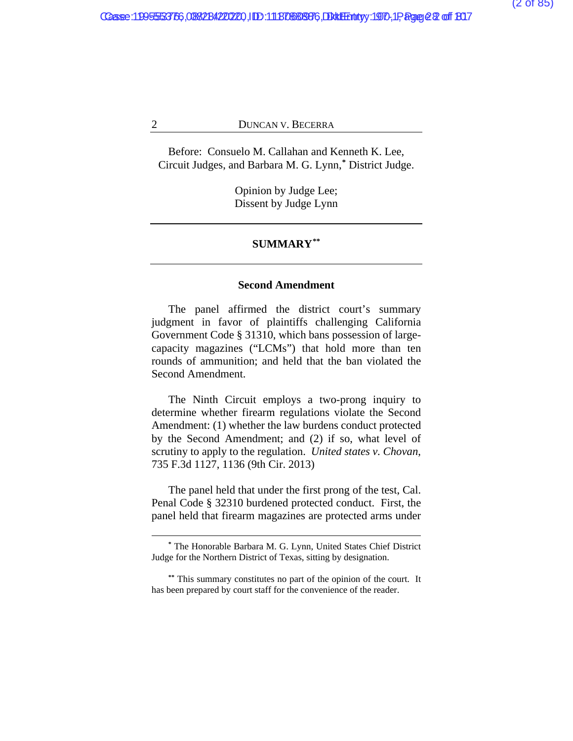Before: Consuelo M. Callahan and Kenneth K. Lee, Circuit Judges, and Barbara M. G. Lynn,**[\\*](#page-106-0)** District Judge.

> Opinion by Judge Lee; Dissent by Judge Lynn

#### **SUMMARY[\\*\\*](#page-106-0)**

#### **Second Amendment**

The panel affirmed the district court's summary judgment in favor of plaintiffs challenging California Government Code § 31310, which bans possession of largecapacity magazines ("LCMs") that hold more than ten rounds of ammunition; and held that the ban violated the Second Amendment.

The Ninth Circuit employs a two-prong inquiry to determine whether firearm regulations violate the Second Amendment: (1) whether the law burdens conduct protected by the Second Amendment; and (2) if so, what level of scrutiny to apply to the regulation. *United states v. Chovan*, 735 F.3d 1127, 1136 (9th Cir. 2013)

The panel held that under the first prong of the test, Cal. Penal Code § 32310 burdened protected conduct. First, the panel held that firearm magazines are protected arms under

**<sup>\*</sup>** The Honorable Barbara M. G. Lynn, United States Chief District Judge for the Northern District of Texas, sitting by designation.

**<sup>\*\*</sup>** This summary constitutes no part of the opinion of the court. It has been prepared by court staff for the convenience of the reader.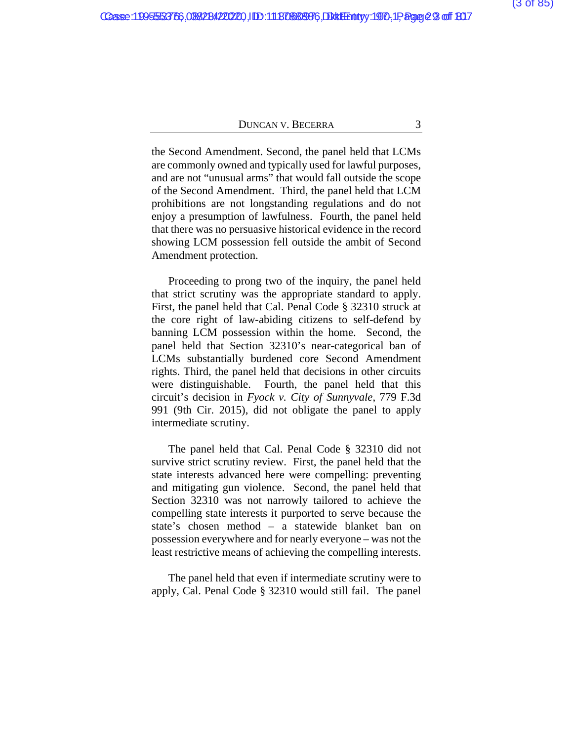the Second Amendment. Second, the panel held that LCMs are commonly owned and typically used for lawful purposes, and are not "unusual arms" that would fall outside the scope of the Second Amendment. Third, the panel held that LCM prohibitions are not longstanding regulations and do not enjoy a presumption of lawfulness. Fourth, the panel held that there was no persuasive historical evidence in the record showing LCM possession fell outside the ambit of Second Amendment protection.

Proceeding to prong two of the inquiry, the panel held that strict scrutiny was the appropriate standard to apply. First, the panel held that Cal. Penal Code § 32310 struck at the core right of law-abiding citizens to self-defend by banning LCM possession within the home. Second, the panel held that Section 32310's near-categorical ban of LCMs substantially burdened core Second Amendment rights. Third, the panel held that decisions in other circuits were distinguishable. Fourth, the panel held that this circuit's decision in *Fyock v. City of Sunnyvale*, 779 F.3d 991 (9th Cir. 2015), did not obligate the panel to apply intermediate scrutiny.

The panel held that Cal. Penal Code § 32310 did not survive strict scrutiny review. First, the panel held that the state interests advanced here were compelling: preventing and mitigating gun violence. Second, the panel held that Section 32310 was not narrowly tailored to achieve the compelling state interests it purported to serve because the state's chosen method – a statewide blanket ban on possession everywhere and for nearly everyone – was not the least restrictive means of achieving the compelling interests.

The panel held that even if intermediate scrutiny were to apply, Cal. Penal Code § 32310 would still fail. The panel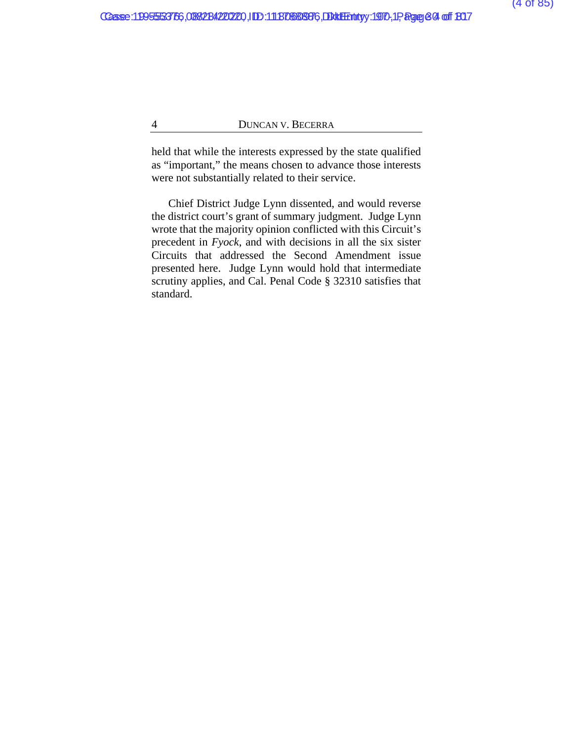held that while the interests expressed by the state qualified as "important," the means chosen to advance those interests were not substantially related to their service.

Chief District Judge Lynn dissented, and would reverse the district court's grant of summary judgment. Judge Lynn wrote that the majority opinion conflicted with this Circuit's precedent in *Fyock*, and with decisions in all the six sister Circuits that addressed the Second Amendment issue presented here. Judge Lynn would hold that intermediate scrutiny applies, and Cal. Penal Code § 32310 satisfies that standard.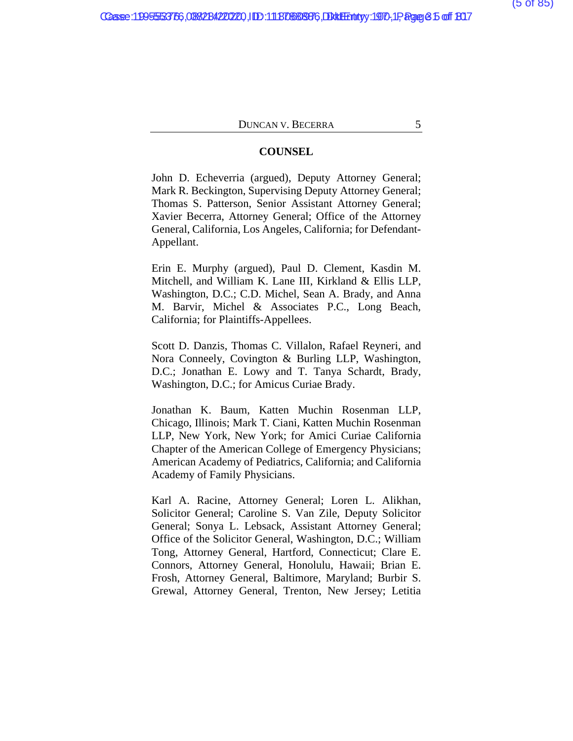#### **COUNSEL**

John D. Echeverria (argued), Deputy Attorney General; Mark R. Beckington, Supervising Deputy Attorney General; Thomas S. Patterson, Senior Assistant Attorney General; Xavier Becerra, Attorney General; Office of the Attorney General, California, Los Angeles, California; for Defendant-Appellant.

Erin E. Murphy (argued), Paul D. Clement, Kasdin M. Mitchell, and William K. Lane III, Kirkland & Ellis LLP, Washington, D.C.; C.D. Michel, Sean A. Brady, and Anna M. Barvir, Michel & Associates P.C., Long Beach, California; for Plaintiffs-Appellees.

Scott D. Danzis, Thomas C. Villalon, Rafael Reyneri, and Nora Conneely, Covington & Burling LLP, Washington, D.C.; Jonathan E. Lowy and T. Tanya Schardt, Brady, Washington, D.C.; for Amicus Curiae Brady.

Jonathan K. Baum, Katten Muchin Rosenman LLP, Chicago, Illinois; Mark T. Ciani, Katten Muchin Rosenman LLP, New York, New York; for Amici Curiae California Chapter of the American College of Emergency Physicians; American Academy of Pediatrics, California; and California Academy of Family Physicians.

Karl A. Racine, Attorney General; Loren L. Alikhan, Solicitor General; Caroline S. Van Zile, Deputy Solicitor General; Sonya L. Lebsack, Assistant Attorney General; Office of the Solicitor General, Washington, D.C.; William Tong, Attorney General, Hartford, Connecticut; Clare E. Connors, Attorney General, Honolulu, Hawaii; Brian E. Frosh, Attorney General, Baltimore, Maryland; Burbir S. Grewal, Attorney General, Trenton, New Jersey; Letitia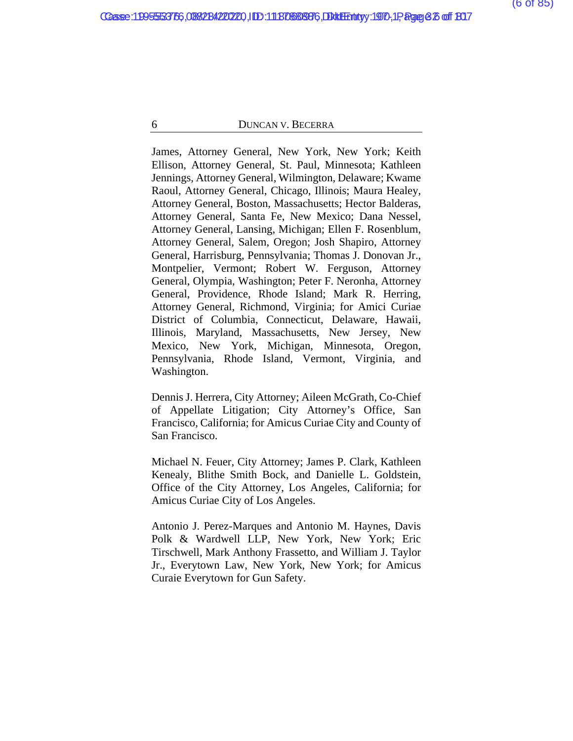James, Attorney General, New York, New York; Keith Ellison, Attorney General, St. Paul, Minnesota; Kathleen Jennings, Attorney General, Wilmington, Delaware; Kwame Raoul, Attorney General, Chicago, Illinois; Maura Healey, Attorney General, Boston, Massachusetts; Hector Balderas, Attorney General, Santa Fe, New Mexico; Dana Nessel, Attorney General, Lansing, Michigan; Ellen F. Rosenblum, Attorney General, Salem, Oregon; Josh Shapiro, Attorney General, Harrisburg, Pennsylvania; Thomas J. Donovan Jr., Montpelier, Vermont; Robert W. Ferguson, Attorney General, Olympia, Washington; Peter F. Neronha, Attorney General, Providence, Rhode Island; Mark R. Herring, Attorney General, Richmond, Virginia; for Amici Curiae District of Columbia, Connecticut, Delaware, Hawaii, Illinois, Maryland, Massachusetts, New Jersey, New Mexico, New York, Michigan, Minnesota, Oregon, Pennsylvania, Rhode Island, Vermont, Virginia, and Washington.

Dennis J. Herrera, City Attorney; Aileen McGrath, Co-Chief of Appellate Litigation; City Attorney's Office, San Francisco, California; for Amicus Curiae City and County of San Francisco.

Michael N. Feuer, City Attorney; James P. Clark, Kathleen Kenealy, Blithe Smith Bock, and Danielle L. Goldstein, Office of the City Attorney, Los Angeles, California; for Amicus Curiae City of Los Angeles.

Antonio J. Perez-Marques and Antonio M. Haynes, Davis Polk & Wardwell LLP, New York, New York; Eric Tirschwell, Mark Anthony Frassetto, and William J. Taylor Jr., Everytown Law, New York, New York; for Amicus Curaie Everytown for Gun Safety.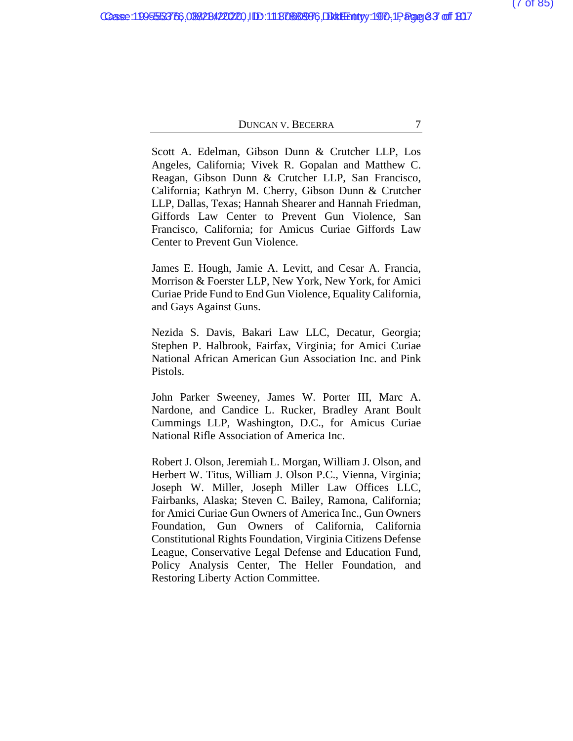Scott A. Edelman, Gibson Dunn & Crutcher LLP, Los Angeles, California; Vivek R. Gopalan and Matthew C. Reagan, Gibson Dunn & Crutcher LLP, San Francisco, California; Kathryn M. Cherry, Gibson Dunn & Crutcher LLP, Dallas, Texas; Hannah Shearer and Hannah Friedman, Giffords Law Center to Prevent Gun Violence, San Francisco, California; for Amicus Curiae Giffords Law Center to Prevent Gun Violence.

James E. Hough, Jamie A. Levitt, and Cesar A. Francia, Morrison & Foerster LLP, New York, New York, for Amici Curiae Pride Fund to End Gun Violence, Equality California, and Gays Against Guns.

Nezida S. Davis, Bakari Law LLC, Decatur, Georgia; Stephen P. Halbrook, Fairfax, Virginia; for Amici Curiae National African American Gun Association Inc. and Pink Pistols.

John Parker Sweeney, James W. Porter III, Marc A. Nardone, and Candice L. Rucker, Bradley Arant Boult Cummings LLP, Washington, D.C., for Amicus Curiae National Rifle Association of America Inc.

Robert J. Olson, Jeremiah L. Morgan, William J. Olson, and Herbert W. Titus, William J. Olson P.C., Vienna, Virginia; Joseph W. Miller, Joseph Miller Law Offices LLC, Fairbanks, Alaska; Steven C. Bailey, Ramona, California; for Amici Curiae Gun Owners of America Inc., Gun Owners Foundation, Gun Owners of California, California Constitutional Rights Foundation, Virginia Citizens Defense League, Conservative Legal Defense and Education Fund, Policy Analysis Center, The Heller Foundation, and Restoring Liberty Action Committee.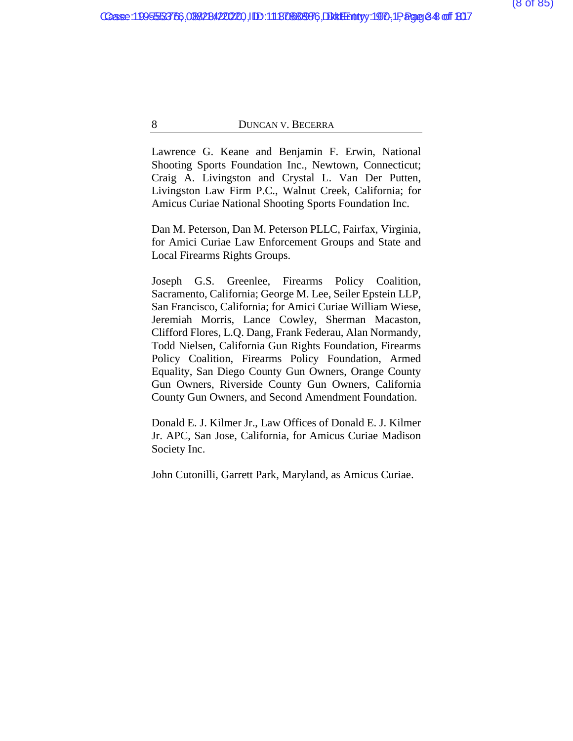Lawrence G. Keane and Benjamin F. Erwin, National Shooting Sports Foundation Inc., Newtown, Connecticut; Craig A. Livingston and Crystal L. Van Der Putten, Livingston Law Firm P.C., Walnut Creek, California; for Amicus Curiae National Shooting Sports Foundation Inc.

Dan M. Peterson, Dan M. Peterson PLLC, Fairfax, Virginia, for Amici Curiae Law Enforcement Groups and State and Local Firearms Rights Groups.

Joseph G.S. Greenlee, Firearms Policy Coalition, Sacramento, California; George M. Lee, Seiler Epstein LLP, San Francisco, California; for Amici Curiae William Wiese, Jeremiah Morris, Lance Cowley, Sherman Macaston, Clifford Flores, L.Q. Dang, Frank Federau, Alan Normandy, Todd Nielsen, California Gun Rights Foundation, Firearms Policy Coalition, Firearms Policy Foundation, Armed Equality, San Diego County Gun Owners, Orange County Gun Owners, Riverside County Gun Owners, California County Gun Owners, and Second Amendment Foundation.

Donald E. J. Kilmer Jr., Law Offices of Donald E. J. Kilmer Jr. APC, San Jose, California, for Amicus Curiae Madison Society Inc.

John Cutonilli, Garrett Park, Maryland, as Amicus Curiae.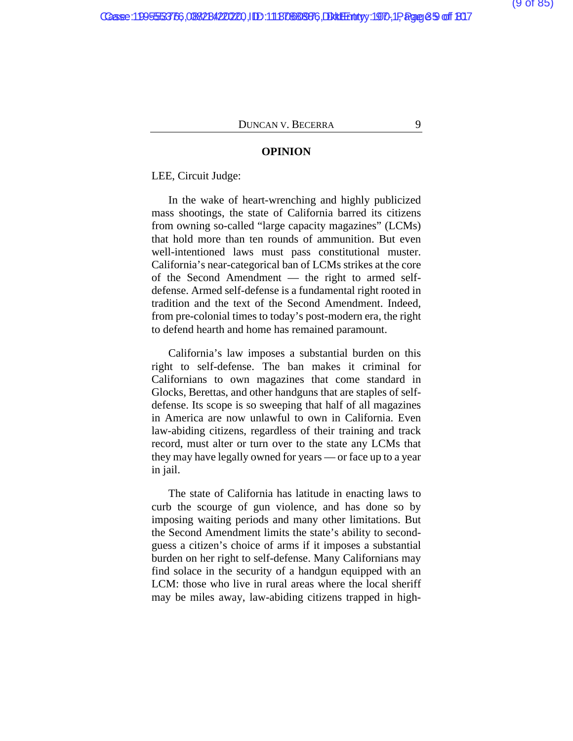#### **OPINION**

LEE, Circuit Judge:

In the wake of heart-wrenching and highly publicized mass shootings, the state of California barred its citizens from owning so-called "large capacity magazines" (LCMs) that hold more than ten rounds of ammunition. But even well-intentioned laws must pass constitutional muster. California's near-categorical ban of LCMs strikes at the core of the Second Amendment — the right to armed selfdefense. Armed self-defense is a fundamental right rooted in tradition and the text of the Second Amendment. Indeed, from pre-colonial times to today's post-modern era, the right to defend hearth and home has remained paramount.

California's law imposes a substantial burden on this right to self-defense. The ban makes it criminal for Californians to own magazines that come standard in Glocks, Berettas, and other handguns that are staples of selfdefense. Its scope is so sweeping that half of all magazines in America are now unlawful to own in California. Even law-abiding citizens, regardless of their training and track record, must alter or turn over to the state any LCMs that they may have legally owned for years — or face up to a year in jail.

The state of California has latitude in enacting laws to curb the scourge of gun violence, and has done so by imposing waiting periods and many other limitations. But the Second Amendment limits the state's ability to secondguess a citizen's choice of arms if it imposes a substantial burden on her right to self-defense. Many Californians may find solace in the security of a handgun equipped with an LCM: those who live in rural areas where the local sheriff may be miles away, law-abiding citizens trapped in high-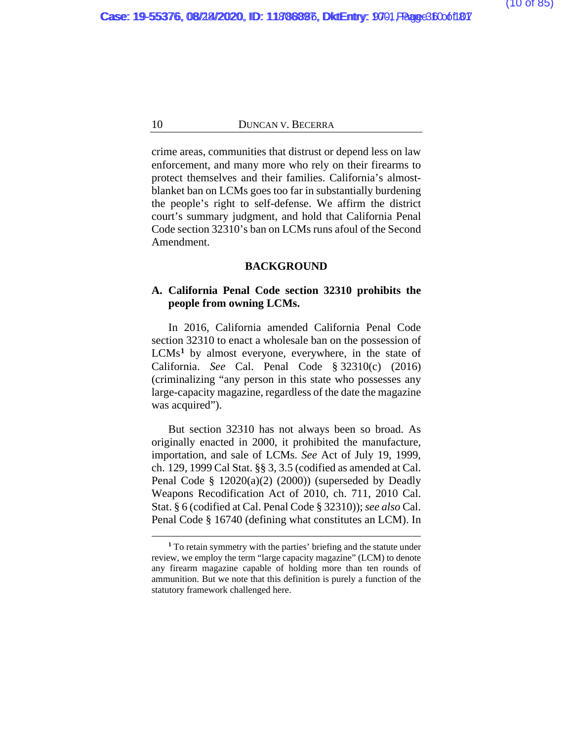crime areas, communities that distrust or depend less on law enforcement, and many more who rely on their firearms to protect themselves and their families. California's almostblanket ban on LCMs goes too far in substantially burdening the people's right to self-defense. We affirm the district court's summary judgment, and hold that California Penal Code section 32310's ban on LCMs runs afoul of the Second Amendment.

#### **BACKGROUND**

#### **A. California Penal Code section 32310 prohibits the people from owning LCMs.**

In 2016, California amended California Penal Code section 32310 to enact a wholesale ban on the possession of LCMs**[1](#page-106-0)** by almost everyone, everywhere, in the state of California. *See* Cal. Penal Code § 32310(c) (2016) (criminalizing "any person in this state who possesses any large-capacity magazine, regardless of the date the magazine was acquired").

But section 32310 has not always been so broad. As originally enacted in 2000, it prohibited the manufacture, importation, and sale of LCMs. *See* Act of July 19, 1999, ch. 129, 1999 Cal Stat. §§ 3, 3.5 (codified as amended at Cal. Penal Code § 12020(a)(2) (2000)) (superseded by Deadly Weapons Recodification Act of 2010, ch. 711, 2010 Cal. Stat. § 6 (codified at Cal. Penal Code § 32310)); *see also* Cal. Penal Code § 16740 (defining what constitutes an LCM). In

**<sup>1</sup>** To retain symmetry with the parties' briefing and the statute under review, we employ the term "large capacity magazine" (LCM) to denote any firearm magazine capable of holding more than ten rounds of ammunition. But we note that this definition is purely a function of the statutory framework challenged here.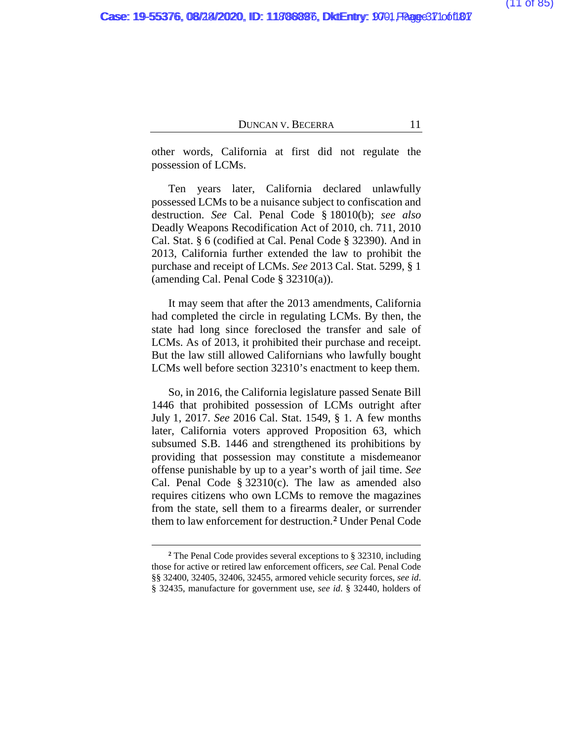other words, California at first did not regulate the possession of LCMs.

Ten years later, California declared unlawfully possessed LCMs to be a nuisance subject to confiscation and destruction. *See* Cal. Penal Code § 18010(b); *see also* Deadly Weapons Recodification Act of 2010, ch. 711, 2010 Cal. Stat. § 6 (codified at Cal. Penal Code § 32390). And in 2013, California further extended the law to prohibit the purchase and receipt of LCMs. *See* 2013 Cal. Stat. 5299, § 1 (amending Cal. Penal Code § 32310(a)).

It may seem that after the 2013 amendments, California had completed the circle in regulating LCMs. By then, the state had long since foreclosed the transfer and sale of LCMs. As of 2013, it prohibited their purchase and receipt. But the law still allowed Californians who lawfully bought LCMs well before section 32310's enactment to keep them.

So, in 2016, the California legislature passed Senate Bill 1446 that prohibited possession of LCMs outright after July 1, 2017. *See* 2016 Cal. Stat. 1549, § 1. A few months later, California voters approved Proposition 63, which subsumed S.B. 1446 and strengthened its prohibitions by providing that possession may constitute a misdemeanor offense punishable by up to a year's worth of jail time. *See*  Cal. Penal Code  $\S 32310(c)$ . The law as amended also requires citizens who own LCMs to remove the magazines from the state, sell them to a firearms dealer, or surrender them to law enforcement for destruction.**[2](#page-106-0)** Under Penal Code

**<sup>2</sup>** The Penal Code provides several exceptions to § 32310, including those for active or retired law enforcement officers, *see* Cal. Penal Code §§ 32400, 32405, 32406, 32455, armored vehicle security forces, *see id*. § 32435, manufacture for government use, *see id*. § 32440, holders of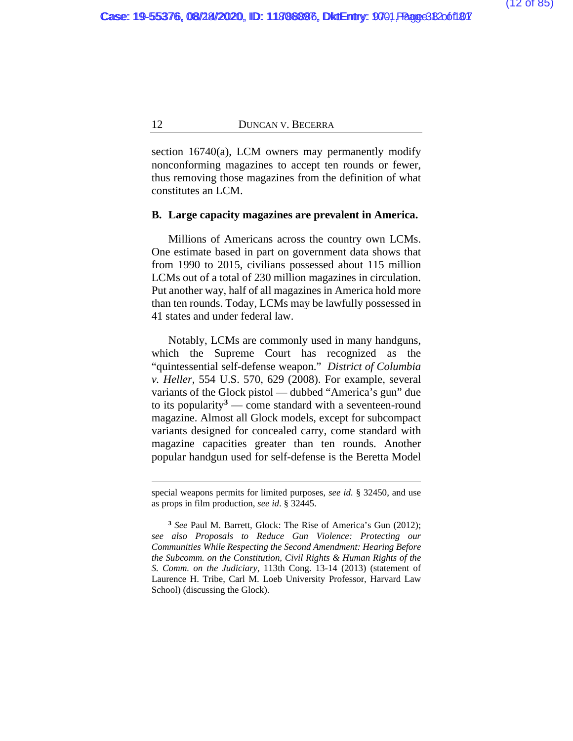section 16740(a), LCM owners may permanently modify nonconforming magazines to accept ten rounds or fewer, thus removing those magazines from the definition of what constitutes an LCM.

### **B. Large capacity magazines are prevalent in America.**

Millions of Americans across the country own LCMs. One estimate based in part on government data shows that from 1990 to 2015, civilians possessed about 115 million LCMs out of a total of 230 million magazines in circulation. Put another way, half of all magazines in America hold more than ten rounds. Today, LCMs may be lawfully possessed in 41 states and under federal law.

Notably, LCMs are commonly used in many handguns, which the Supreme Court has recognized as the "quintessential self-defense weapon." *District of Columbia v. Heller*, 554 U.S. 570, 629 (2008). For example, several variants of the Glock pistol — dubbed "America's gun" due to its popularity**[3](#page-106-0)** — come standard with a seventeen-round magazine. Almost all Glock models, except for subcompact variants designed for concealed carry, come standard with magazine capacities greater than ten rounds. Another popular handgun used for self-defense is the Beretta Model

special weapons permits for limited purposes, *see id*. § 32450, and use as props in film production, *see id*. § 32445.

**<sup>3</sup>** *See* Paul M. Barrett, Glock: The Rise of America's Gun (2012); *see also Proposals to Reduce Gun Violence: Protecting our Communities While Respecting the Second Amendment: Hearing Before the Subcomm. on the Constitution, Civil Rights & Human Rights of the S. Comm. on the Judiciary*, 113th Cong. 13-14 (2013) (statement of Laurence H. Tribe, Carl M. Loeb University Professor, Harvard Law School) (discussing the Glock).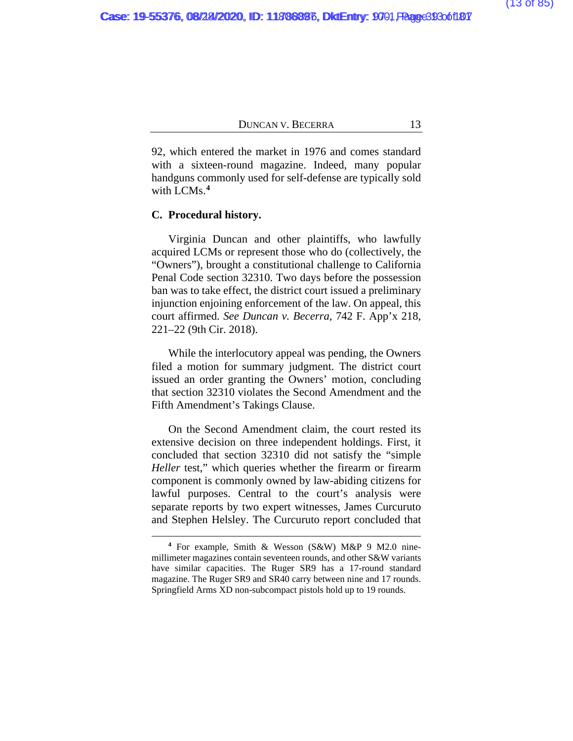92, which entered the market in 1976 and comes standard with a sixteen-round magazine. Indeed, many popular handguns commonly used for self-defense are typically sold with LCMs.**[4](#page-106-0)**

### **C. Procedural history.**

Virginia Duncan and other plaintiffs, who lawfully acquired LCMs or represent those who do (collectively, the "Owners"), brought a constitutional challenge to California Penal Code section 32310. Two days before the possession ban was to take effect, the district court issued a preliminary injunction enjoining enforcement of the law. On appeal, this court affirmed. *See Duncan v. Becerra*, 742 F. App'x 218, 221–22 (9th Cir. 2018).

While the interlocutory appeal was pending, the Owners filed a motion for summary judgment. The district court issued an order granting the Owners' motion, concluding that section 32310 violates the Second Amendment and the Fifth Amendment's Takings Clause.

On the Second Amendment claim, the court rested its extensive decision on three independent holdings. First, it concluded that section 32310 did not satisfy the "simple *Heller* test," which queries whether the firearm or firearm component is commonly owned by law-abiding citizens for lawful purposes. Central to the court's analysis were separate reports by two expert witnesses, James Curcuruto and Stephen Helsley. The Curcuruto report concluded that

**<sup>4</sup>** For example, Smith & Wesson (S&W) M&P 9 M2.0 ninemillimeter magazines contain seventeen rounds, and other S&W variants have similar capacities. The Ruger SR9 has a 17-round standard magazine. The Ruger SR9 and SR40 carry between nine and 17 rounds. Springfield Arms XD non-subcompact pistols hold up to 19 rounds.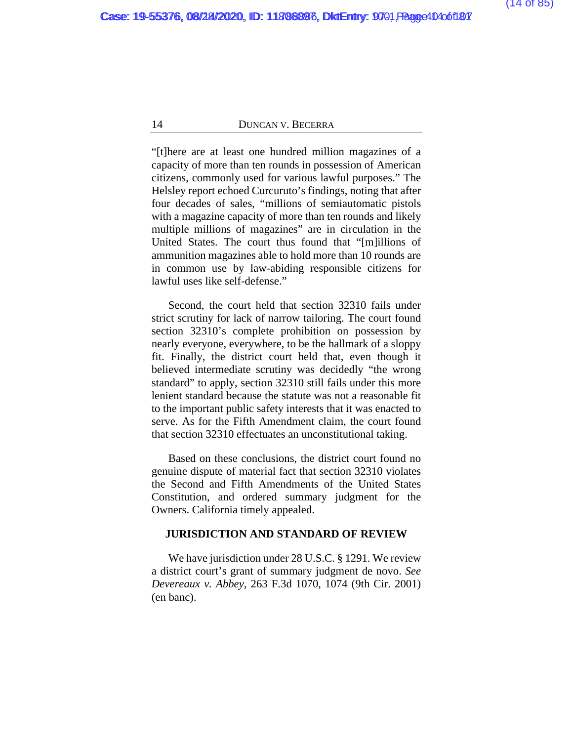"[t]here are at least one hundred million magazines of a capacity of more than ten rounds in possession of American citizens, commonly used for various lawful purposes." The Helsley report echoed Curcuruto's findings, noting that after four decades of sales, "millions of semiautomatic pistols with a magazine capacity of more than ten rounds and likely multiple millions of magazines" are in circulation in the United States. The court thus found that "[m]illions of ammunition magazines able to hold more than 10 rounds are in common use by law-abiding responsible citizens for lawful uses like self-defense."

Second, the court held that section 32310 fails under strict scrutiny for lack of narrow tailoring. The court found section 32310's complete prohibition on possession by nearly everyone, everywhere, to be the hallmark of a sloppy fit. Finally, the district court held that, even though it believed intermediate scrutiny was decidedly "the wrong standard" to apply, section 32310 still fails under this more lenient standard because the statute was not a reasonable fit to the important public safety interests that it was enacted to serve. As for the Fifth Amendment claim, the court found that section 32310 effectuates an unconstitutional taking.

Based on these conclusions, the district court found no genuine dispute of material fact that section 32310 violates the Second and Fifth Amendments of the United States Constitution, and ordered summary judgment for the Owners. California timely appealed.

#### **JURISDICTION AND STANDARD OF REVIEW**

We have jurisdiction under 28 U.S.C. § 1291. We review a district court's grant of summary judgment de novo. *See Devereaux v. Abbey*, 263 F.3d 1070, 1074 (9th Cir. 2001) (en banc).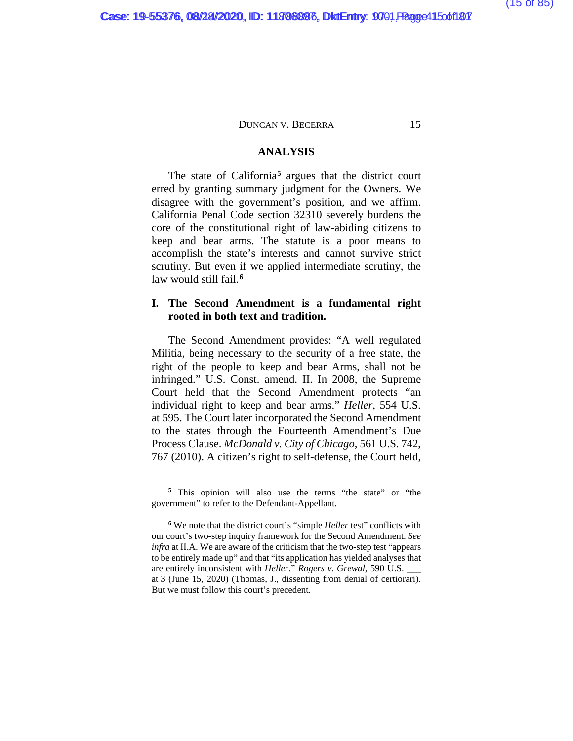## **ANALYSIS**

The state of California**[5](#page-106-0)** argues that the district court erred by granting summary judgment for the Owners. We disagree with the government's position, and we affirm. California Penal Code section 32310 severely burdens the core of the constitutional right of law-abiding citizens to keep and bear arms. The statute is a poor means to accomplish the state's interests and cannot survive strict scrutiny. But even if we applied intermediate scrutiny, the law would still fail.**[6](#page-106-0)**

# **I. The Second Amendment is a fundamental right rooted in both text and tradition.**

The Second Amendment provides: "A well regulated Militia, being necessary to the security of a free state, the right of the people to keep and bear Arms, shall not be infringed." U.S. Const. amend. II. In 2008, the Supreme Court held that the Second Amendment protects "an individual right to keep and bear arms." *Heller*, 554 U.S. at 595. The Court later incorporated the Second Amendment to the states through the Fourteenth Amendment's Due Process Clause. *McDonald v. City of Chicago*, 561 U.S. 742, 767 (2010). A citizen's right to self-defense, the Court held,

**<sup>5</sup>** This opinion will also use the terms "the state" or "the government" to refer to the Defendant-Appellant.

**<sup>6</sup>** We note that the district court's "simple *Heller* test" conflicts with our court's two-step inquiry framework for the Second Amendment. *See infra* at II.A. We are aware of the criticism that the two-step test "appears to be entirely made up" and that "its application has yielded analyses that are entirely inconsistent with *Heller.*" *Rogers v. Grewal*, 590 U.S. \_\_\_ at 3 (June 15, 2020) (Thomas, J., dissenting from denial of certiorari). But we must follow this court's precedent.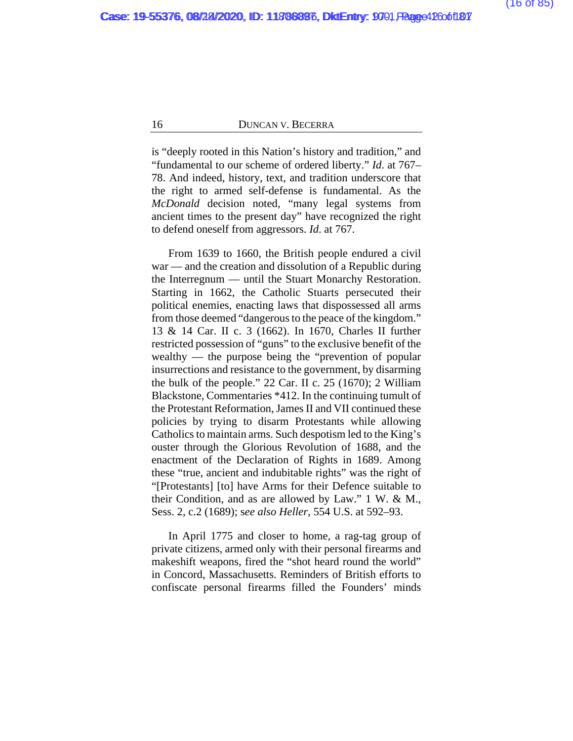is "deeply rooted in this Nation's history and tradition," and "fundamental to our scheme of ordered liberty." *Id*. at 767– 78. And indeed, history, text, and tradition underscore that the right to armed self-defense is fundamental. As the *McDonald* decision noted, "many legal systems from ancient times to the present day" have recognized the right to defend oneself from aggressors. *Id*. at 767.

From 1639 to 1660, the British people endured a civil war — and the creation and dissolution of a Republic during the Interregnum — until the Stuart Monarchy Restoration. Starting in 1662, the Catholic Stuarts persecuted their political enemies, enacting laws that dispossessed all arms from those deemed "dangerous to the peace of the kingdom." 13 & 14 Car. II c. 3 (1662). In 1670, Charles II further restricted possession of "guns" to the exclusive benefit of the wealthy — the purpose being the "prevention of popular insurrections and resistance to the government, by disarming the bulk of the people." 22 Car. II c. 25 (1670); 2 William Blackstone, Commentaries \*412. In the continuing tumult of the Protestant Reformation, James II and VII continued these policies by trying to disarm Protestants while allowing Catholics to maintain arms. Such despotism led to the King's ouster through the Glorious Revolution of 1688, and the enactment of the Declaration of Rights in 1689. Among these "true, ancient and indubitable rights" was the right of "[Protestants] [to] have Arms for their Defence suitable to their Condition, and as are allowed by Law." 1 W. & M., Sess. 2, c.2 (1689); s*ee also Heller*, 554 U.S. at 592–93.

In April 1775 and closer to home, a rag-tag group of private citizens, armed only with their personal firearms and makeshift weapons, fired the "shot heard round the world" in Concord, Massachusetts. Reminders of British efforts to confiscate personal firearms filled the Founders' minds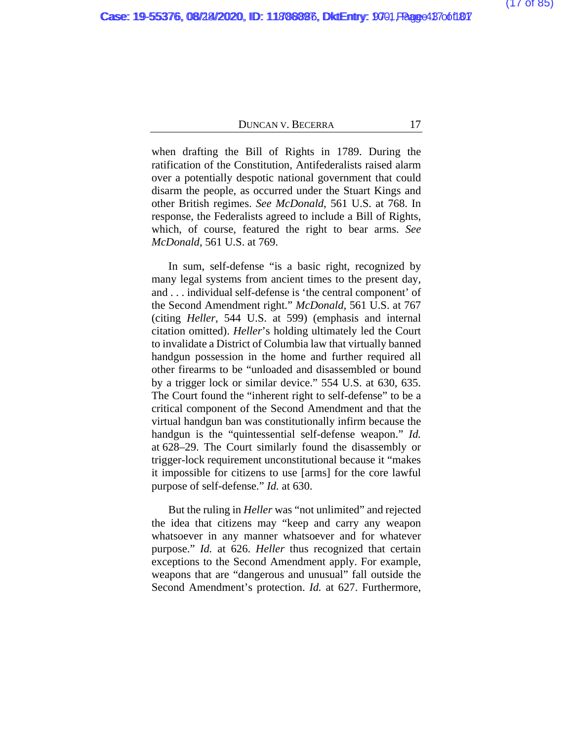when drafting the Bill of Rights in 1789. During the ratification of the Constitution, Antifederalists raised alarm over a potentially despotic national government that could disarm the people, as occurred under the Stuart Kings and other British regimes. *See McDonald*, 561 U.S. at 768. In response, the Federalists agreed to include a Bill of Rights, which, of course, featured the right to bear arms. *See McDonald*, 561 U.S. at 769.

In sum, self-defense "is a basic right, recognized by many legal systems from ancient times to the present day, and . . . individual self-defense is 'the central component' of the Second Amendment right." *McDonald*, 561 U.S. at 767 (citing *Heller*, 544 U.S. at 599) (emphasis and internal citation omitted). *Heller*'s holding ultimately led the Court to invalidate a District of Columbia law that virtually banned handgun possession in the home and further required all other firearms to be "unloaded and disassembled or bound by a trigger lock or similar device." 554 U.S. at 630, 635. The Court found the "inherent right to self-defense" to be a critical component of the Second Amendment and that the virtual handgun ban was constitutionally infirm because the handgun is the "quintessential self-defense weapon." *Id.* at 628–29. The Court similarly found the disassembly or trigger-lock requirement unconstitutional because it "makes it impossible for citizens to use [arms] for the core lawful purpose of self-defense." *Id.* at 630.

But the ruling in *Heller* was "not unlimited" and rejected the idea that citizens may "keep and carry any weapon whatsoever in any manner whatsoever and for whatever purpose." *Id.* at 626. *Heller* thus recognized that certain exceptions to the Second Amendment apply. For example, weapons that are "dangerous and unusual" fall outside the Second Amendment's protection. *Id.* at 627. Furthermore,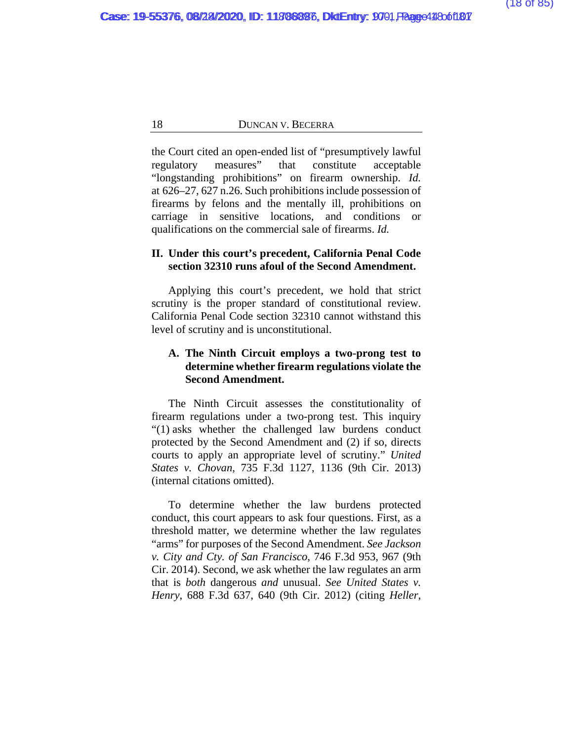the Court cited an open-ended list of "presumptively lawful regulatory measures" that constitute acceptable "longstanding prohibitions" on firearm ownership. *Id.* at 626–27, 627 n.26. Such prohibitions include possession of firearms by felons and the mentally ill, prohibitions on carriage in sensitive locations, and conditions or qualifications on the commercial sale of firearms. *Id.*

# **II. Under this court's precedent, California Penal Code section 32310 runs afoul of the Second Amendment.**

Applying this court's precedent, we hold that strict scrutiny is the proper standard of constitutional review. California Penal Code section 32310 cannot withstand this level of scrutiny and is unconstitutional.

# **A. The Ninth Circuit employs a two-prong test to determine whether firearm regulations violate the Second Amendment.**

The Ninth Circuit assesses the constitutionality of firearm regulations under a two-prong test. This inquiry "(1) asks whether the challenged law burdens conduct protected by the Second Amendment and (2) if so, directs courts to apply an appropriate level of scrutiny." *United States v. Chovan*, 735 F.3d 1127, 1136 (9th Cir. 2013) (internal citations omitted).

To determine whether the law burdens protected conduct, this court appears to ask four questions. First, as a threshold matter, we determine whether the law regulates "arms" for purposes of the Second Amendment. *See Jackson v. City and Cty. of San Francisco*, 746 F.3d 953, 967 (9th Cir. 2014). Second, we ask whether the law regulates an arm that is *both* dangerous *and* unusual. *See United States v. Henry*, 688 F.3d 637, 640 (9th Cir. 2012) (citing *Heller*,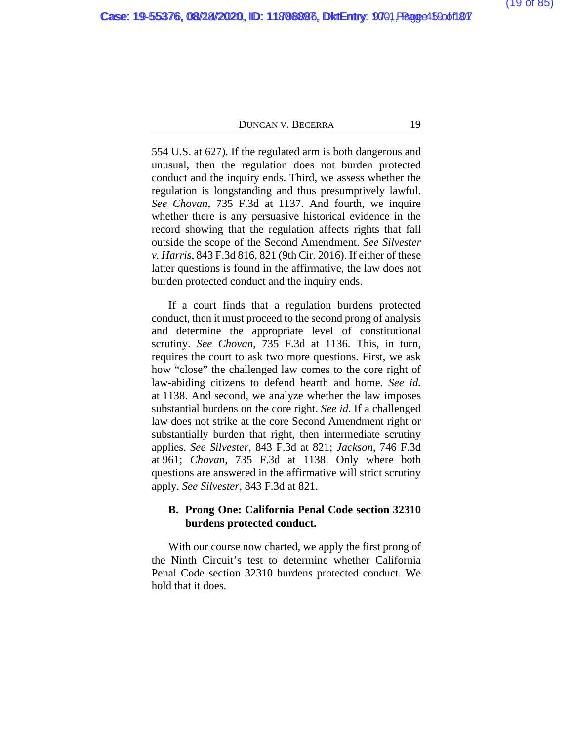554 U.S. at 627). If the regulated arm is both dangerous and unusual, then the regulation does not burden protected conduct and the inquiry ends. Third, we assess whether the regulation is longstanding and thus presumptively lawful. *See Chovan*, 735 F.3d at 1137. And fourth, we inquire whether there is any persuasive historical evidence in the record showing that the regulation affects rights that fall outside the scope of the Second Amendment. *See Silvester v. Harris*, 843 F.3d 816, 821 (9th Cir. 2016). If either of these latter questions is found in the affirmative, the law does not burden protected conduct and the inquiry ends.

If a court finds that a regulation burdens protected conduct, then it must proceed to the second prong of analysis and determine the appropriate level of constitutional scrutiny. *See Chovan*, 735 F.3d at 1136. This, in turn, requires the court to ask two more questions. First, we ask how "close" the challenged law comes to the core right of law-abiding citizens to defend hearth and home. *See id.* at 1138. And second, we analyze whether the law imposes substantial burdens on the core right. *See id*. If a challenged law does not strike at the core Second Amendment right or substantially burden that right, then intermediate scrutiny applies. *See Silvester*, 843 F.3d at 821; *Jackson*, 746 F.3d at 961; *Chovan*, 735 F.3d at 1138. Only where both questions are answered in the affirmative will strict scrutiny apply. *See Silvester*, 843 F.3d at 821.

# **B. Prong One: California Penal Code section 32310 burdens protected conduct.**

With our course now charted, we apply the first prong of the Ninth Circuit's test to determine whether California Penal Code section 32310 burdens protected conduct. We hold that it does.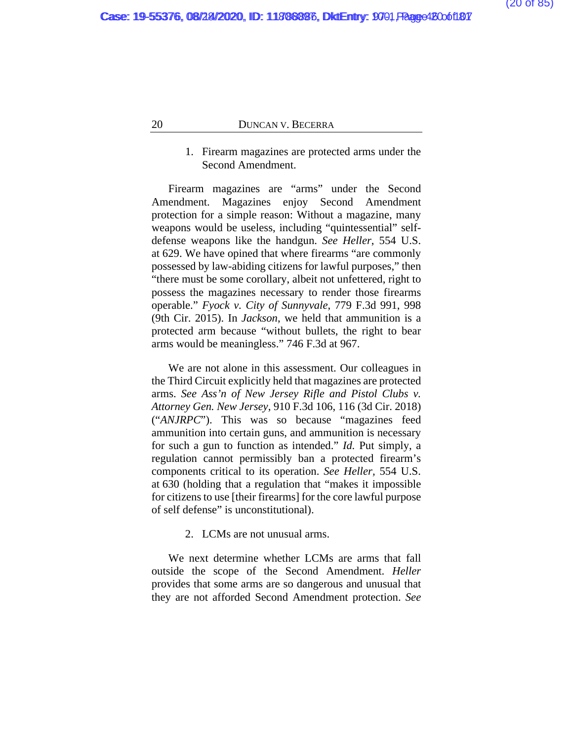# 1. Firearm magazines are protected arms under the Second Amendment.

Firearm magazines are "arms" under the Second Amendment. Magazines enjoy Second Amendment protection for a simple reason: Without a magazine, many weapons would be useless, including "quintessential" selfdefense weapons like the handgun. *See Heller*, 554 U.S. at 629. We have opined that where firearms "are commonly possessed by law-abiding citizens for lawful purposes," then "there must be some corollary, albeit not unfettered, right to possess the magazines necessary to render those firearms operable." *Fyock v. City of Sunnyvale*, 779 F.3d 991, 998 (9th Cir. 2015). In *Jackson*, we held that ammunition is a protected arm because "without bullets, the right to bear arms would be meaningless." 746 F.3d at 967.

We are not alone in this assessment. Our colleagues in the Third Circuit explicitly held that magazines are protected arms. *See Ass'n of New Jersey Rifle and Pistol Clubs v. Attorney Gen. New Jersey*, 910 F.3d 106, 116 (3d Cir. 2018) ("*ANJRPC*"). This was so because "magazines feed ammunition into certain guns, and ammunition is necessary for such a gun to function as intended." *Id.* Put simply, a regulation cannot permissibly ban a protected firearm's components critical to its operation. *See Heller,* 554 U.S. at 630 (holding that a regulation that "makes it impossible for citizens to use [their firearms] for the core lawful purpose of self defense" is unconstitutional).

### 2. LCMs are not unusual arms.

We next determine whether LCMs are arms that fall outside the scope of the Second Amendment. *Heller* provides that some arms are so dangerous and unusual that they are not afforded Second Amendment protection. *See*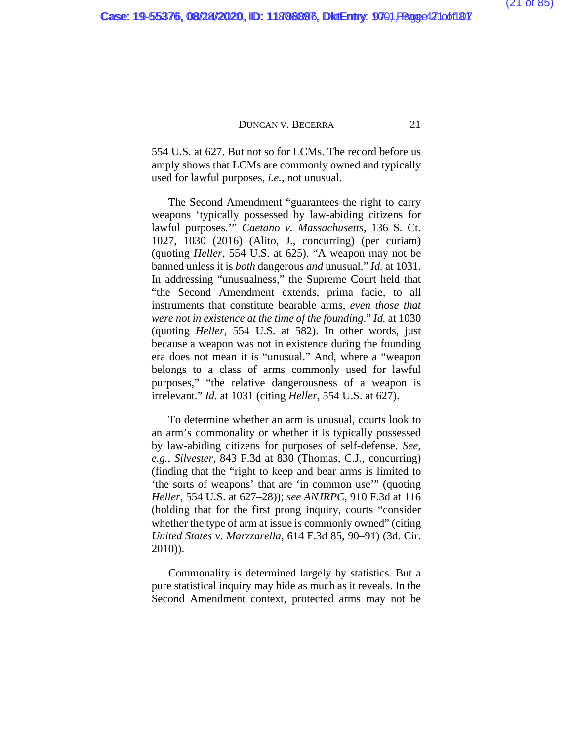554 U.S. at 627. But not so for LCMs. The record before us amply shows that LCMs are commonly owned and typically used for lawful purposes, *i.e.*, not unusual.

The Second Amendment "guarantees the right to carry weapons 'typically possessed by law-abiding citizens for lawful purposes.'" *Caetano v. Massachusetts*, 136 S. Ct. 1027, 1030 (2016) (Alito, J., concurring) (per curiam) (quoting *Heller*, 554 U.S. at 625). "A weapon may not be banned unless it is *both* dangerous *and* unusual." *Id.* at 1031. In addressing "unusualness," the Supreme Court held that "the Second Amendment extends, prima facie, to all instruments that constitute bearable arms, *even those that were not in existence at the time of the founding*." *Id.* at 1030 (quoting *Heller*, 554 U.S. at 582). In other words, just because a weapon was not in existence during the founding era does not mean it is "unusual." And, where a "weapon belongs to a class of arms commonly used for lawful purposes," "the relative dangerousness of a weapon is irrelevant." *Id.* at 1031 (citing *Heller*, 554 U.S. at 627).

To determine whether an arm is unusual, courts look to an arm's commonality or whether it is typically possessed by law-abiding citizens for purposes of self-defense. *See, e.g.*, *Silvester*, 843 F.3d at 830 (Thomas, C.J., concurring) (finding that the "right to keep and bear arms is limited to 'the sorts of weapons' that are 'in common use'" (quoting *Heller*, 554 U.S. at 627–28)); *see ANJRPC*, 910 F.3d at 116 (holding that for the first prong inquiry, courts "consider whether the type of arm at issue is commonly owned" (citing *United States v. Marzzarella*, 614 F.3d 85, 90–91) (3d. Cir. 2010)).

Commonality is determined largely by statistics. But a pure statistical inquiry may hide as much as it reveals. In the Second Amendment context, protected arms may not be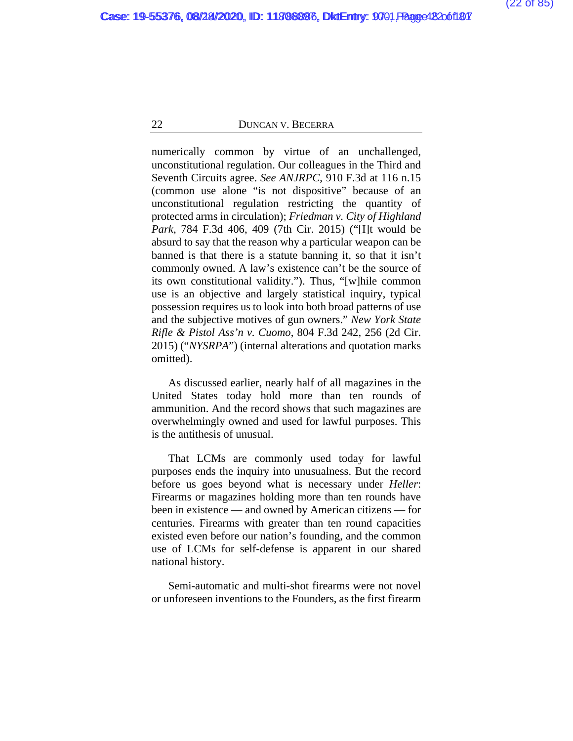numerically common by virtue of an unchallenged, unconstitutional regulation. Our colleagues in the Third and Seventh Circuits agree. *See ANJRPC*, 910 F.3d at 116 n.15 (common use alone "is not dispositive" because of an unconstitutional regulation restricting the quantity of protected arms in circulation); *Friedman v. City of Highland Park*, 784 F.3d 406, 409 (7th Cir. 2015) ("[I]t would be absurd to say that the reason why a particular weapon can be banned is that there is a statute banning it, so that it isn't commonly owned. A law's existence can't be the source of its own constitutional validity."). Thus, "[w]hile common use is an objective and largely statistical inquiry, typical possession requires us to look into both broad patterns of use and the subjective motives of gun owners." *New York State Rifle & Pistol Ass'n v. Cuomo*, 804 F.3d 242, 256 (2d Cir. 2015) ("*NYSRPA*") (internal alterations and quotation marks omitted).

As discussed earlier, nearly half of all magazines in the United States today hold more than ten rounds of ammunition. And the record shows that such magazines are overwhelmingly owned and used for lawful purposes. This is the antithesis of unusual.

That LCMs are commonly used today for lawful purposes ends the inquiry into unusualness. But the record before us goes beyond what is necessary under *Heller*: Firearms or magazines holding more than ten rounds have been in existence — and owned by American citizens — for centuries. Firearms with greater than ten round capacities existed even before our nation's founding, and the common use of LCMs for self-defense is apparent in our shared national history.

Semi-automatic and multi-shot firearms were not novel or unforeseen inventions to the Founders, as the first firearm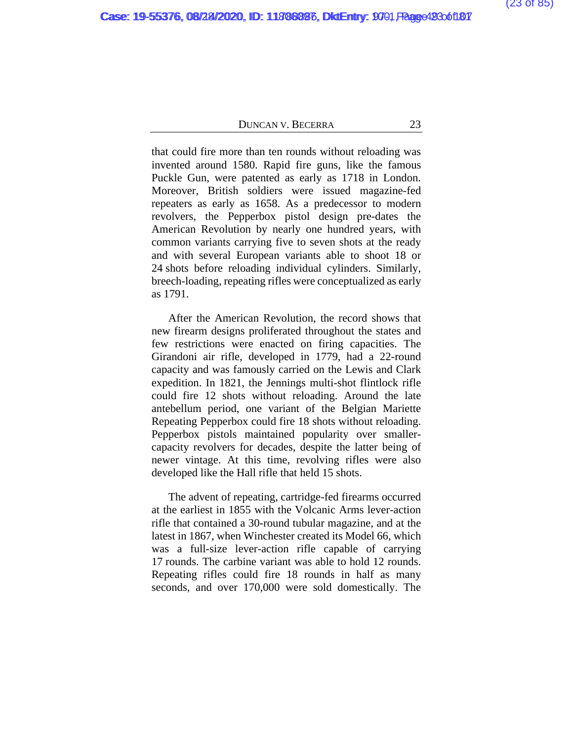that could fire more than ten rounds without reloading was invented around 1580. Rapid fire guns, like the famous Puckle Gun, were patented as early as 1718 in London. Moreover, British soldiers were issued magazine-fed repeaters as early as 1658. As a predecessor to modern revolvers, the Pepperbox pistol design pre-dates the American Revolution by nearly one hundred years, with common variants carrying five to seven shots at the ready and with several European variants able to shoot 18 or 24 shots before reloading individual cylinders. Similarly, breech-loading, repeating rifles were conceptualized as early as 1791.

After the American Revolution, the record shows that new firearm designs proliferated throughout the states and few restrictions were enacted on firing capacities. The Girandoni air rifle, developed in 1779, had a 22-round capacity and was famously carried on the Lewis and Clark expedition. In 1821, the Jennings multi-shot flintlock rifle could fire 12 shots without reloading. Around the late antebellum period, one variant of the Belgian Mariette Repeating Pepperbox could fire 18 shots without reloading. Pepperbox pistols maintained popularity over smallercapacity revolvers for decades, despite the latter being of newer vintage. At this time, revolving rifles were also developed like the Hall rifle that held 15 shots.

The advent of repeating, cartridge-fed firearms occurred at the earliest in 1855 with the Volcanic Arms lever-action rifle that contained a 30-round tubular magazine, and at the latest in 1867, when Winchester created its Model 66, which was a full-size lever-action rifle capable of carrying 17 rounds. The carbine variant was able to hold 12 rounds. Repeating rifles could fire 18 rounds in half as many seconds, and over 170,000 were sold domestically. The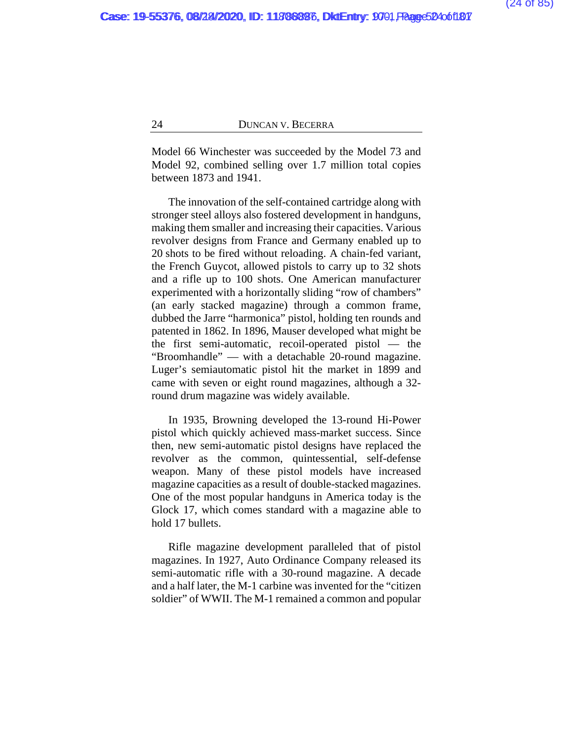Model 66 Winchester was succeeded by the Model 73 and Model 92, combined selling over 1.7 million total copies between 1873 and 1941.

The innovation of the self-contained cartridge along with stronger steel alloys also fostered development in handguns, making them smaller and increasing their capacities. Various revolver designs from France and Germany enabled up to 20 shots to be fired without reloading. A chain-fed variant, the French Guycot, allowed pistols to carry up to 32 shots and a rifle up to 100 shots. One American manufacturer experimented with a horizontally sliding "row of chambers" (an early stacked magazine) through a common frame, dubbed the Jarre "harmonica" pistol, holding ten rounds and patented in 1862. In 1896, Mauser developed what might be the first semi-automatic, recoil-operated pistol — the "Broomhandle" — with a detachable 20-round magazine. Luger's semiautomatic pistol hit the market in 1899 and came with seven or eight round magazines, although a 32 round drum magazine was widely available.

In 1935, Browning developed the 13-round Hi-Power pistol which quickly achieved mass-market success. Since then, new semi-automatic pistol designs have replaced the revolver as the common, quintessential, self-defense weapon. Many of these pistol models have increased magazine capacities as a result of double-stacked magazines. One of the most popular handguns in America today is the Glock 17, which comes standard with a magazine able to hold 17 bullets.

Rifle magazine development paralleled that of pistol magazines. In 1927, Auto Ordinance Company released its semi-automatic rifle with a 30-round magazine. A decade and a half later, the M-1 carbine was invented for the "citizen soldier" of WWII. The M-1 remained a common and popular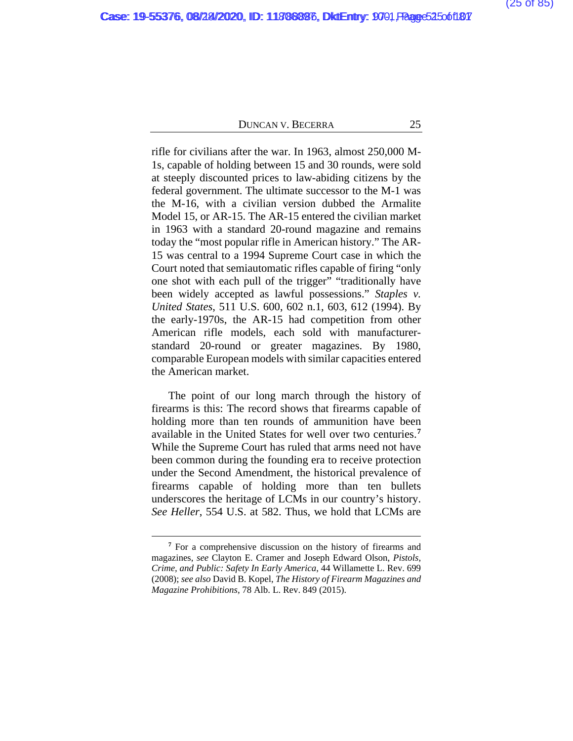rifle for civilians after the war. In 1963, almost 250,000 M-1s, capable of holding between 15 and 30 rounds, were sold at steeply discounted prices to law-abiding citizens by the federal government. The ultimate successor to the M-1 was the M-16, with a civilian version dubbed the Armalite Model 15, or AR-15. The AR-15 entered the civilian market in 1963 with a standard 20-round magazine and remains today the "most popular rifle in American history." The AR-15 was central to a 1994 Supreme Court case in which the Court noted that semiautomatic rifles capable of firing "only one shot with each pull of the trigger" "traditionally have been widely accepted as lawful possessions." *Staples v. United States*, 511 U.S. 600, 602 n.1, 603, 612 (1994). By the early-1970s, the AR-15 had competition from other American rifle models, each sold with manufacturerstandard 20-round or greater magazines. By 1980, comparable European models with similar capacities entered the American market.

The point of our long march through the history of firearms is this: The record shows that firearms capable of holding more than ten rounds of ammunition have been available in the United States for well over two centuries.**[7](#page-106-0)** While the Supreme Court has ruled that arms need not have been common during the founding era to receive protection under the Second Amendment, the historical prevalence of firearms capable of holding more than ten bullets underscores the heritage of LCMs in our country's history. *See Heller*, 554 U.S. at 582. Thus, we hold that LCMs are

**<sup>7</sup>** For a comprehensive discussion on the history of firearms and magazines, *see* Clayton E. Cramer and Joseph Edward Olson, *Pistols, Crime, and Public: Safety In Early America*, 44 Willamette L. Rev. 699 (2008); *see also* David B. Kopel, *The History of Firearm Magazines and Magazine Prohibitions*, 78 Alb. L. Rev. 849 (2015).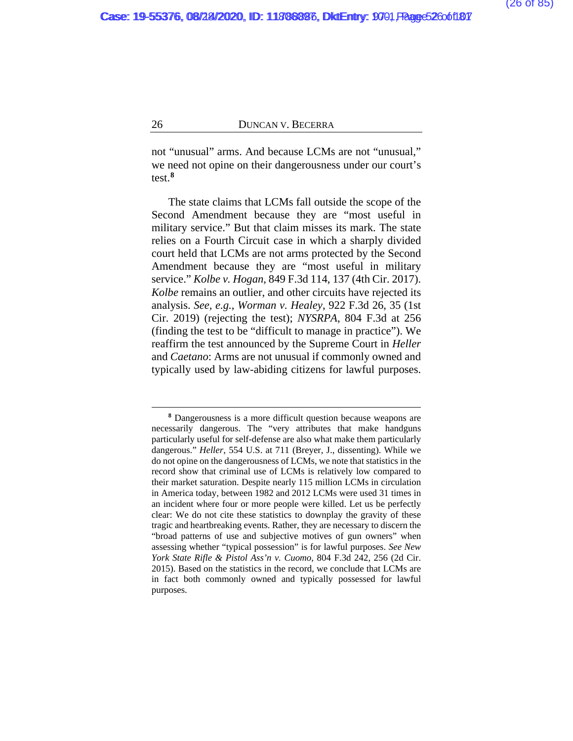not "unusual" arms. And because LCMs are not "unusual," we need not opine on their dangerousness under our court's test.**[8](#page-106-0)**

The state claims that LCMs fall outside the scope of the Second Amendment because they are "most useful in military service." But that claim misses its mark. The state relies on a Fourth Circuit case in which a sharply divided court held that LCMs are not arms protected by the Second Amendment because they are "most useful in military service." *Kolbe v. Hogan*, 849 F.3d 114, 137 (4th Cir. 2017). *Kolbe* remains an outlier, and other circuits have rejected its analysis. *See, e.g.*, *Worman v. Healey*, 922 F.3d 26, 35 (1st Cir. 2019) (rejecting the test); *NYSRPA*, 804 F.3d at 256 (finding the test to be "difficult to manage in practice"). We reaffirm the test announced by the Supreme Court in *Heller* and *Caetano*: Arms are not unusual if commonly owned and typically used by law-abiding citizens for lawful purposes.

**<sup>8</sup>** Dangerousness is a more difficult question because weapons are necessarily dangerous. The "very attributes that make handguns particularly useful for self-defense are also what make them particularly dangerous." *Heller*, 554 U.S. at 711 (Breyer, J., dissenting). While we do not opine on the dangerousness of LCMs, we note that statistics in the record show that criminal use of LCMs is relatively low compared to their market saturation. Despite nearly 115 million LCMs in circulation in America today, between 1982 and 2012 LCMs were used 31 times in an incident where four or more people were killed. Let us be perfectly clear: We do not cite these statistics to downplay the gravity of these tragic and heartbreaking events. Rather, they are necessary to discern the "broad patterns of use and subjective motives of gun owners" when assessing whether "typical possession" is for lawful purposes. *See New York State Rifle & Pistol Ass'n v. Cuomo*, 804 F.3d 242, 256 (2d Cir. 2015). Based on the statistics in the record, we conclude that LCMs are in fact both commonly owned and typically possessed for lawful purposes.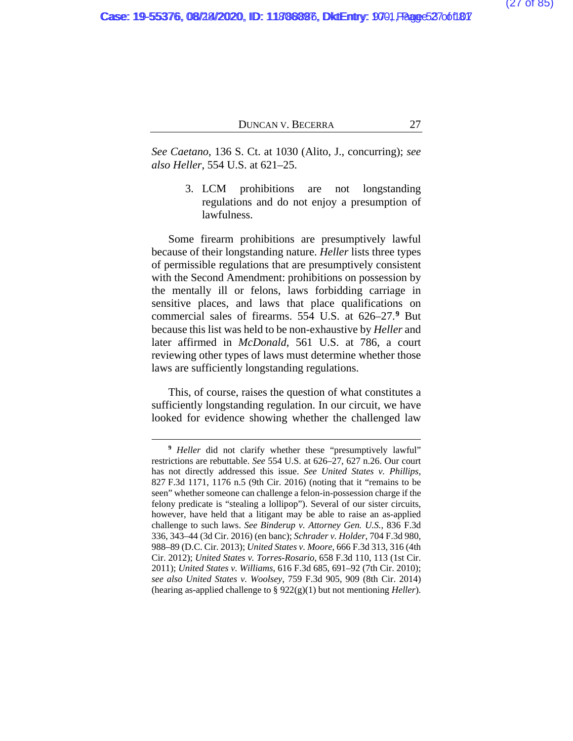*See Caetano*, 136 S. Ct. at 1030 (Alito, J., concurring); *see also Heller*, 554 U.S. at 621–25.

> 3. LCM prohibitions are not longstanding regulations and do not enjoy a presumption of lawfulness.

Some firearm prohibitions are presumptively lawful because of their longstanding nature. *Heller* lists three types of permissible regulations that are presumptively consistent with the Second Amendment: prohibitions on possession by the mentally ill or felons, laws forbidding carriage in sensitive places, and laws that place qualifications on commercial sales of firearms. 554 U.S. at 626–27.**[9](#page-106-0)** But because this list was held to be non-exhaustive by *Heller* and later affirmed in *McDonald*, 561 U.S. at 786, a court reviewing other types of laws must determine whether those laws are sufficiently longstanding regulations.

This, of course, raises the question of what constitutes a sufficiently longstanding regulation. In our circuit, we have looked for evidence showing whether the challenged law

**<sup>9</sup>** *Heller* did not clarify whether these "presumptively lawful" restrictions are rebuttable. *See* 554 U.S. at 626–27, 627 n.26. Our court has not directly addressed this issue. *See United States v. Phillips*, 827 F.3d 1171, 1176 n.5 (9th Cir. 2016) (noting that it "remains to be seen" whether someone can challenge a felon-in-possession charge if the felony predicate is "stealing a lollipop"). Several of our sister circuits, however, have held that a litigant may be able to raise an as-applied challenge to such laws. *See Binderup v. Attorney Gen. U.S.*, 836 F.3d 336, 343–44 (3d Cir. 2016) (en banc); *Schrader v. Holder*, 704 F.3d 980, 988–89 (D.C. Cir. 2013); *United States v. Moore*, 666 F.3d 313, 316 (4th Cir. 2012); *United States v. Torres-Rosario*, 658 F.3d 110, 113 (1st Cir. 2011); *United States v. Williams*, 616 F.3d 685, 691–92 (7th Cir. 2010); *see also United States v. Woolsey*, 759 F.3d 905, 909 (8th Cir. 2014) (hearing as-applied challenge to § 922(g)(1) but not mentioning *Heller*).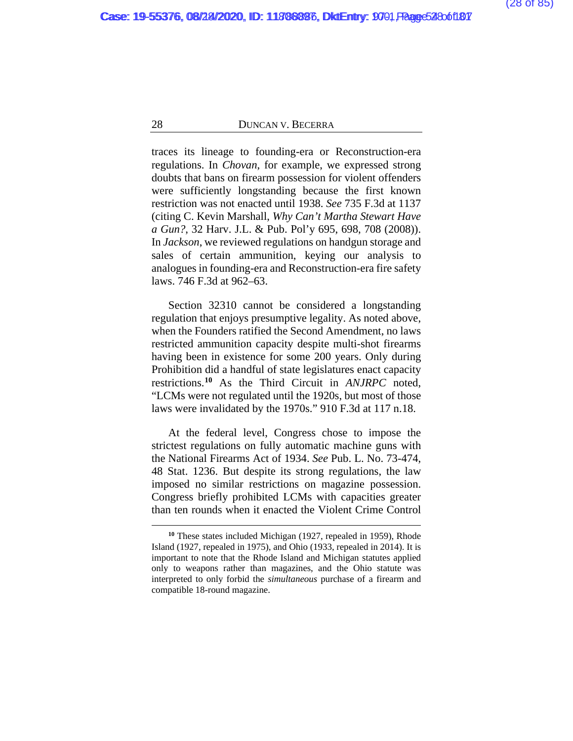traces its lineage to founding-era or Reconstruction-era regulations. In *Chovan*, for example, we expressed strong doubts that bans on firearm possession for violent offenders were sufficiently longstanding because the first known restriction was not enacted until 1938. *See* 735 F.3d at 1137 (citing C. Kevin Marshall, *Why Can't Martha Stewart Have a Gun?*, 32 Harv. J.L. & Pub. Pol'y 695, 698, 708 (2008)). In *Jackson*, we reviewed regulations on handgun storage and sales of certain ammunition, keying our analysis to analogues in founding-era and Reconstruction-era fire safety laws. 746 F.3d at 962–63.

Section 32310 cannot be considered a longstanding regulation that enjoys presumptive legality. As noted above, when the Founders ratified the Second Amendment, no laws restricted ammunition capacity despite multi-shot firearms having been in existence for some 200 years. Only during Prohibition did a handful of state legislatures enact capacity restrictions.**[10](#page-106-0)** As the Third Circuit in *ANJRPC* noted, "LCMs were not regulated until the 1920s, but most of those laws were invalidated by the 1970s." 910 F.3d at 117 n.18.

At the federal level, Congress chose to impose the strictest regulations on fully automatic machine guns with the National Firearms Act of 1934. *See* Pub. L. No. 73-474, 48 Stat. 1236. But despite its strong regulations, the law imposed no similar restrictions on magazine possession. Congress briefly prohibited LCMs with capacities greater than ten rounds when it enacted the Violent Crime Control

**<sup>10</sup>** These states included Michigan (1927, repealed in 1959), Rhode Island (1927, repealed in 1975), and Ohio (1933, repealed in 2014). It is important to note that the Rhode Island and Michigan statutes applied only to weapons rather than magazines, and the Ohio statute was interpreted to only forbid the *simultaneous* purchase of a firearm and compatible 18-round magazine.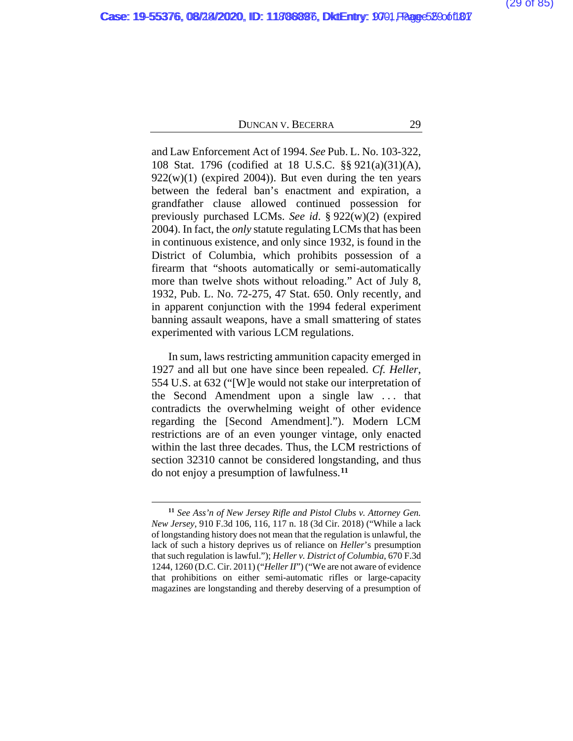and Law Enforcement Act of 1994. *See* Pub. L. No. 103-322, 108 Stat. 1796 (codified at 18 U.S.C. §§ 921(a)(31)(A),  $922(w)(1)$  (expired 2004)). But even during the ten years between the federal ban's enactment and expiration, a grandfather clause allowed continued possession for previously purchased LCMs. *See id*. § 922(w)(2) (expired 2004). In fact, the *only* statute regulating LCMs that has been in continuous existence, and only since 1932, is found in the District of Columbia, which prohibits possession of a firearm that "shoots automatically or semi-automatically more than twelve shots without reloading." Act of July 8, 1932, Pub. L. No. 72-275, 47 Stat. 650. Only recently, and in apparent conjunction with the 1994 federal experiment banning assault weapons, have a small smattering of states experimented with various LCM regulations.

In sum, laws restricting ammunition capacity emerged in 1927 and all but one have since been repealed. *Cf. Heller*, 554 U.S. at 632 ("[W]e would not stake our interpretation of the Second Amendment upon a single law . . . that contradicts the overwhelming weight of other evidence regarding the [Second Amendment]."). Modern LCM restrictions are of an even younger vintage, only enacted within the last three decades. Thus, the LCM restrictions of section 32310 cannot be considered longstanding, and thus do not enjoy a presumption of lawfulness.**[11](#page-106-0)**

**<sup>11</sup>** *See Ass'n of New Jersey Rifle and Pistol Clubs v. Attorney Gen. New Jersey*, 910 F.3d 106, 116, 117 n. 18 (3d Cir. 2018) ("While a lack of longstanding history does not mean that the regulation is unlawful, the lack of such a history deprives us of reliance on *Heller*'s presumption that such regulation is lawful."); *Heller v. District of Columbia*, 670 F.3d 1244, 1260 (D.C. Cir. 2011) ("*Heller II*") ("We are not aware of evidence that prohibitions on either semi-automatic rifles or large-capacity magazines are longstanding and thereby deserving of a presumption of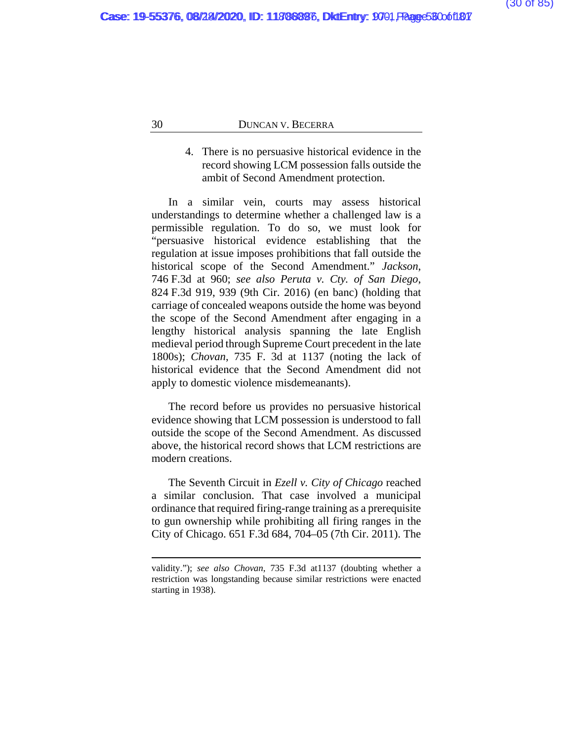# 4. There is no persuasive historical evidence in the record showing LCM possession falls outside the ambit of Second Amendment protection.

In a similar vein, courts may assess historical understandings to determine whether a challenged law is a permissible regulation. To do so, we must look for "persuasive historical evidence establishing that the regulation at issue imposes prohibitions that fall outside the historical scope of the Second Amendment." *Jackson*, 746 F.3d at 960; *see also Peruta v. Cty. of San Diego*, 824 F.3d 919, 939 (9th Cir. 2016) (en banc) (holding that carriage of concealed weapons outside the home was beyond the scope of the Second Amendment after engaging in a lengthy historical analysis spanning the late English medieval period through Supreme Court precedent in the late 1800s); *Chovan*, 735 F. 3d at 1137 (noting the lack of historical evidence that the Second Amendment did not apply to domestic violence misdemeanants).

The record before us provides no persuasive historical evidence showing that LCM possession is understood to fall outside the scope of the Second Amendment. As discussed above, the historical record shows that LCM restrictions are modern creations.

The Seventh Circuit in *Ezell v. City of Chicago* reached a similar conclusion. That case involved a municipal ordinance that required firing-range training as a prerequisite to gun ownership while prohibiting all firing ranges in the City of Chicago. 651 F.3d 684, 704–05 (7th Cir. 2011). The

validity."); *see also Chovan*, 735 F.3d at1137 (doubting whether a restriction was longstanding because similar restrictions were enacted starting in 1938).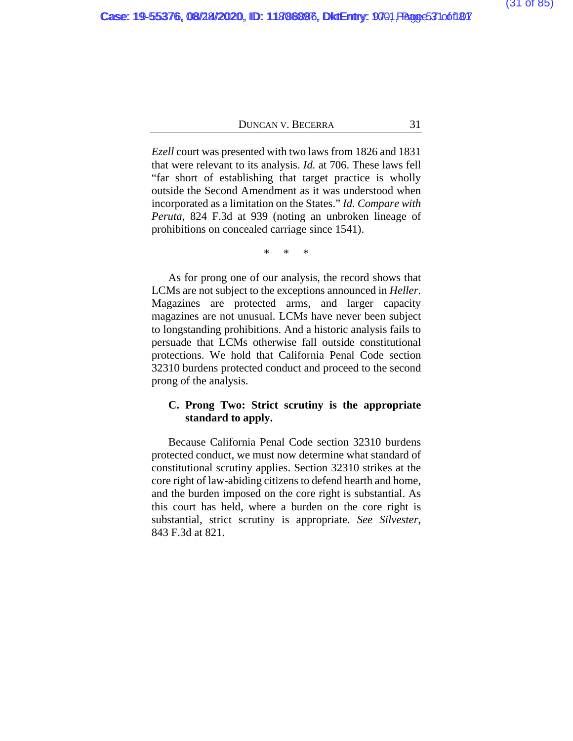*Ezell* court was presented with two laws from 1826 and 1831 that were relevant to its analysis. *Id.* at 706. These laws fell "far short of establishing that target practice is wholly outside the Second Amendment as it was understood when incorporated as a limitation on the States." *Id. Compare with Peruta*, 824 F.3d at 939 (noting an unbroken lineage of prohibitions on concealed carriage since 1541).

\* \* \*

As for prong one of our analysis, the record shows that LCMs are not subject to the exceptions announced in *Heller*. Magazines are protected arms, and larger capacity magazines are not unusual. LCMs have never been subject to longstanding prohibitions. And a historic analysis fails to persuade that LCMs otherwise fall outside constitutional protections. We hold that California Penal Code section 32310 burdens protected conduct and proceed to the second prong of the analysis.

# **C. Prong Two: Strict scrutiny is the appropriate standard to apply.**

Because California Penal Code section 32310 burdens protected conduct, we must now determine what standard of constitutional scrutiny applies. Section 32310 strikes at the core right of law-abiding citizens to defend hearth and home, and the burden imposed on the core right is substantial. As this court has held, where a burden on the core right is substantial, strict scrutiny is appropriate. *See Silvester*, 843 F.3d at 821.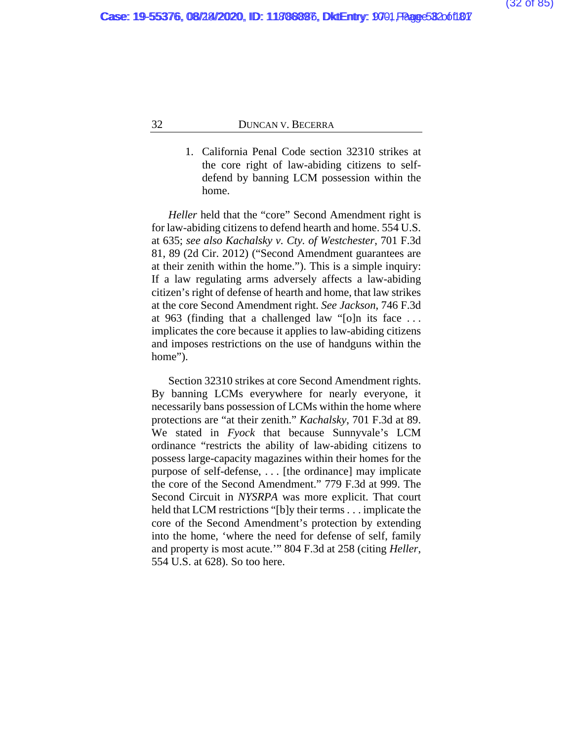1. California Penal Code section 32310 strikes at the core right of law-abiding citizens to selfdefend by banning LCM possession within the home.

*Heller* held that the "core" Second Amendment right is for law-abiding citizens to defend hearth and home. 554 U.S. at 635; *see also Kachalsky v. Cty. of Westchester*, 701 F.3d 81, 89 (2d Cir. 2012) ("Second Amendment guarantees are at their zenith within the home."). This is a simple inquiry: If a law regulating arms adversely affects a law-abiding citizen's right of defense of hearth and home, that law strikes at the core Second Amendment right. *See Jackson*, 746 F.3d at 963 (finding that a challenged law "[o]n its face . . . implicates the core because it applies to law-abiding citizens and imposes restrictions on the use of handguns within the home").

Section 32310 strikes at core Second Amendment rights. By banning LCMs everywhere for nearly everyone, it necessarily bans possession of LCMs within the home where protections are "at their zenith." *Kachalsky*, 701 F.3d at 89. We stated in *Fyock* that because Sunnyvale's LCM ordinance "restricts the ability of law-abiding citizens to possess large-capacity magazines within their homes for the purpose of self-defense, . . . [the ordinance] may implicate the core of the Second Amendment." 779 F.3d at 999. The Second Circuit in *NYSRPA* was more explicit. That court held that LCM restrictions "[b]y their terms . . . implicate the core of the Second Amendment's protection by extending into the home, 'where the need for defense of self, family and property is most acute.'" 804 F.3d at 258 (citing *Heller*, 554 U.S. at 628). So too here.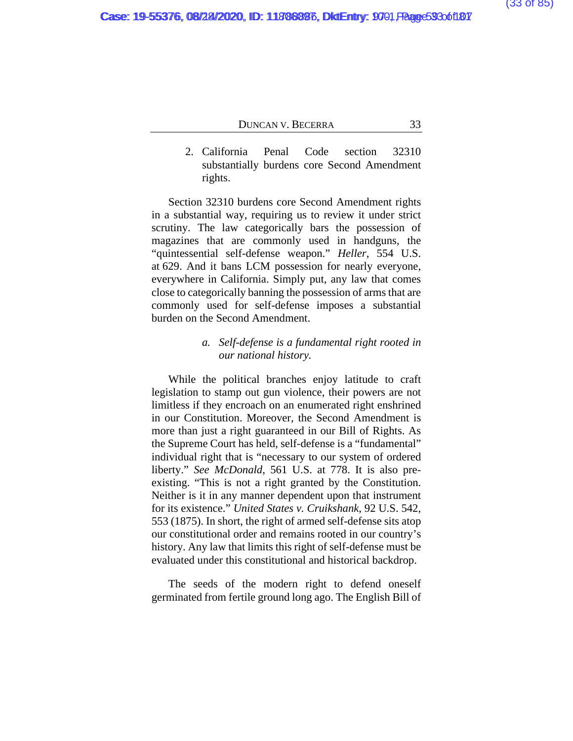2. California Penal Code section 32310 substantially burdens core Second Amendment rights.

Section 32310 burdens core Second Amendment rights in a substantial way, requiring us to review it under strict scrutiny. The law categorically bars the possession of magazines that are commonly used in handguns, the "quintessential self-defense weapon." *Heller*, 554 U.S. at 629. And it bans LCM possession for nearly everyone, everywhere in California. Simply put, any law that comes close to categorically banning the possession of arms that are commonly used for self-defense imposes a substantial burden on the Second Amendment.

# *a. Self-defense is a fundamental right rooted in our national history.*

While the political branches enjoy latitude to craft legislation to stamp out gun violence, their powers are not limitless if they encroach on an enumerated right enshrined in our Constitution. Moreover, the Second Amendment is more than just a right guaranteed in our Bill of Rights. As the Supreme Court has held, self-defense is a "fundamental" individual right that is "necessary to our system of ordered liberty." *See McDonald*, 561 U.S. at 778. It is also preexisting. "This is not a right granted by the Constitution. Neither is it in any manner dependent upon that instrument for its existence." *United States v. Cruikshank*, 92 U.S. 542, 553 (1875). In short, the right of armed self-defense sits atop our constitutional order and remains rooted in our country's history. Any law that limits this right of self-defense must be evaluated under this constitutional and historical backdrop.

The seeds of the modern right to defend oneself germinated from fertile ground long ago. The English Bill of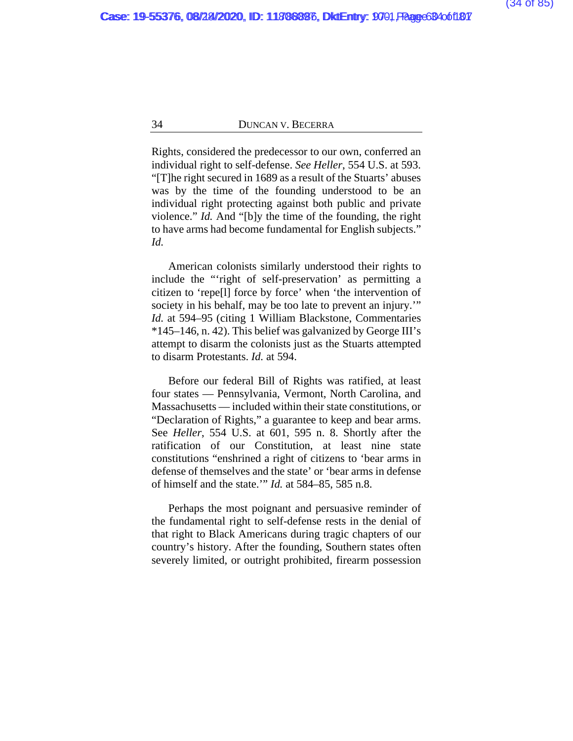Rights, considered the predecessor to our own, conferred an individual right to self-defense. *See Heller*, 554 U.S. at 593. "[T]he right secured in 1689 as a result of the Stuarts' abuses was by the time of the founding understood to be an individual right protecting against both public and private violence." *Id.* And "[b]y the time of the founding, the right to have arms had become fundamental for English subjects." *Id.*

American colonists similarly understood their rights to include the "'right of self-preservation' as permitting a citizen to 'repe[l] force by force' when 'the intervention of society in his behalf, may be too late to prevent an injury." *Id.* at 594–95 (citing 1 William Blackstone, Commentaries \*145–146, n. 42). This belief was galvanized by George III's attempt to disarm the colonists just as the Stuarts attempted to disarm Protestants. *Id.* at 594.

Before our federal Bill of Rights was ratified, at least four states — Pennsylvania, Vermont, North Carolina, and Massachusetts — included within their state constitutions, or "Declaration of Rights," a guarantee to keep and bear arms. See *Heller*, 554 U.S. at 601, 595 n. 8. Shortly after the ratification of our Constitution, at least nine state constitutions "enshrined a right of citizens to 'bear arms in defense of themselves and the state' or 'bear arms in defense of himself and the state.'" *Id.* at 584–85, 585 n.8.

Perhaps the most poignant and persuasive reminder of the fundamental right to self-defense rests in the denial of that right to Black Americans during tragic chapters of our country's history. After the founding, Southern states often severely limited, or outright prohibited, firearm possession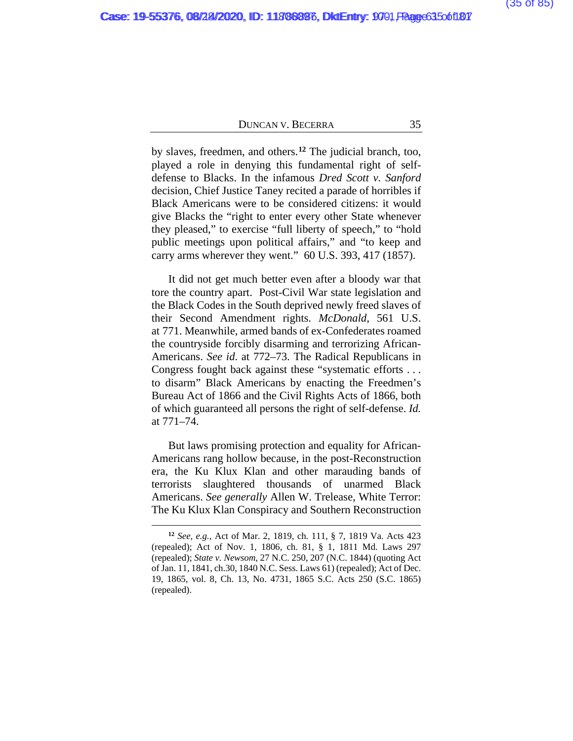by slaves, freedmen, and others.**[12](#page-106-0)** The judicial branch, too, played a role in denying this fundamental right of selfdefense to Blacks. In the infamous *Dred Scott v. Sanford* decision, Chief Justice Taney recited a parade of horribles if Black Americans were to be considered citizens: it would give Blacks the "right to enter every other State whenever they pleased," to exercise "full liberty of speech," to "hold public meetings upon political affairs," and "to keep and carry arms wherever they went." 60 U.S. 393, 417 (1857).

It did not get much better even after a bloody war that tore the country apart. Post-Civil War state legislation and the Black Codes in the South deprived newly freed slaves of their Second Amendment rights. *McDonald*, 561 U.S. at 771. Meanwhile, armed bands of ex-Confederates roamed the countryside forcibly disarming and terrorizing African-Americans. *See id*. at 772–73. The Radical Republicans in Congress fought back against these "systematic efforts . . . to disarm" Black Americans by enacting the Freedmen's Bureau Act of 1866 and the Civil Rights Acts of 1866, both of which guaranteed all persons the right of self-defense. *Id.* at 771–74.

But laws promising protection and equality for African-Americans rang hollow because, in the post-Reconstruction era, the Ku Klux Klan and other marauding bands of terrorists slaughtered thousands of unarmed Black Americans. *See generally* Allen W. Trelease, White Terror: The Ku Klux Klan Conspiracy and Southern Reconstruction

**<sup>12</sup>** *See, e.g.*, Act of Mar. 2, 1819, ch. 111, § 7, 1819 Va. Acts 423 (repealed); Act of Nov. 1, 1806, ch. 81, § 1, 1811 Md. Laws 297 (repealed); *State v. Newsom*, 27 N.C. 250, 207 (N.C. 1844) (quoting Act of Jan. 11, 1841, ch.30, 1840 N.C. Sess. Laws 61) (repealed); Act of Dec. 19, 1865, vol. 8, Ch. 13, No. 4731, 1865 S.C. Acts 250 (S.C. 1865) (repealed).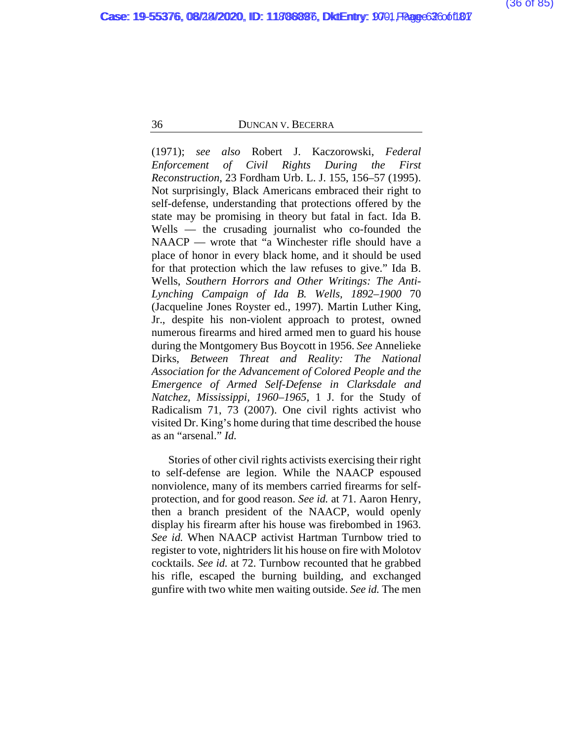(1971); *see also* Robert J. Kaczorowski, *Federal Enforcement of Civil Rights During the First Reconstruction*, 23 Fordham Urb. L. J. 155, 156–57 (1995). Not surprisingly, Black Americans embraced their right to self-defense, understanding that protections offered by the state may be promising in theory but fatal in fact. Ida B. Wells — the crusading journalist who co-founded the NAACP — wrote that "a Winchester rifle should have a place of honor in every black home, and it should be used for that protection which the law refuses to give." Ida B. Wells, *Southern Horrors and Other Writings: The Anti-Lynching Campaign of Ida B. Wells, 1892–1900* 70 (Jacqueline Jones Royster ed., 1997). Martin Luther King, Jr., despite his non-violent approach to protest, owned numerous firearms and hired armed men to guard his house during the Montgomery Bus Boycott in 1956. *See* Annelieke Dirks, *Between Threat and Reality: The National Association for the Advancement of Colored People and the Emergence of Armed Self-Defense in Clarksdale and Natchez, Mississippi, 1960–1965*, 1 J. for the Study of Radicalism 71, 73 (2007). One civil rights activist who visited Dr. King's home during that time described the house as an "arsenal." *Id.*

Stories of other civil rights activists exercising their right to self-defense are legion. While the NAACP espoused nonviolence, many of its members carried firearms for selfprotection, and for good reason. *See id.* at 71. Aaron Henry, then a branch president of the NAACP, would openly display his firearm after his house was firebombed in 1963. *See id.* When NAACP activist Hartman Turnbow tried to register to vote, nightriders lit his house on fire with Molotov cocktails. *See id.* at 72. Turnbow recounted that he grabbed his rifle, escaped the burning building, and exchanged gunfire with two white men waiting outside. *See id.* The men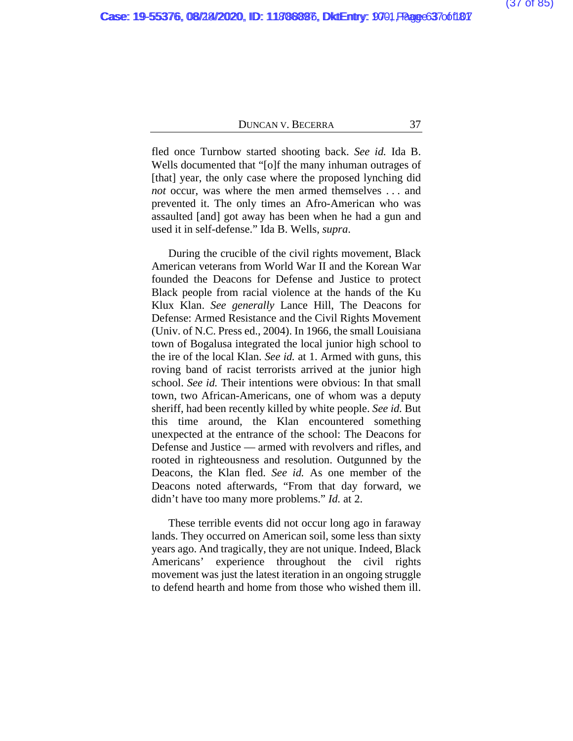fled once Turnbow started shooting back. *See id.* Ida B. Wells documented that "[o]f the many inhuman outrages of [that] year, the only case where the proposed lynching did *not* occur, was where the men armed themselves . . . and prevented it. The only times an Afro-American who was assaulted [and] got away has been when he had a gun and used it in self-defense." Ida B. Wells, *supra*.

During the crucible of the civil rights movement, Black American veterans from World War II and the Korean War founded the Deacons for Defense and Justice to protect Black people from racial violence at the hands of the Ku Klux Klan. *See generally* Lance Hill, The Deacons for Defense: Armed Resistance and the Civil Rights Movement (Univ. of N.C. Press ed., 2004). In 1966, the small Louisiana town of Bogalusa integrated the local junior high school to the ire of the local Klan. *See id.* at 1. Armed with guns, this roving band of racist terrorists arrived at the junior high school. *See id.* Their intentions were obvious: In that small town, two African-Americans, one of whom was a deputy sheriff, had been recently killed by white people. *See id.* But this time around, the Klan encountered something unexpected at the entrance of the school: The Deacons for Defense and Justice — armed with revolvers and rifles, and rooted in righteousness and resolution. Outgunned by the Deacons, the Klan fled. *See id.* As one member of the Deacons noted afterwards, "From that day forward, we didn't have too many more problems." *Id.* at 2.

These terrible events did not occur long ago in faraway lands. They occurred on American soil, some less than sixty years ago. And tragically, they are not unique. Indeed, Black Americans' experience throughout the civil rights movement was just the latest iteration in an ongoing struggle to defend hearth and home from those who wished them ill.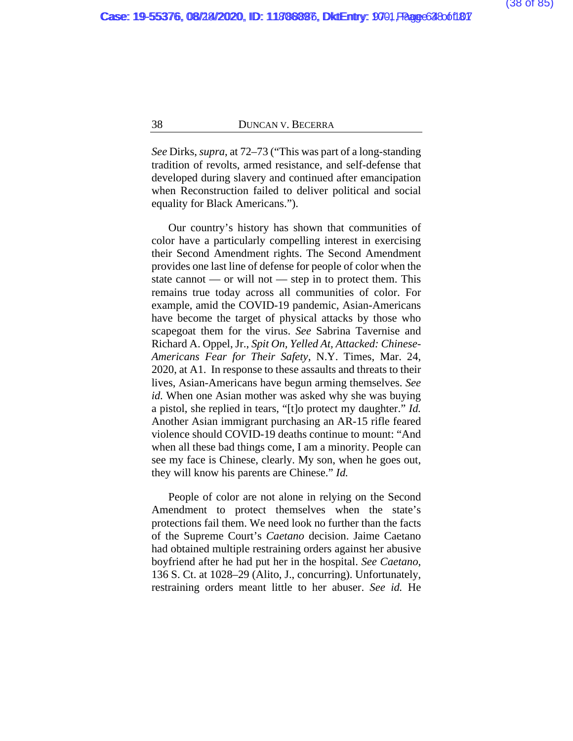*See* Dirks, *supra*, at 72–73 ("This was part of a long-standing tradition of revolts, armed resistance, and self-defense that developed during slavery and continued after emancipation when Reconstruction failed to deliver political and social equality for Black Americans.").

Our country's history has shown that communities of color have a particularly compelling interest in exercising their Second Amendment rights. The Second Amendment provides one last line of defense for people of color when the state cannot — or will not — step in to protect them. This remains true today across all communities of color. For example, amid the COVID-19 pandemic, Asian-Americans have become the target of physical attacks by those who scapegoat them for the virus. *See* Sabrina Tavernise and Richard A. Oppel, Jr., *Spit On, Yelled At, Attacked: Chinese-Americans Fear for Their Safety*, N.Y. Times, Mar. 24, 2020, at A1. In response to these assaults and threats to their lives, Asian-Americans have begun arming themselves. *See id.* When one Asian mother was asked why she was buying a pistol, she replied in tears, "[t]o protect my daughter." *Id.* Another Asian immigrant purchasing an AR-15 rifle feared violence should COVID-19 deaths continue to mount: "And when all these bad things come, I am a minority. People can see my face is Chinese, clearly. My son, when he goes out, they will know his parents are Chinese." *Id.*

People of color are not alone in relying on the Second Amendment to protect themselves when the state's protections fail them. We need look no further than the facts of the Supreme Court's *Caetano* decision. Jaime Caetano had obtained multiple restraining orders against her abusive boyfriend after he had put her in the hospital. *See Caetano*, 136 S. Ct. at 1028–29 (Alito, J., concurring). Unfortunately, restraining orders meant little to her abuser. *See id.* He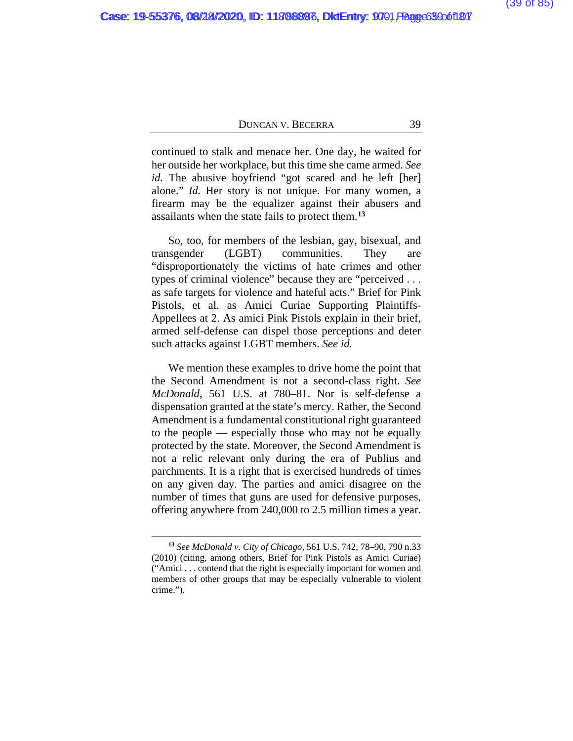continued to stalk and menace her. One day, he waited for her outside her workplace, but this time she came armed. *See id.* The abusive boyfriend "got scared and he left [her] alone." *Id.* Her story is not unique. For many women, a firearm may be the equalizer against their abusers and assailants when the state fails to protect them.**[13](#page-106-0)**

So, too, for members of the lesbian, gay, bisexual, and transgender (LGBT) communities. They are "disproportionately the victims of hate crimes and other types of criminal violence" because they are "perceived . . . as safe targets for violence and hateful acts." Brief for Pink Pistols, et al. as Amici Curiae Supporting Plaintiffs-Appellees at 2. As amici Pink Pistols explain in their brief, armed self-defense can dispel those perceptions and deter such attacks against LGBT members. *See id.*

We mention these examples to drive home the point that the Second Amendment is not a second-class right. *See McDonald*, 561 U.S. at 780–81. Nor is self-defense a dispensation granted at the state's mercy. Rather, the Second Amendment is a fundamental constitutional right guaranteed to the people — especially those who may not be equally protected by the state. Moreover, the Second Amendment is not a relic relevant only during the era of Publius and parchments. It is a right that is exercised hundreds of times on any given day. The parties and amici disagree on the number of times that guns are used for defensive purposes, offering anywhere from 240,000 to 2.5 million times a year.

**<sup>13</sup>** *See McDonald v. City of Chicago*, 561 U.S. 742, 78–90, 790 n.33 (2010) (citing, among others, Brief for Pink Pistols as Amici Curiae) ("Amici . . . contend that the right is especially important for women and members of other groups that may be especially vulnerable to violent crime.").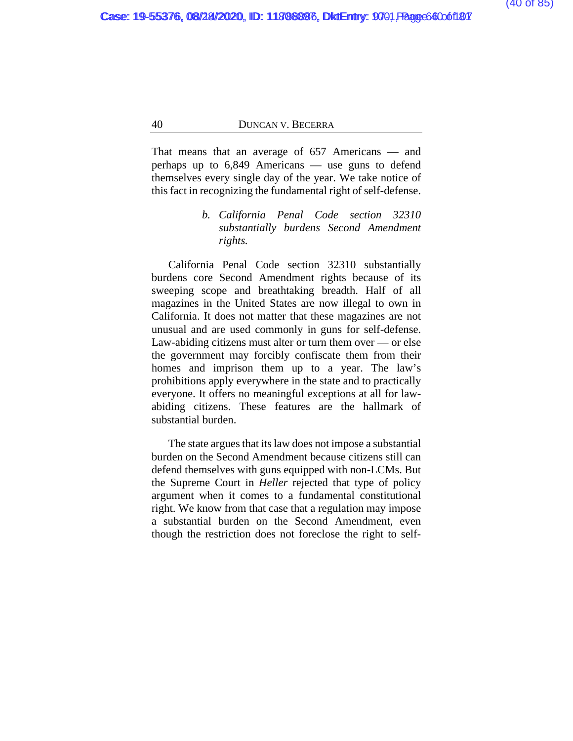That means that an average of 657 Americans — and perhaps up to 6,849 Americans — use guns to defend themselves every single day of the year. We take notice of this fact in recognizing the fundamental right of self-defense.

# *b. California Penal Code section 32310 substantially burdens Second Amendment rights.*

California Penal Code section 32310 substantially burdens core Second Amendment rights because of its sweeping scope and breathtaking breadth. Half of all magazines in the United States are now illegal to own in California. It does not matter that these magazines are not unusual and are used commonly in guns for self-defense. Law-abiding citizens must alter or turn them over — or else the government may forcibly confiscate them from their homes and imprison them up to a year. The law's prohibitions apply everywhere in the state and to practically everyone. It offers no meaningful exceptions at all for lawabiding citizens. These features are the hallmark of substantial burden.

The state argues that its law does not impose a substantial burden on the Second Amendment because citizens still can defend themselves with guns equipped with non-LCMs. But the Supreme Court in *Heller* rejected that type of policy argument when it comes to a fundamental constitutional right. We know from that case that a regulation may impose a substantial burden on the Second Amendment, even though the restriction does not foreclose the right to self-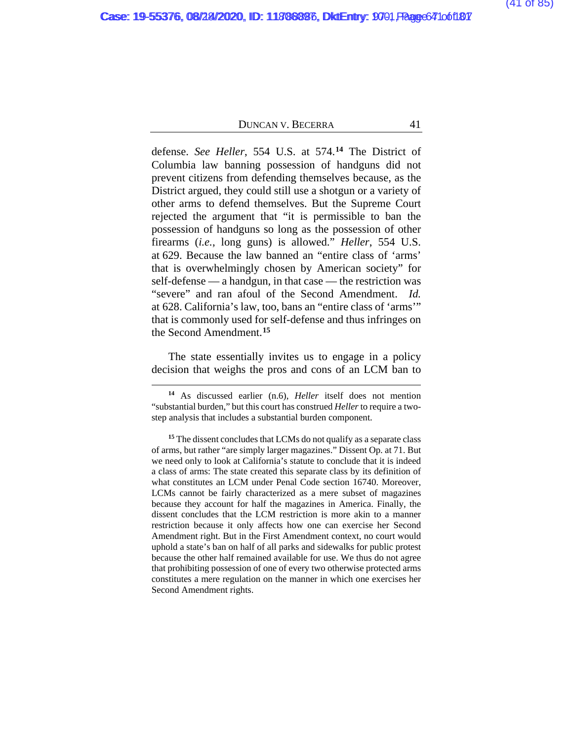defense. *See Heller*, 554 U.S. at 574.**[14](#page-106-0)** The District of Columbia law banning possession of handguns did not prevent citizens from defending themselves because, as the District argued, they could still use a shotgun or a variety of other arms to defend themselves. But the Supreme Court rejected the argument that "it is permissible to ban the possession of handguns so long as the possession of other firearms (*i.e.*, long guns) is allowed." *Heller*, 554 U.S. at 629. Because the law banned an "entire class of 'arms' that is overwhelmingly chosen by American society" for self-defense — a handgun, in that case — the restriction was "severe" and ran afoul of the Second Amendment. *Id.* at 628. California's law, too, bans an "entire class of 'arms'" that is commonly used for self-defense and thus infringes on the Second Amendment.**[15](#page-106-0)**

The state essentially invites us to engage in a policy decision that weighs the pros and cons of an LCM ban to

**<sup>14</sup>** As discussed earlier (n.6), *Heller* itself does not mention "substantial burden," but this court has construed *Heller* to require a twostep analysis that includes a substantial burden component.

**<sup>15</sup>** The dissent concludes that LCMs do not qualify as a separate class of arms, but rather "are simply larger magazines." Dissent Op. at [71.](#page-106-0) But we need only to look at California's statute to conclude that it is indeed a class of arms: The state created this separate class by its definition of what constitutes an LCM under Penal Code section 16740. Moreover, LCMs cannot be fairly characterized as a mere subset of magazines because they account for half the magazines in America. Finally, the dissent concludes that the LCM restriction is more akin to a manner restriction because it only affects how one can exercise her Second Amendment right. But in the First Amendment context, no court would uphold a state's ban on half of all parks and sidewalks for public protest because the other half remained available for use. We thus do not agree that prohibiting possession of one of every two otherwise protected arms constitutes a mere regulation on the manner in which one exercises her Second Amendment rights.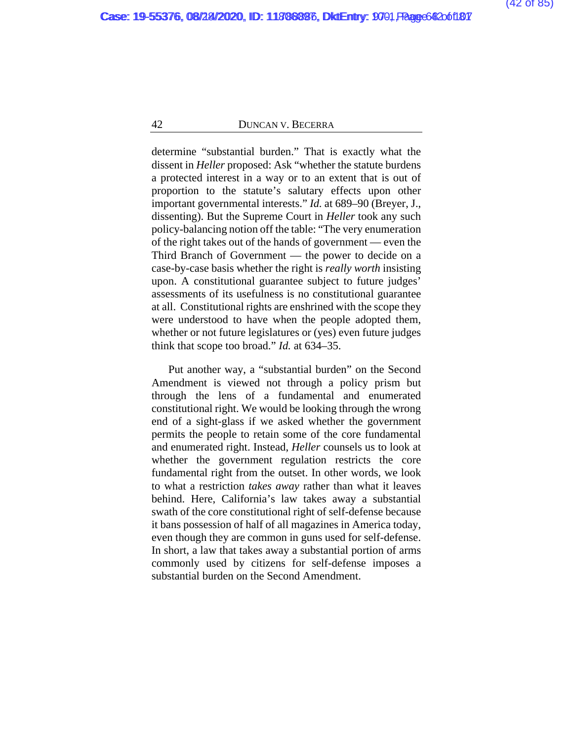determine "substantial burden." That is exactly what the dissent in *Heller* proposed: Ask "whether the statute burdens a protected interest in a way or to an extent that is out of proportion to the statute's salutary effects upon other important governmental interests." *Id.* at 689–90 (Breyer, J., dissenting). But the Supreme Court in *Heller* took any such policy-balancing notion off the table: "The very enumeration of the right takes out of the hands of government — even the Third Branch of Government — the power to decide on a case-by-case basis whether the right is *really worth* insisting upon. A constitutional guarantee subject to future judges' assessments of its usefulness is no constitutional guarantee at all. Constitutional rights are enshrined with the scope they were understood to have when the people adopted them, whether or not future legislatures or (yes) even future judges think that scope too broad." *Id.* at 634–35.

Put another way, a "substantial burden" on the Second Amendment is viewed not through a policy prism but through the lens of a fundamental and enumerated constitutional right. We would be looking through the wrong end of a sight-glass if we asked whether the government permits the people to retain some of the core fundamental and enumerated right. Instead, *Heller* counsels us to look at whether the government regulation restricts the core fundamental right from the outset. In other words, we look to what a restriction *takes away* rather than what it leaves behind. Here, California's law takes away a substantial swath of the core constitutional right of self-defense because it bans possession of half of all magazines in America today, even though they are common in guns used for self-defense. In short, a law that takes away a substantial portion of arms commonly used by citizens for self-defense imposes a substantial burden on the Second Amendment.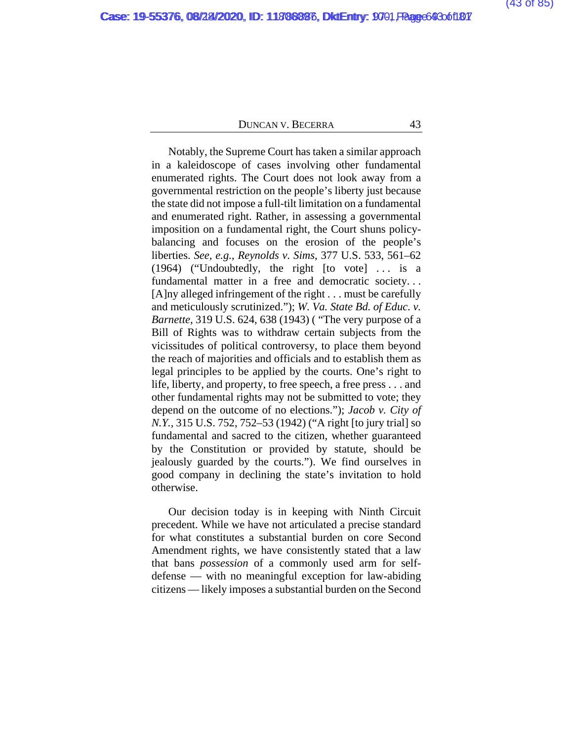Notably, the Supreme Court has taken a similar approach in a kaleidoscope of cases involving other fundamental enumerated rights. The Court does not look away from a governmental restriction on the people's liberty just because the state did not impose a full-tilt limitation on a fundamental and enumerated right. Rather, in assessing a governmental imposition on a fundamental right, the Court shuns policybalancing and focuses on the erosion of the people's liberties. *See, e.g.*, *Reynolds v. Sims*, 377 U.S. 533, 561–62 (1964) ("Undoubtedly, the right  $[$ to vote $]$ ... is a fundamental matter in a free and democratic society. . . [A]ny alleged infringement of the right . . . must be carefully and meticulously scrutinized."); *W. Va. State Bd. of Educ. v. Barnette*, 319 U.S. 624, 638 (1943) ( "The very purpose of a Bill of Rights was to withdraw certain subjects from the vicissitudes of political controversy, to place them beyond the reach of majorities and officials and to establish them as legal principles to be applied by the courts. One's right to life, liberty, and property, to free speech, a free press . . . and other fundamental rights may not be submitted to vote; they depend on the outcome of no elections."); *Jacob v. City of N.Y.*, 315 U.S. 752, 752–53 (1942) ("A right [to jury trial] so fundamental and sacred to the citizen, whether guaranteed by the Constitution or provided by statute, should be jealously guarded by the courts."). We find ourselves in good company in declining the state's invitation to hold otherwise.

Our decision today is in keeping with Ninth Circuit precedent. While we have not articulated a precise standard for what constitutes a substantial burden on core Second Amendment rights, we have consistently stated that a law that bans *possession* of a commonly used arm for selfdefense — with no meaningful exception for law-abiding citizens — likely imposes a substantial burden on the Second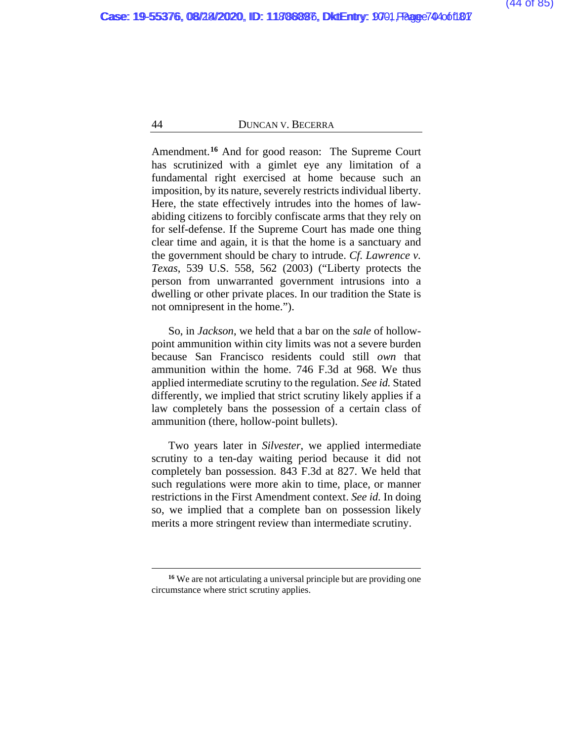Amendment.**[16](#page-106-0)** And for good reason: The Supreme Court has scrutinized with a gimlet eye any limitation of a fundamental right exercised at home because such an imposition, by its nature, severely restricts individual liberty. Here, the state effectively intrudes into the homes of lawabiding citizens to forcibly confiscate arms that they rely on for self-defense. If the Supreme Court has made one thing clear time and again, it is that the home is a sanctuary and the government should be chary to intrude. *Cf. Lawrence v. Texas*, 539 U.S. 558, 562 (2003) ("Liberty protects the person from unwarranted government intrusions into a dwelling or other private places. In our tradition the State is not omnipresent in the home.").

So, in *Jackson*, we held that a bar on the *sale* of hollowpoint ammunition within city limits was not a severe burden because San Francisco residents could still *own* that ammunition within the home. 746 F.3d at 968. We thus applied intermediate scrutiny to the regulation. *See id.* Stated differently, we implied that strict scrutiny likely applies if a law completely bans the possession of a certain class of ammunition (there, hollow-point bullets).

Two years later in *Silvester*, we applied intermediate scrutiny to a ten-day waiting period because it did not completely ban possession. 843 F.3d at 827. We held that such regulations were more akin to time, place, or manner restrictions in the First Amendment context. *See id.* In doing so, we implied that a complete ban on possession likely merits a more stringent review than intermediate scrutiny.

**<sup>16</sup>** We are not articulating a universal principle but are providing one circumstance where strict scrutiny applies.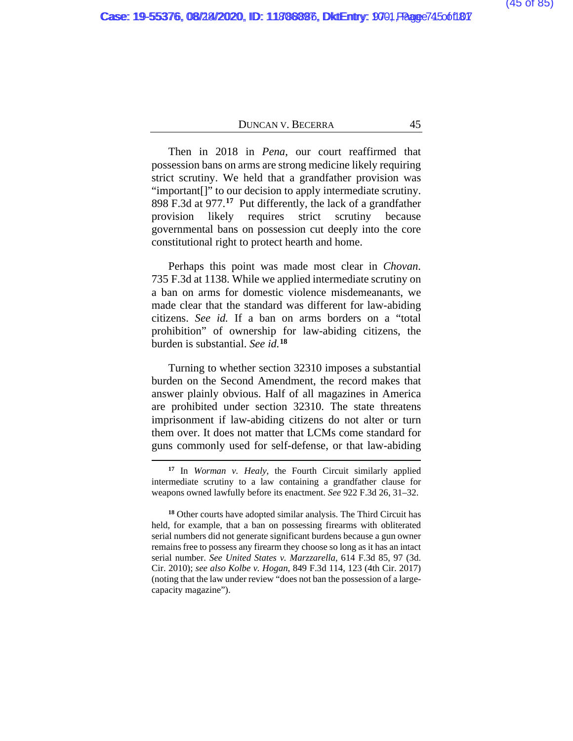Then in 2018 in *Pena*, our court reaffirmed that possession bans on arms are strong medicine likely requiring strict scrutiny. We held that a grandfather provision was "important[]" to our decision to apply intermediate scrutiny. 898 F.3d at 977.**[17](#page-106-0)** Put differently, the lack of a grandfather provision likely requires strict scrutiny because governmental bans on possession cut deeply into the core constitutional right to protect hearth and home.

Perhaps this point was made most clear in *Chovan*. 735 F.3d at 1138. While we applied intermediate scrutiny on a ban on arms for domestic violence misdemeanants, we made clear that the standard was different for law-abiding citizens. *See id.* If a ban on arms borders on a "total prohibition" of ownership for law-abiding citizens, the burden is substantial. *See id.***[18](#page-106-0)**

Turning to whether section 32310 imposes a substantial burden on the Second Amendment, the record makes that answer plainly obvious. Half of all magazines in America are prohibited under section 32310. The state threatens imprisonment if law-abiding citizens do not alter or turn them over. It does not matter that LCMs come standard for guns commonly used for self-defense, or that law-abiding

**<sup>17</sup>** In *Worman v. Healy*, the Fourth Circuit similarly applied intermediate scrutiny to a law containing a grandfather clause for weapons owned lawfully before its enactment. *See* 922 F.3d 26, 31–32.

**<sup>18</sup>** Other courts have adopted similar analysis. The Third Circuit has held, for example, that a ban on possessing firearms with obliterated serial numbers did not generate significant burdens because a gun owner remains free to possess any firearm they choose so long as it has an intact serial number. *See United States v. Marzzarella*, 614 F.3d 85, 97 (3d. Cir. 2010); *see also Kolbe v. Hogan*, 849 F.3d 114, 123 (4th Cir. 2017) (noting that the law under review "does not ban the possession of a largecapacity magazine").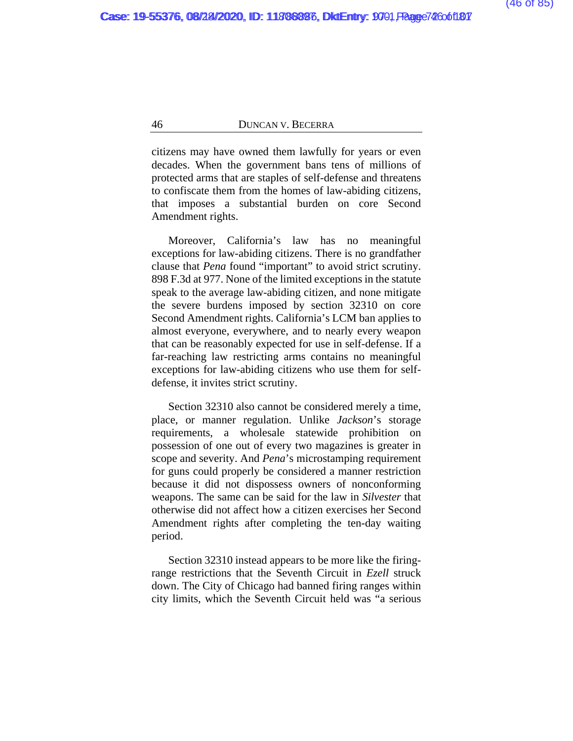citizens may have owned them lawfully for years or even decades. When the government bans tens of millions of protected arms that are staples of self-defense and threatens to confiscate them from the homes of law-abiding citizens, that imposes a substantial burden on core Second Amendment rights.

Moreover, California's law has no meaningful exceptions for law-abiding citizens. There is no grandfather clause that *Pena* found "important" to avoid strict scrutiny. 898 F.3d at 977. None of the limited exceptions in the statute speak to the average law-abiding citizen, and none mitigate the severe burdens imposed by section 32310 on core Second Amendment rights. California's LCM ban applies to almost everyone, everywhere, and to nearly every weapon that can be reasonably expected for use in self-defense. If a far-reaching law restricting arms contains no meaningful exceptions for law-abiding citizens who use them for selfdefense, it invites strict scrutiny.

Section 32310 also cannot be considered merely a time, place, or manner regulation. Unlike *Jackson*'s storage requirements, a wholesale statewide prohibition on possession of one out of every two magazines is greater in scope and severity. And *Pena*'s microstamping requirement for guns could properly be considered a manner restriction because it did not dispossess owners of nonconforming weapons. The same can be said for the law in *Silvester* that otherwise did not affect how a citizen exercises her Second Amendment rights after completing the ten-day waiting period.

Section 32310 instead appears to be more like the firingrange restrictions that the Seventh Circuit in *Ezell* struck down. The City of Chicago had banned firing ranges within city limits, which the Seventh Circuit held was "a serious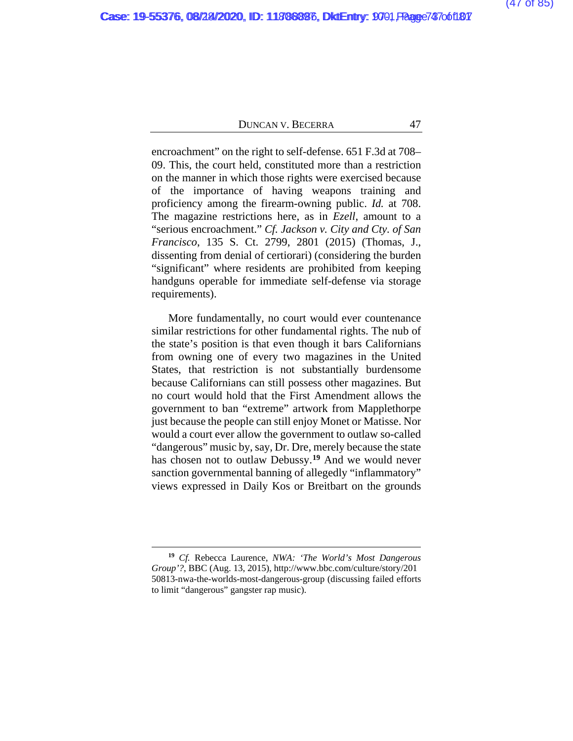encroachment" on the right to self-defense. 651 F.3d at 708– 09. This, the court held, constituted more than a restriction on the manner in which those rights were exercised because of the importance of having weapons training and proficiency among the firearm-owning public. *Id.* at 708. The magazine restrictions here, as in *Ezell*, amount to a "serious encroachment." *Cf. Jackson v. City and Cty. of San Francisco*, 135 S. Ct. 2799, 2801 (2015) (Thomas, J., dissenting from denial of certiorari) (considering the burden "significant" where residents are prohibited from keeping handguns operable for immediate self-defense via storage requirements).

More fundamentally, no court would ever countenance similar restrictions for other fundamental rights. The nub of the state's position is that even though it bars Californians from owning one of every two magazines in the United States, that restriction is not substantially burdensome because Californians can still possess other magazines. But no court would hold that the First Amendment allows the government to ban "extreme" artwork from Mapplethorpe just because the people can still enjoy Monet or Matisse. Nor would a court ever allow the government to outlaw so-called "dangerous" music by, say, Dr. Dre, merely because the state has chosen not to outlaw Debussy.**[19](#page-106-0)** And we would never sanction governmental banning of allegedly "inflammatory" views expressed in Daily Kos or Breitbart on the grounds

**<sup>19</sup>** *Cf.* Rebecca Laurence, *NWA: 'The World's Most Dangerous Group'?*, BBC (Aug. 13, 2015), http://www.bbc.com/culture/story/201 50813-nwa-the-worlds-most-dangerous-group (discussing failed efforts to limit "dangerous" gangster rap music).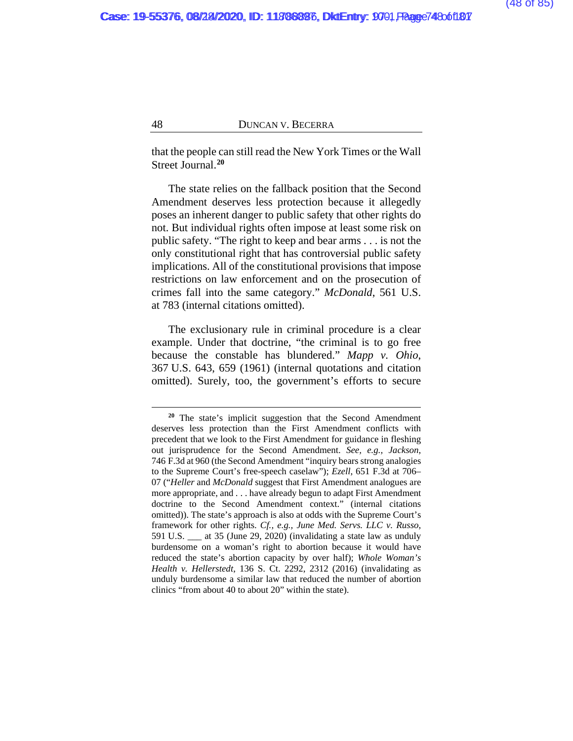that the people can still read the New York Times or the Wall Street Journal.**[20](#page-106-0)**

The state relies on the fallback position that the Second Amendment deserves less protection because it allegedly poses an inherent danger to public safety that other rights do not. But individual rights often impose at least some risk on public safety. "The right to keep and bear arms . . . is not the only constitutional right that has controversial public safety implications. All of the constitutional provisions that impose restrictions on law enforcement and on the prosecution of crimes fall into the same category." *McDonald*, 561 U.S. at 783 (internal citations omitted).

The exclusionary rule in criminal procedure is a clear example. Under that doctrine, "the criminal is to go free because the constable has blundered." *Mapp v. Ohio*, 367 U.S. 643, 659 (1961) (internal quotations and citation omitted). Surely, too, the government's efforts to secure

**<sup>20</sup>** The state's implicit suggestion that the Second Amendment deserves less protection than the First Amendment conflicts with precedent that we look to the First Amendment for guidance in fleshing out jurisprudence for the Second Amendment. *See, e.g., Jackson*, 746 F.3d at 960 (the Second Amendment "inquiry bears strong analogies to the Supreme Court's free-speech caselaw"); *Ezell*, 651 F.3d at 706– 07 ("*Heller* and *McDonald* suggest that First Amendment analogues are more appropriate, and . . . have already begun to adapt First Amendment doctrine to the Second Amendment context." (internal citations omitted)). The state's approach is also at odds with the Supreme Court's framework for other rights. *Cf., e.g., June Med. Servs. LLC v. Russo*, 591 U.S. \_\_\_ at 35 (June 29, 2020) (invalidating a state law as unduly burdensome on a woman's right to abortion because it would have reduced the state's abortion capacity by over half); *Whole Woman's Health v. Hellerstedt*, 136 S. Ct. 2292, 2312 (2016) (invalidating as unduly burdensome a similar law that reduced the number of abortion clinics "from about 40 to about 20" within the state).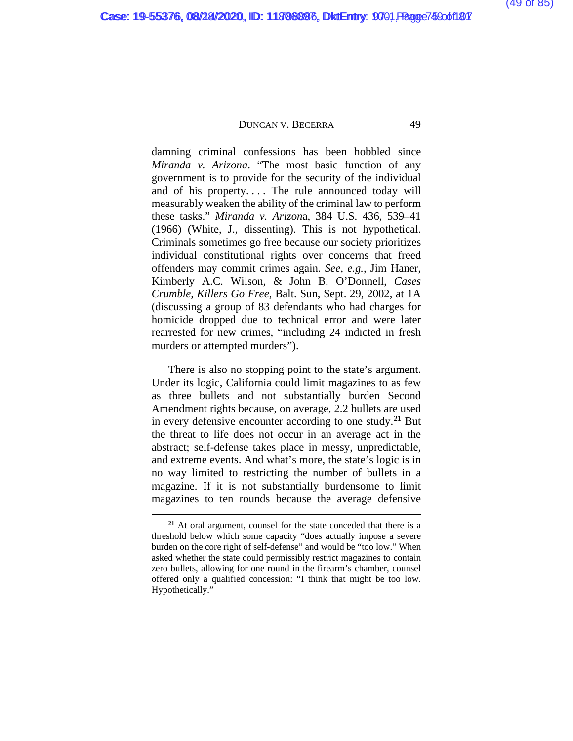damning criminal confessions has been hobbled since *Miranda v. Arizona*. "The most basic function of any government is to provide for the security of the individual and of his property.... The rule announced today will measurably weaken the ability of the criminal law to perform these tasks." *Miranda v. Arizon*a, 384 U.S. 436, 539–41 (1966) (White, J., dissenting). This is not hypothetical. Criminals sometimes go free because our society prioritizes individual constitutional rights over concerns that freed offenders may commit crimes again. *See, e.g.*, Jim Haner, Kimberly A.C. Wilson, & John B. O'Donnell, *Cases Crumble, Killers Go Free*, Balt. Sun, Sept. 29, 2002, at 1A (discussing a group of 83 defendants who had charges for homicide dropped due to technical error and were later rearrested for new crimes, "including 24 indicted in fresh murders or attempted murders").

There is also no stopping point to the state's argument. Under its logic, California could limit magazines to as few as three bullets and not substantially burden Second Amendment rights because, on average, 2.2 bullets are used in every defensive encounter according to one study.**[21](#page-106-0)** But the threat to life does not occur in an average act in the abstract; self-defense takes place in messy, unpredictable, and extreme events. And what's more, the state's logic is in no way limited to restricting the number of bullets in a magazine. If it is not substantially burdensome to limit magazines to ten rounds because the average defensive

**<sup>21</sup>** At oral argument, counsel for the state conceded that there is a threshold below which some capacity "does actually impose a severe burden on the core right of self-defense" and would be "too low." When asked whether the state could permissibly restrict magazines to contain zero bullets, allowing for one round in the firearm's chamber, counsel offered only a qualified concession: "I think that might be too low. Hypothetically."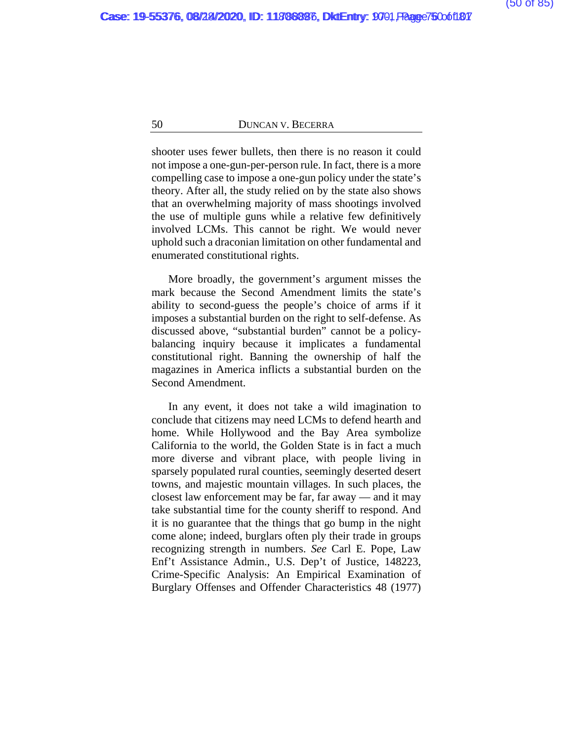shooter uses fewer bullets, then there is no reason it could not impose a one-gun-per-person rule. In fact, there is a more compelling case to impose a one-gun policy under the state's theory. After all, the study relied on by the state also shows that an overwhelming majority of mass shootings involved the use of multiple guns while a relative few definitively involved LCMs. This cannot be right. We would never uphold such a draconian limitation on other fundamental and enumerated constitutional rights.

More broadly, the government's argument misses the mark because the Second Amendment limits the state's ability to second-guess the people's choice of arms if it imposes a substantial burden on the right to self-defense. As discussed above, "substantial burden" cannot be a policybalancing inquiry because it implicates a fundamental constitutional right. Banning the ownership of half the magazines in America inflicts a substantial burden on the Second Amendment.

In any event, it does not take a wild imagination to conclude that citizens may need LCMs to defend hearth and home. While Hollywood and the Bay Area symbolize California to the world, the Golden State is in fact a much more diverse and vibrant place, with people living in sparsely populated rural counties, seemingly deserted desert towns, and majestic mountain villages. In such places, the closest law enforcement may be far, far away — and it may take substantial time for the county sheriff to respond. And it is no guarantee that the things that go bump in the night come alone; indeed, burglars often ply their trade in groups recognizing strength in numbers. *See* Carl E. Pope, Law Enf't Assistance Admin., U.S. Dep't of Justice, 148223, Crime-Specific Analysis: An Empirical Examination of Burglary Offenses and Offender Characteristics 48 (1977)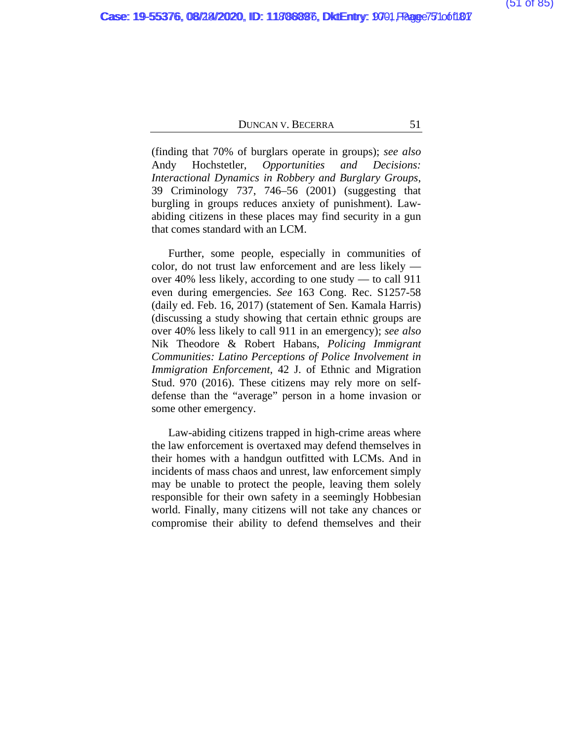(finding that 70% of burglars operate in groups); *see also*  Andy Hochstetler, *Opportunities and Decisions: Interactional Dynamics in Robbery and Burglary Groups*, 39 Criminology 737, 746–56 (2001) (suggesting that burgling in groups reduces anxiety of punishment). Lawabiding citizens in these places may find security in a gun that comes standard with an LCM.

Further, some people, especially in communities of color, do not trust law enforcement and are less likely over 40% less likely, according to one study — to call 911 even during emergencies. *See* 163 Cong. Rec. S1257-58 (daily ed. Feb. 16, 2017) (statement of Sen. Kamala Harris) (discussing a study showing that certain ethnic groups are over 40% less likely to call 911 in an emergency); *see also* Nik Theodore & Robert Habans, *Policing Immigrant Communities: Latino Perceptions of Police Involvement in Immigration Enforcement*, 42 J. of Ethnic and Migration Stud. 970 (2016). These citizens may rely more on selfdefense than the "average" person in a home invasion or some other emergency.

Law-abiding citizens trapped in high-crime areas where the law enforcement is overtaxed may defend themselves in their homes with a handgun outfitted with LCMs. And in incidents of mass chaos and unrest, law enforcement simply may be unable to protect the people, leaving them solely responsible for their own safety in a seemingly Hobbesian world. Finally, many citizens will not take any chances or compromise their ability to defend themselves and their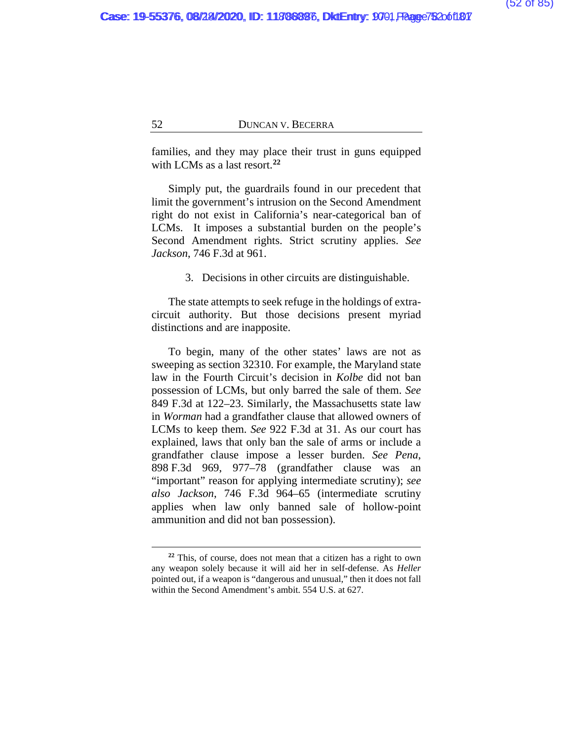families, and they may place their trust in guns equipped with LCMs as a last resort.**[22](#page-106-0)**

Simply put, the guardrails found in our precedent that limit the government's intrusion on the Second Amendment right do not exist in California's near-categorical ban of LCMs. It imposes a substantial burden on the people's Second Amendment rights. Strict scrutiny applies. *See Jackson*, 746 F.3d at 961.

3. Decisions in other circuits are distinguishable.

The state attempts to seek refuge in the holdings of extracircuit authority. But those decisions present myriad distinctions and are inapposite.

To begin, many of the other states' laws are not as sweeping as section 32310. For example, the Maryland state law in the Fourth Circuit's decision in *Kolbe* did not ban possession of LCMs, but only barred the sale of them. *See*  849 F.3d at 122–23. Similarly, the Massachusetts state law in *Worman* had a grandfather clause that allowed owners of LCMs to keep them. *See* 922 F.3d at 31. As our court has explained, laws that only ban the sale of arms or include a grandfather clause impose a lesser burden. *See Pena*, 898 F.3d 969, 977–78 (grandfather clause was an "important" reason for applying intermediate scrutiny); *see also Jackson*, 746 F.3d 964–65 (intermediate scrutiny applies when law only banned sale of hollow-point ammunition and did not ban possession).

**<sup>22</sup>** This, of course, does not mean that a citizen has a right to own any weapon solely because it will aid her in self-defense. As *Heller*  pointed out, if a weapon is "dangerous and unusual," then it does not fall within the Second Amendment's ambit. 554 U.S. at 627.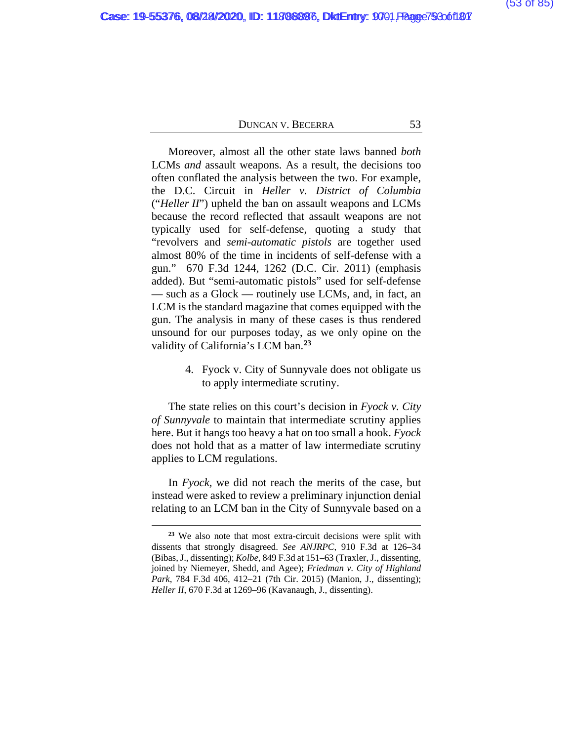Moreover, almost all the other state laws banned *both* LCMs *and* assault weapons. As a result, the decisions too often conflated the analysis between the two. For example, the D.C. Circuit in *Heller v. District of Columbia* ("*Heller II*") upheld the ban on assault weapons and LCMs because the record reflected that assault weapons are not typically used for self-defense, quoting a study that "revolvers and *semi-automatic pistols* are together used almost 80% of the time in incidents of self-defense with a gun." 670 F.3d 1244, 1262 (D.C. Cir. 2011) (emphasis added). But "semi-automatic pistols" used for self-defense — such as a Glock — routinely use LCMs, and, in fact, an LCM is the standard magazine that comes equipped with the gun. The analysis in many of these cases is thus rendered unsound for our purposes today, as we only opine on the validity of California's LCM ban.**[23](#page-106-0)**

> 4. Fyock v. City of Sunnyvale does not obligate us to apply intermediate scrutiny.

The state relies on this court's decision in *Fyock v. City of Sunnyvale* to maintain that intermediate scrutiny applies here. But it hangs too heavy a hat on too small a hook. *Fyock* does not hold that as a matter of law intermediate scrutiny applies to LCM regulations.

In *Fyock,* we did not reach the merits of the case, but instead were asked to review a preliminary injunction denial relating to an LCM ban in the City of Sunnyvale based on a

**<sup>23</sup>** We also note that most extra-circuit decisions were split with dissents that strongly disagreed. *See ANJRPC*, 910 F.3d at 126–34 (Bibas, J., dissenting); *Kolbe*, 849 F.3d at 151–63 (Traxler, J., dissenting, joined by Niemeyer, Shedd, and Agee); *Friedman v. City of Highland Park*, 784 F.3d 406, 412–21 (7th Cir. 2015) (Manion, J., dissenting); *Heller II*, 670 F.3d at 1269–96 (Kavanaugh, J., dissenting).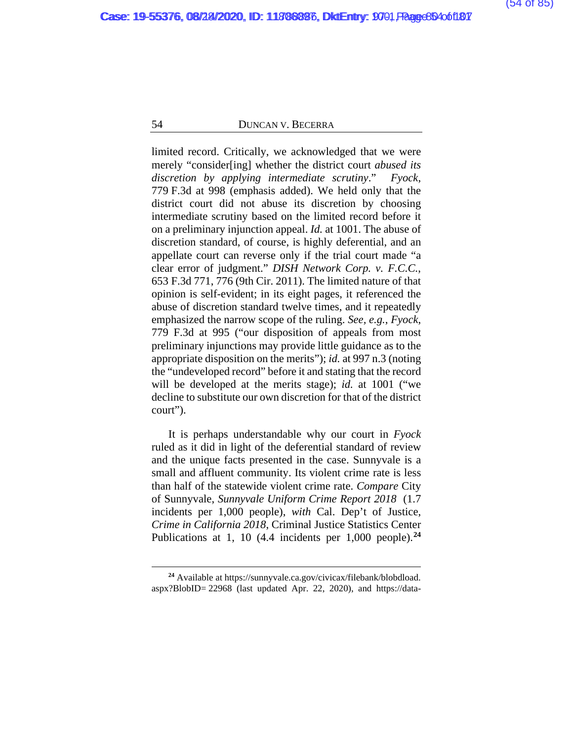limited record. Critically, we acknowledged that we were merely "consider[ing] whether the district court *abused its discretion by applying intermediate scrutiny*." *Fyock*, 779 F.3d at 998 (emphasis added). We held only that the district court did not abuse its discretion by choosing intermediate scrutiny based on the limited record before it on a preliminary injunction appeal. *Id.* at 1001. The abuse of discretion standard, of course, is highly deferential, and an appellate court can reverse only if the trial court made "a clear error of judgment." *DISH Network Corp. v. F.C.C.*, 653 F.3d 771, 776 (9th Cir. 2011). The limited nature of that opinion is self-evident; in its eight pages, it referenced the abuse of discretion standard twelve times, and it repeatedly emphasized the narrow scope of the ruling. *See, e.g.*, *Fyock*, 779 F.3d at 995 ("our disposition of appeals from most preliminary injunctions may provide little guidance as to the appropriate disposition on the merits"); *id.* at 997 n.3 (noting the "undeveloped record" before it and stating that the record will be developed at the merits stage); *id.* at 1001 ("we decline to substitute our own discretion for that of the district court").

It is perhaps understandable why our court in *Fyock* ruled as it did in light of the deferential standard of review and the unique facts presented in the case. Sunnyvale is a small and affluent community. Its violent crime rate is less than half of the statewide violent crime rate. *Compare* City of Sunnyvale, *Sunnyvale Uniform Crime Report 2018* (1.7 incidents per 1,000 people), *with* Cal. Dep't of Justice, *Crime in California 2018*, Criminal Justice Statistics Center Publications at 1, 10 (4.4 incidents per 1,000 people).**[24](#page-106-0)**

**<sup>24</sup>** Available at https://sunnyvale.ca.gov/civicax/filebank/blobdload. aspx?BlobID= 22968 (last updated Apr. 22, 2020), and https://data-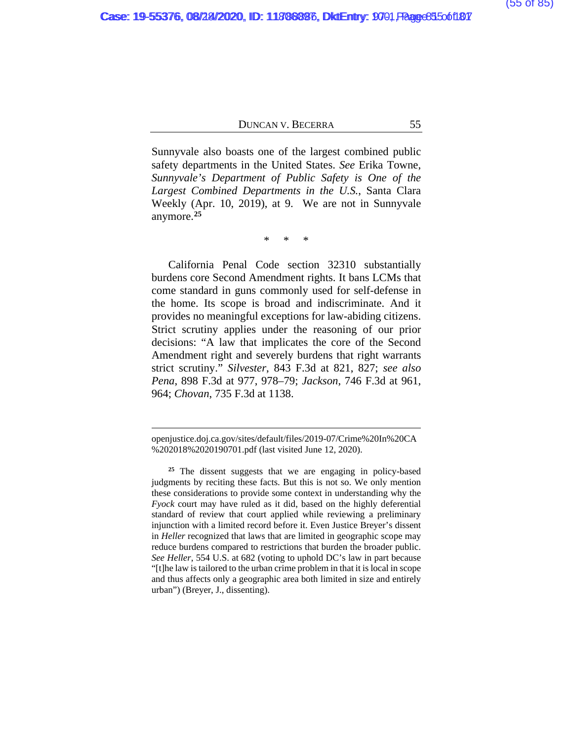Sunnyvale also boasts one of the largest combined public safety departments in the United States. *See* Erika Towne, *Sunnyvale's Department of Public Safety is One of the Largest Combined Departments in the U.S.*, Santa Clara Weekly (Apr. 10, 2019), at 9. We are not in Sunnyvale anymore.**[25](#page-106-0)**

\* \* \*

California Penal Code section 32310 substantially burdens core Second Amendment rights. It bans LCMs that come standard in guns commonly used for self-defense in the home. Its scope is broad and indiscriminate. And it provides no meaningful exceptions for law-abiding citizens. Strict scrutiny applies under the reasoning of our prior decisions: "A law that implicates the core of the Second Amendment right and severely burdens that right warrants strict scrutiny." *Silvester*, 843 F.3d at 821, 827; *see also Pena*, 898 F.3d at 977, 978–79; *Jackson*, 746 F.3d at 961, 964; *Chovan*, 735 F.3d at 1138.

openjustice.doj.ca.gov/sites/default/files/2019-07/Crime%20In%20CA %202018%2020190701.pdf (last visited June 12, 2020).

**<sup>25</sup>** The dissent suggests that we are engaging in policy-based judgments by reciting these facts. But this is not so. We only mention these considerations to provide some context in understanding why the *Fyock* court may have ruled as it did, based on the highly deferential standard of review that court applied while reviewing a preliminary injunction with a limited record before it. Even Justice Breyer's dissent in *Heller* recognized that laws that are limited in geographic scope may reduce burdens compared to restrictions that burden the broader public. *See Heller*, 554 U.S. at 682 (voting to uphold DC's law in part because "[t]he law is tailored to the urban crime problem in that it is local in scope and thus affects only a geographic area both limited in size and entirely urban") (Breyer, J., dissenting).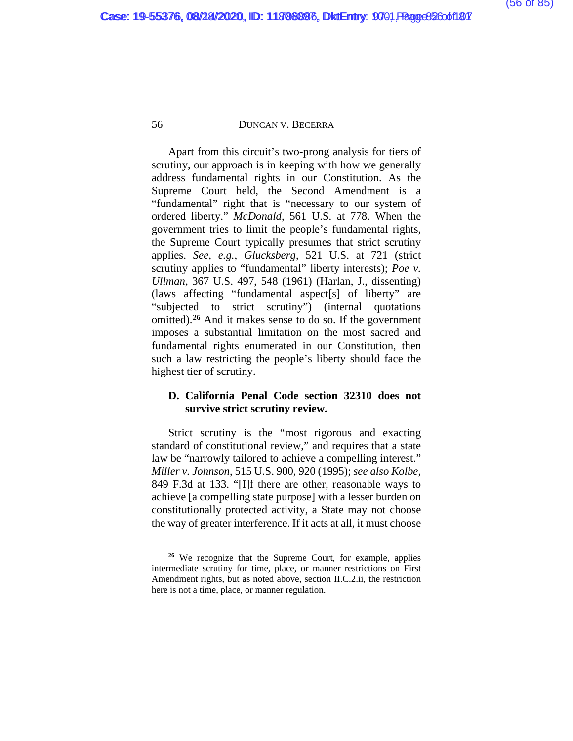Apart from this circuit's two-prong analysis for tiers of scrutiny, our approach is in keeping with how we generally address fundamental rights in our Constitution. As the Supreme Court held, the Second Amendment is a "fundamental" right that is "necessary to our system of ordered liberty." *McDonald*, 561 U.S. at 778. When the government tries to limit the people's fundamental rights, the Supreme Court typically presumes that strict scrutiny applies. *See, e.g.*, *Glucksberg*, 521 U.S. at 721 (strict scrutiny applies to "fundamental" liberty interests); *Poe v. Ullman*, 367 U.S. 497, 548 (1961) (Harlan, J., dissenting) (laws affecting "fundamental aspect[s] of liberty" are "subjected to strict scrutiny") (internal quotations omitted).**[26](#page-106-0)** And it makes sense to do so. If the government imposes a substantial limitation on the most sacred and fundamental rights enumerated in our Constitution, then such a law restricting the people's liberty should face the highest tier of scrutiny.

# **D. California Penal Code section 32310 does not survive strict scrutiny review.**

Strict scrutiny is the "most rigorous and exacting standard of constitutional review," and requires that a state law be "narrowly tailored to achieve a compelling interest." *Miller v. Johnson*, 515 U.S. 900, 920 (1995); *see also Kolbe*, 849 F.3d at 133. "[I]f there are other, reasonable ways to achieve [a compelling state purpose] with a lesser burden on constitutionally protected activity, a State may not choose the way of greater interference. If it acts at all, it must choose

**<sup>26</sup>** We recognize that the Supreme Court, for example, applies intermediate scrutiny for time, place, or manner restrictions on First Amendment rights, but as noted above, section II.C.2.ii, the restriction here is not a time, place, or manner regulation.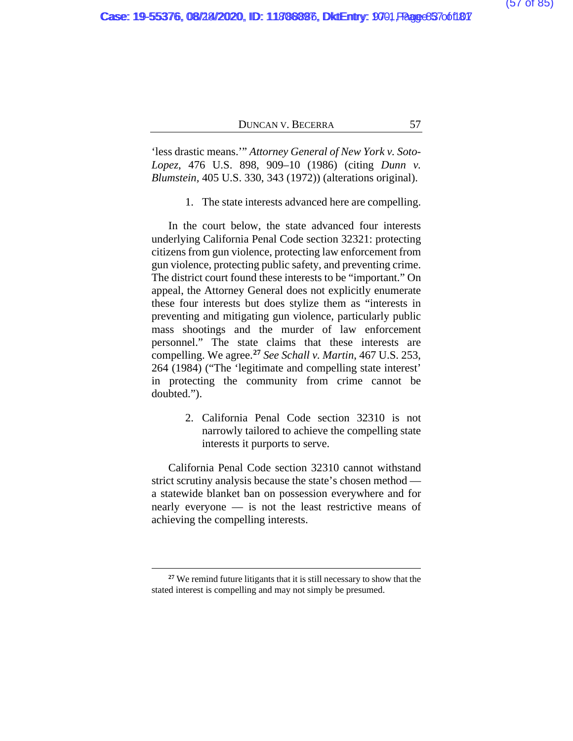'less drastic means.'" *Attorney General of New York v. Soto-Lopez*, 476 U.S. 898, 909–10 (1986) (citing *Dunn v. Blumstein,* 405 U.S. 330, 343 (1972)) (alterations original).

1. The state interests advanced here are compelling.

In the court below, the state advanced four interests underlying California Penal Code section 32321: protecting citizens from gun violence, protecting law enforcement from gun violence, protecting public safety, and preventing crime. The district court found these interests to be "important." On appeal, the Attorney General does not explicitly enumerate these four interests but does stylize them as "interests in preventing and mitigating gun violence, particularly public mass shootings and the murder of law enforcement personnel." The state claims that these interests are compelling. We agree.**[27](#page-106-0)** *See Schall v. Martin*, 467 U.S. 253, 264 (1984) ("The 'legitimate and compelling state interest' in protecting the community from crime cannot be doubted.").

> 2. California Penal Code section 32310 is not narrowly tailored to achieve the compelling state interests it purports to serve.

California Penal Code section 32310 cannot withstand strict scrutiny analysis because the state's chosen method a statewide blanket ban on possession everywhere and for nearly everyone — is not the least restrictive means of achieving the compelling interests.

**<sup>27</sup>** We remind future litigants that it is still necessary to show that the stated interest is compelling and may not simply be presumed.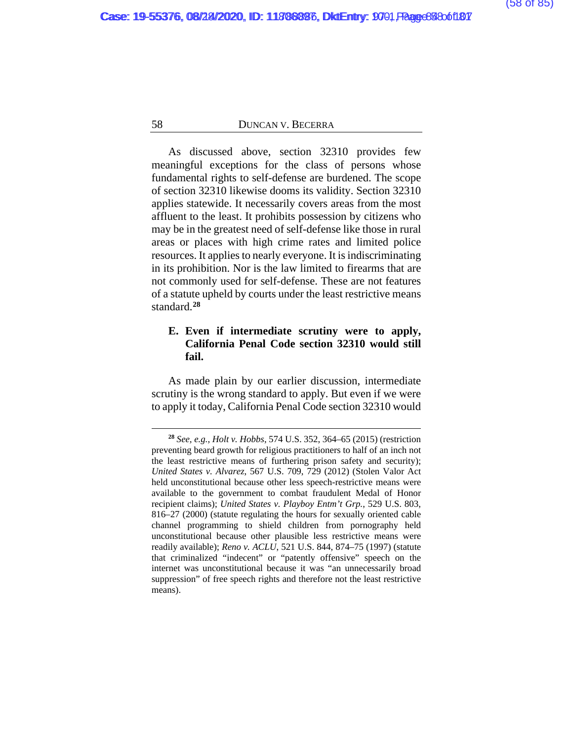As discussed above, section 32310 provides few meaningful exceptions for the class of persons whose fundamental rights to self-defense are burdened. The scope of section 32310 likewise dooms its validity. Section 32310 applies statewide. It necessarily covers areas from the most affluent to the least. It prohibits possession by citizens who may be in the greatest need of self-defense like those in rural areas or places with high crime rates and limited police resources. It applies to nearly everyone. It is indiscriminating in its prohibition. Nor is the law limited to firearms that are not commonly used for self-defense. These are not features of a statute upheld by courts under the least restrictive means standard.**[28](#page-106-0)**

# **E. Even if intermediate scrutiny were to apply, California Penal Code section 32310 would still fail.**

As made plain by our earlier discussion, intermediate scrutiny is the wrong standard to apply. But even if we were to apply it today, California Penal Code section 32310 would

**<sup>28</sup>** *See, e.g.*, *Holt v. Hobbs*, 574 U.S. 352, 364–65 (2015) (restriction preventing beard growth for religious practitioners to half of an inch not the least restrictive means of furthering prison safety and security); *United States v. Alvarez*, 567 U.S. 709, 729 (2012) (Stolen Valor Act held unconstitutional because other less speech-restrictive means were available to the government to combat fraudulent Medal of Honor recipient claims); *United States v. Playboy Entm't Grp.*, 529 U.S. 803, 816–27 (2000) (statute regulating the hours for sexually oriented cable channel programming to shield children from pornography held unconstitutional because other plausible less restrictive means were readily available); *Reno v. ACLU*, 521 U.S. 844, 874–75 (1997) (statute that criminalized "indecent" or "patently offensive" speech on the internet was unconstitutional because it was "an unnecessarily broad suppression" of free speech rights and therefore not the least restrictive means).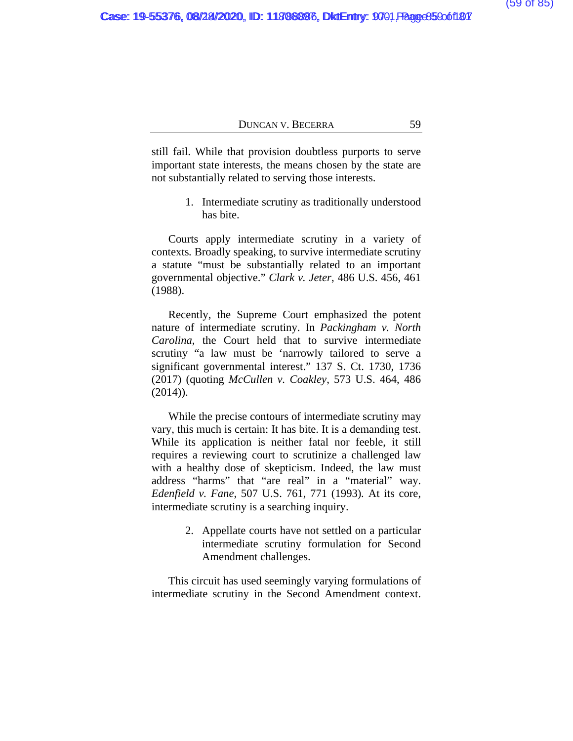still fail. While that provision doubtless purports to serve important state interests, the means chosen by the state are not substantially related to serving those interests.

> 1. Intermediate scrutiny as traditionally understood has bite.

Courts apply intermediate scrutiny in a variety of contexts*.* Broadly speaking, to survive intermediate scrutiny a statute "must be substantially related to an important governmental objective." *Clark v. Jeter*, 486 U.S. 456, 461 (1988).

Recently, the Supreme Court emphasized the potent nature of intermediate scrutiny. In *Packingham v. North Carolina*, the Court held that to survive intermediate scrutiny "a law must be 'narrowly tailored to serve a significant governmental interest." 137 S. Ct. 1730, 1736 (2017) (quoting *McCullen v. Coakley*, 573 U.S. 464, 486  $(2014)$ ).

While the precise contours of intermediate scrutiny may vary, this much is certain: It has bite. It is a demanding test. While its application is neither fatal nor feeble, it still requires a reviewing court to scrutinize a challenged law with a healthy dose of skepticism. Indeed, the law must address "harms" that "are real" in a "material" way. *Edenfield v. Fane*, 507 U.S. 761, 771 (1993)*.* At its core, intermediate scrutiny is a searching inquiry.

> 2. Appellate courts have not settled on a particular intermediate scrutiny formulation for Second Amendment challenges.

This circuit has used seemingly varying formulations of intermediate scrutiny in the Second Amendment context.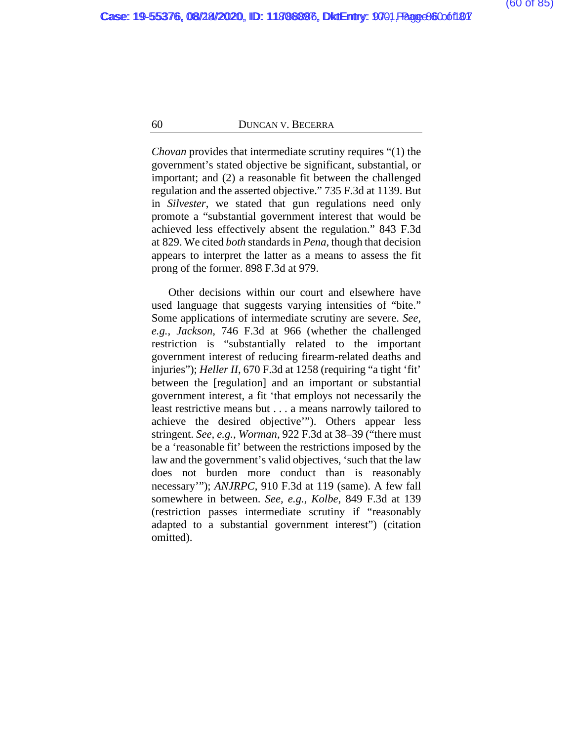*Chovan* provides that intermediate scrutiny requires "(1) the government's stated objective be significant, substantial, or important; and (2) a reasonable fit between the challenged regulation and the asserted objective." 735 F.3d at 1139. But in *Silvester*, we stated that gun regulations need only promote a "substantial government interest that would be achieved less effectively absent the regulation." 843 F.3d at 829. We cited *both* standards in *Pena*, though that decision appears to interpret the latter as a means to assess the fit prong of the former. 898 F.3d at 979.

Other decisions within our court and elsewhere have used language that suggests varying intensities of "bite." Some applications of intermediate scrutiny are severe. *See, e.g.*, *Jackson*, 746 F.3d at 966 (whether the challenged restriction is "substantially related to the important government interest of reducing firearm-related deaths and injuries"); *Heller II*, 670 F.3d at 1258 (requiring "a tight 'fit' between the [regulation] and an important or substantial government interest, a fit 'that employs not necessarily the least restrictive means but . . . a means narrowly tailored to achieve the desired objective'"). Others appear less stringent. *See, e.g.*, *Worman*, 922 F.3d at 38–39 ("there must be a 'reasonable fit' between the restrictions imposed by the law and the government's valid objectives, 'such that the law does not burden more conduct than is reasonably necessary'"); *ANJRPC*, 910 F.3d at 119 (same). A few fall somewhere in between. *See, e.g.*, *Kolbe*, 849 F.3d at 139 (restriction passes intermediate scrutiny if "reasonably adapted to a substantial government interest") (citation omitted).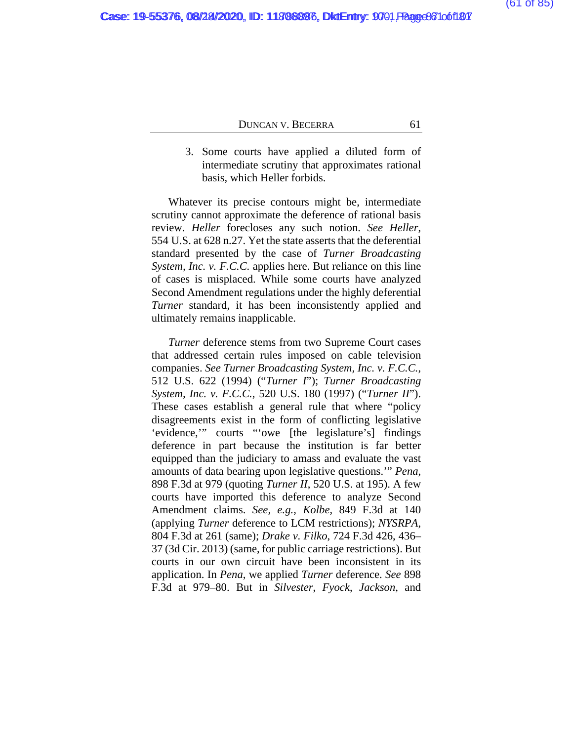3. Some courts have applied a diluted form of intermediate scrutiny that approximates rational basis, which Heller forbids.

Whatever its precise contours might be, intermediate scrutiny cannot approximate the deference of rational basis review. *Heller* forecloses any such notion. *See Heller*, 554 U.S. at 628 n.27. Yet the state asserts that the deferential standard presented by the case of *Turner Broadcasting System, Inc. v. F.C.C.* applies here. But reliance on this line of cases is misplaced. While some courts have analyzed Second Amendment regulations under the highly deferential *Turner* standard, it has been inconsistently applied and ultimately remains inapplicable.

*Turner* deference stems from two Supreme Court cases that addressed certain rules imposed on cable television companies. *See Turner Broadcasting System, Inc. v. F.C.C.*, 512 U.S. 622 (1994) ("*Turner I*"); *Turner Broadcasting System, Inc. v. F.C.C.*, 520 U.S. 180 (1997) ("*Turner II*"). These cases establish a general rule that where "policy disagreements exist in the form of conflicting legislative 'evidence,'" courts "'owe [the legislature's] findings deference in part because the institution is far better equipped than the judiciary to amass and evaluate the vast amounts of data bearing upon legislative questions.'" *Pena*, 898 F.3d at 979 (quoting *Turner II*, 520 U.S. at 195). A few courts have imported this deference to analyze Second Amendment claims. *See, e.g.*, *Kolbe*, 849 F.3d at 140 (applying *Turner* deference to LCM restrictions); *NYSRPA*, 804 F.3d at 261 (same); *Drake v. Filko*, 724 F.3d 426, 436– 37 (3d Cir. 2013) (same, for public carriage restrictions). But courts in our own circuit have been inconsistent in its application. In *Pena*, we applied *Turner* deference. *See* 898 F.3d at 979–80. But in *Silvester*, *Fyock*, *Jackson*, and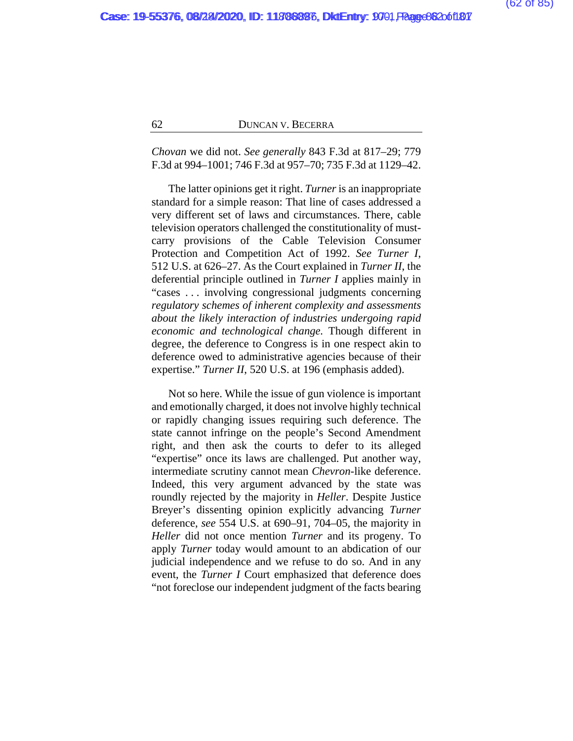*Chovan* we did not. *See generally* 843 F.3d at 817–29; 779 F.3d at 994–1001; 746 F.3d at 957–70; 735 F.3d at 1129–42.

The latter opinions get it right. *Turner* is an inappropriate standard for a simple reason: That line of cases addressed a very different set of laws and circumstances. There, cable television operators challenged the constitutionality of mustcarry provisions of the Cable Television Consumer Protection and Competition Act of 1992. *See Turner I*, 512 U.S. at 626–27. As the Court explained in *Turner II*, the deferential principle outlined in *Turner I* applies mainly in "cases . . . involving congressional judgments concerning *regulatory schemes of inherent complexity and assessments about the likely interaction of industries undergoing rapid economic and technological change.* Though different in degree, the deference to Congress is in one respect akin to deference owed to administrative agencies because of their expertise." *Turner II*, 520 U.S. at 196 (emphasis added).

Not so here. While the issue of gun violence is important and emotionally charged, it does not involve highly technical or rapidly changing issues requiring such deference. The state cannot infringe on the people's Second Amendment right, and then ask the courts to defer to its alleged "expertise" once its laws are challenged. Put another way, intermediate scrutiny cannot mean *Chevron*-like deference. Indeed, this very argument advanced by the state was roundly rejected by the majority in *Heller*. Despite Justice Breyer's dissenting opinion explicitly advancing *Turner* deference, *see* 554 U.S. at 690–91, 704–05, the majority in *Heller* did not once mention *Turner* and its progeny. To apply *Turner* today would amount to an abdication of our judicial independence and we refuse to do so. And in any event, the *Turner I* Court emphasized that deference does "not foreclose our independent judgment of the facts bearing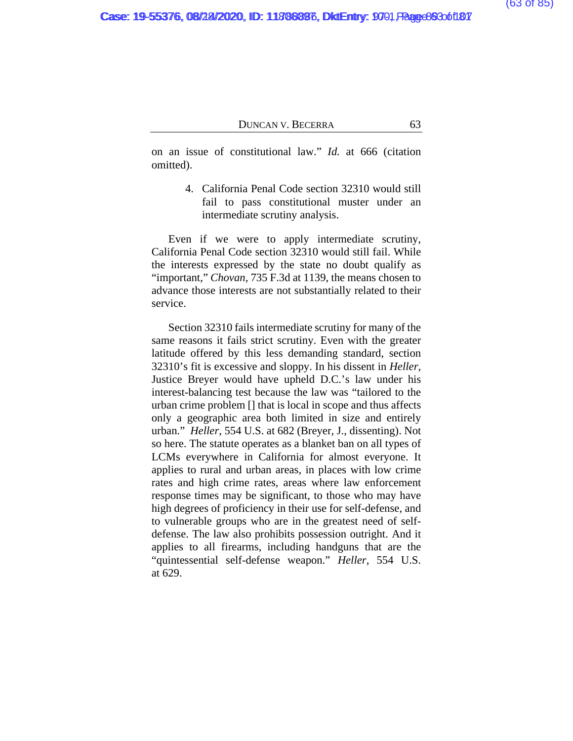on an issue of constitutional law." *Id.* at 666 (citation omitted).

> 4. California Penal Code section 32310 would still fail to pass constitutional muster under an intermediate scrutiny analysis.

Even if we were to apply intermediate scrutiny, California Penal Code section 32310 would still fail. While the interests expressed by the state no doubt qualify as "important," *Chovan*, 735 F.3d at 1139, the means chosen to advance those interests are not substantially related to their service.

Section 32310 fails intermediate scrutiny for many of the same reasons it fails strict scrutiny. Even with the greater latitude offered by this less demanding standard, section 32310's fit is excessive and sloppy. In his dissent in *Heller*, Justice Breyer would have upheld D.C.'s law under his interest-balancing test because the law was "tailored to the urban crime problem [] that is local in scope and thus affects only a geographic area both limited in size and entirely urban." *Heller*, 554 U.S. at 682 (Breyer, J., dissenting). Not so here. The statute operates as a blanket ban on all types of LCMs everywhere in California for almost everyone. It applies to rural and urban areas, in places with low crime rates and high crime rates, areas where law enforcement response times may be significant, to those who may have high degrees of proficiency in their use for self-defense, and to vulnerable groups who are in the greatest need of selfdefense. The law also prohibits possession outright. And it applies to all firearms, including handguns that are the "quintessential self-defense weapon." *Heller*, 554 U.S. at 629.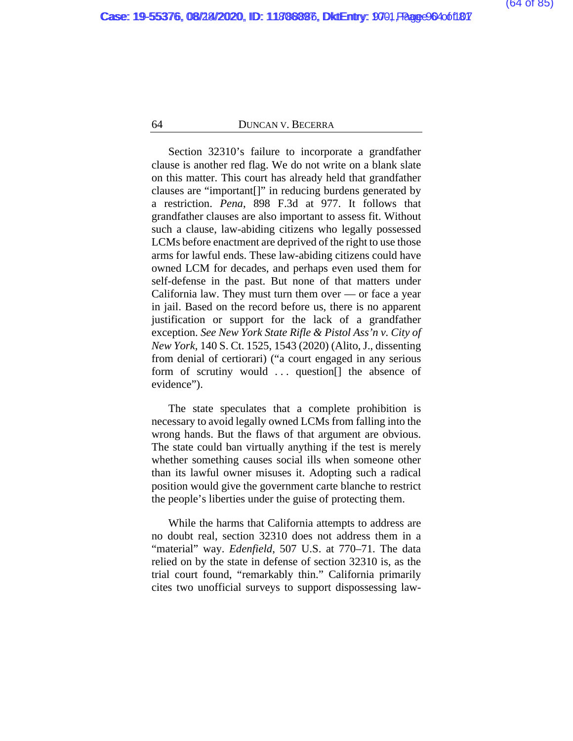Section 32310's failure to incorporate a grandfather clause is another red flag. We do not write on a blank slate on this matter. This court has already held that grandfather clauses are "important[]" in reducing burdens generated by a restriction. *Pena*, 898 F.3d at 977. It follows that grandfather clauses are also important to assess fit. Without such a clause, law-abiding citizens who legally possessed LCMs before enactment are deprived of the right to use those arms for lawful ends. These law-abiding citizens could have owned LCM for decades, and perhaps even used them for self-defense in the past. But none of that matters under California law. They must turn them over — or face a year in jail. Based on the record before us, there is no apparent justification or support for the lack of a grandfather exception. *See New York State Rifle & Pistol Ass'n v. City of New York*, 140 S. Ct. 1525, 1543 (2020) (Alito, J., dissenting from denial of certiorari) ("a court engaged in any serious form of scrutiny would ... question<sup>[]</sup> the absence of evidence").

The state speculates that a complete prohibition is necessary to avoid legally owned LCMs from falling into the wrong hands. But the flaws of that argument are obvious. The state could ban virtually anything if the test is merely whether something causes social ills when someone other than its lawful owner misuses it. Adopting such a radical position would give the government carte blanche to restrict the people's liberties under the guise of protecting them.

While the harms that California attempts to address are no doubt real, section 32310 does not address them in a "material" way. *Edenfield*, 507 U.S. at 770–71. The data relied on by the state in defense of section 32310 is, as the trial court found, "remarkably thin." California primarily cites two unofficial surveys to support dispossessing law-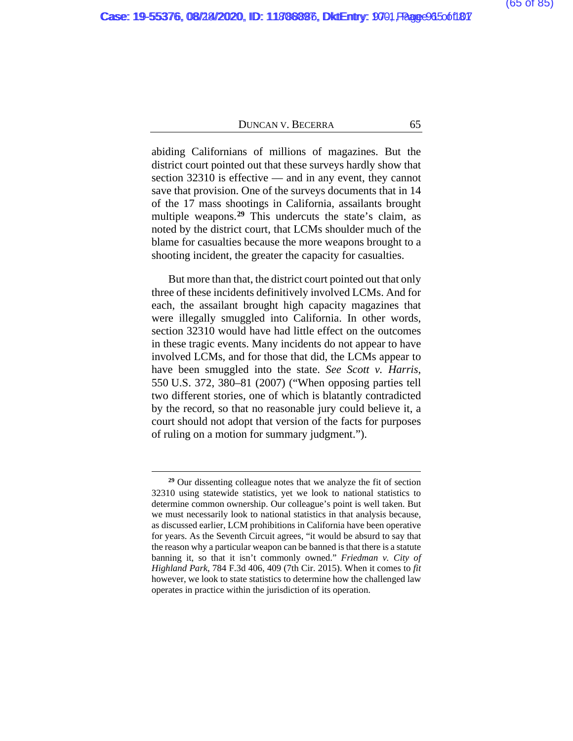abiding Californians of millions of magazines. But the district court pointed out that these surveys hardly show that section 32310 is effective — and in any event, they cannot save that provision. One of the surveys documents that in 14 of the 17 mass shootings in California, assailants brought multiple weapons.**[29](#page-106-0)** This undercuts the state's claim, as noted by the district court, that LCMs shoulder much of the blame for casualties because the more weapons brought to a shooting incident, the greater the capacity for casualties.

But more than that, the district court pointed out that only three of these incidents definitively involved LCMs. And for each, the assailant brought high capacity magazines that were illegally smuggled into California. In other words, section 32310 would have had little effect on the outcomes in these tragic events. Many incidents do not appear to have involved LCMs, and for those that did, the LCMs appear to have been smuggled into the state. *See Scott v. Harris*, 550 U.S. 372, 380–81 (2007) ("When opposing parties tell two different stories, one of which is blatantly contradicted by the record, so that no reasonable jury could believe it, a court should not adopt that version of the facts for purposes of ruling on a motion for summary judgment.").

**<sup>29</sup>** Our dissenting colleague notes that we analyze the fit of section 32310 using statewide statistics, yet we look to national statistics to determine common ownership. Our colleague's point is well taken. But we must necessarily look to national statistics in that analysis because, as discussed earlier, LCM prohibitions in California have been operative for years. As the Seventh Circuit agrees, "it would be absurd to say that the reason why a particular weapon can be banned is that there is a statute banning it, so that it isn't commonly owned." *Friedman v. City of Highland Park*, 784 F.3d 406, 409 (7th Cir. 2015). When it comes to *fit* however, we look to state statistics to determine how the challenged law operates in practice within the jurisdiction of its operation.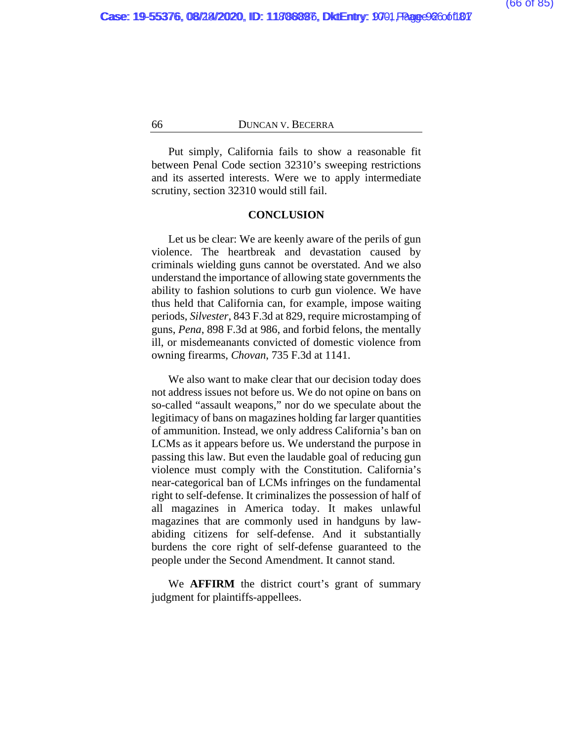Put simply, California fails to show a reasonable fit between Penal Code section 32310's sweeping restrictions and its asserted interests. Were we to apply intermediate scrutiny, section 32310 would still fail.

#### **CONCLUSION**

Let us be clear: We are keenly aware of the perils of gun violence. The heartbreak and devastation caused by criminals wielding guns cannot be overstated. And we also understand the importance of allowing state governments the ability to fashion solutions to curb gun violence. We have thus held that California can, for example, impose waiting periods, *Silvester*, 843 F.3d at 829, require microstamping of guns, *Pena*, 898 F.3d at 986, and forbid felons, the mentally ill, or misdemeanants convicted of domestic violence from owning firearms, *Chovan*, 735 F.3d at 1141.

We also want to make clear that our decision today does not address issues not before us. We do not opine on bans on so-called "assault weapons," nor do we speculate about the legitimacy of bans on magazines holding far larger quantities of ammunition. Instead, we only address California's ban on LCMs as it appears before us. We understand the purpose in passing this law. But even the laudable goal of reducing gun violence must comply with the Constitution. California's near-categorical ban of LCMs infringes on the fundamental right to self-defense. It criminalizes the possession of half of all magazines in America today. It makes unlawful magazines that are commonly used in handguns by lawabiding citizens for self-defense. And it substantially burdens the core right of self-defense guaranteed to the people under the Second Amendment. It cannot stand.

We **AFFIRM** the district court's grant of summary judgment for plaintiffs-appellees.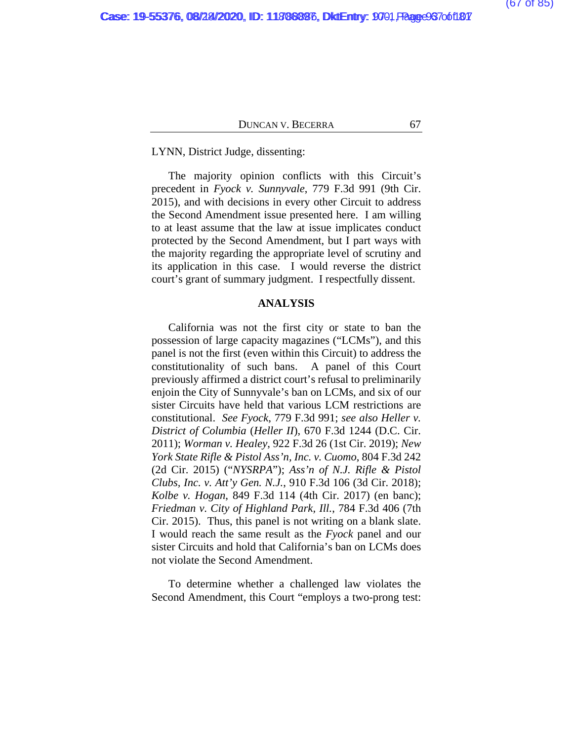LYNN, District Judge, dissenting:

The majority opinion conflicts with this Circuit's precedent in *Fyock v. Sunnyvale*, 779 F.3d 991 (9th Cir. 2015), and with decisions in every other Circuit to address the Second Amendment issue presented here. I am willing to at least assume that the law at issue implicates conduct protected by the Second Amendment, but I part ways with the majority regarding the appropriate level of scrutiny and its application in this case. I would reverse the district court's grant of summary judgment. I respectfully dissent.

#### **ANALYSIS**

California was not the first city or state to ban the possession of large capacity magazines ("LCMs"), and this panel is not the first (even within this Circuit) to address the constitutionality of such bans. A panel of this Court previously affirmed a district court's refusal to preliminarily enjoin the City of Sunnyvale's ban on LCMs, and six of our sister Circuits have held that various LCM restrictions are constitutional. *See Fyock*, 779 F.3d 991; *see also Heller v. District of Columbia* (*Heller II*), 670 F.3d 1244 (D.C. Cir. 2011); *Worman v. Healey*, 922 F.3d 26 (1st Cir. 2019); *New York State Rifle & Pistol Ass'n, Inc. v. Cuomo*, 804 F.3d 242 (2d Cir. 2015) ("*NYSRPA*"); *Ass'n of N.J. Rifle & Pistol Clubs, Inc. v. Att'y Gen. N.J.*, 910 F.3d 106 (3d Cir. 2018); *Kolbe v. Hogan*, 849 F.3d 114 (4th Cir. 2017) (en banc); *Friedman v. City of Highland Park, Ill.*, 784 F.3d 406 (7th Cir. 2015). Thus, this panel is not writing on a blank slate. I would reach the same result as the *Fyock* panel and our sister Circuits and hold that California's ban on LCMs does not violate the Second Amendment.

To determine whether a challenged law violates the Second Amendment, this Court "employs a two-prong test: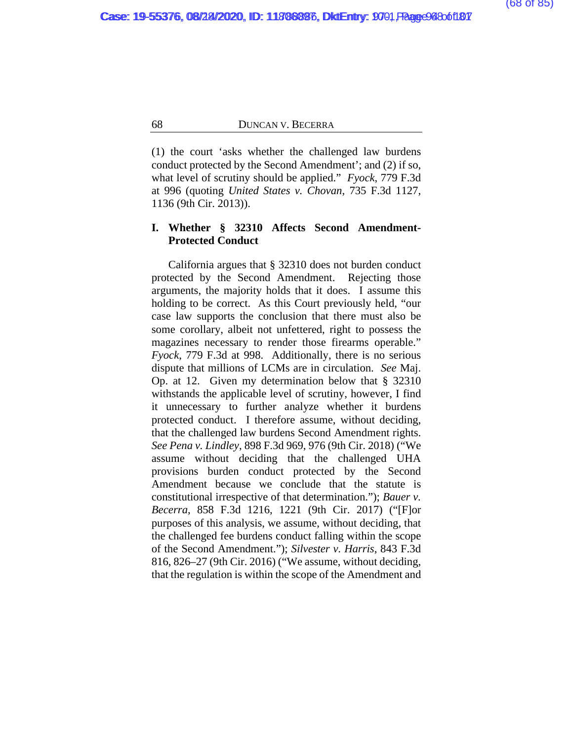(1) the court 'asks whether the challenged law burdens conduct protected by the Second Amendment'; and (2) if so, what level of scrutiny should be applied." *Fyock*, 779 F.3d at 996 (quoting *United States v. Chovan*, 735 F.3d 1127, 1136 (9th Cir. 2013)).

# **I. Whether § 32310 Affects Second Amendment-Protected Conduct**

California argues that § 32310 does not burden conduct protected by the Second Amendment. Rejecting those arguments, the majority holds that it does. I assume this holding to be correct. As this Court previously held, "our case law supports the conclusion that there must also be some corollary, albeit not unfettered, right to possess the magazines necessary to render those firearms operable." *Fyock*, 779 F.3d at 998. Additionally, there is no serious dispute that millions of LCMs are in circulation. *See* Maj. Op. at [12.](#page-106-0) Given my determination below that § 32310 withstands the applicable level of scrutiny, however, I find it unnecessary to further analyze whether it burdens protected conduct. I therefore assume, without deciding, that the challenged law burdens Second Amendment rights. *See Pena v. Lindley*, 898 F.3d 969, 976 (9th Cir. 2018) ("We assume without deciding that the challenged UHA provisions burden conduct protected by the Second Amendment because we conclude that the statute is constitutional irrespective of that determination."); *Bauer v. Becerra*, 858 F.3d 1216, 1221 (9th Cir. 2017) ("[F]or purposes of this analysis, we assume, without deciding, that the challenged fee burdens conduct falling within the scope of the Second Amendment."); *Silvester v. Harris*, 843 F.3d 816, 826–27 (9th Cir. 2016) ("We assume, without deciding, that the regulation is within the scope of the Amendment and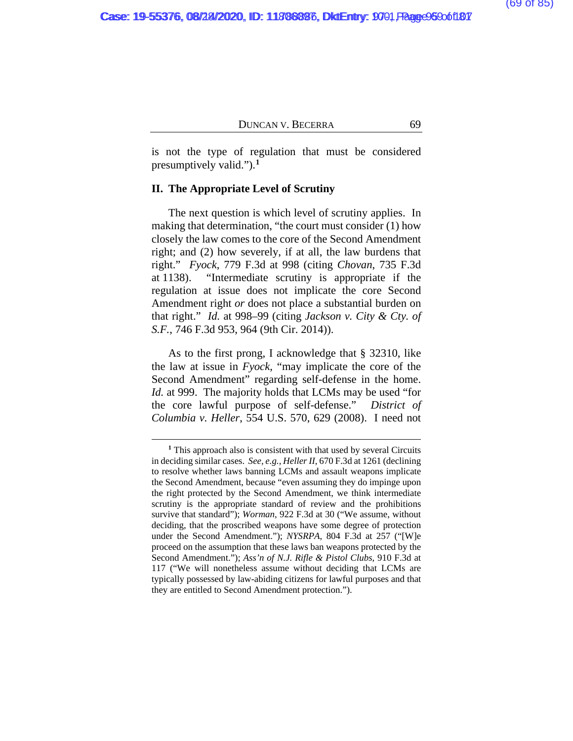is not the type of regulation that must be considered presumptively valid.").**[1](#page-106-0)**

#### **II. The Appropriate Level of Scrutiny**

The next question is which level of scrutiny applies. In making that determination, "the court must consider (1) how closely the law comes to the core of the Second Amendment right; and (2) how severely, if at all, the law burdens that right." *Fyock*, 779 F.3d at 998 (citing *Chovan*, 735 F.3d at 1138). "Intermediate scrutiny is appropriate if the regulation at issue does not implicate the core Second Amendment right *or* does not place a substantial burden on that right." *Id.* at 998–99 (citing *Jackson v. City & Cty. of S.F.*, 746 F.3d 953, 964 (9th Cir. 2014)).

As to the first prong, I acknowledge that § 32310, like the law at issue in *Fyock*, "may implicate the core of the Second Amendment" regarding self-defense in the home. *Id.* at 999. The majority holds that LCMs may be used "for the core lawful purpose of self-defense." *District of Columbia v. Heller*, 554 U.S. 570, 629 (2008). I need not

**<sup>1</sup>** This approach also is consistent with that used by several Circuits in deciding similar cases. *See, e.g.*, *Heller II*, 670 F.3d at 1261 (declining to resolve whether laws banning LCMs and assault weapons implicate the Second Amendment, because "even assuming they do impinge upon the right protected by the Second Amendment, we think intermediate scrutiny is the appropriate standard of review and the prohibitions survive that standard"); *Worman*, 922 F.3d at 30 ("We assume, without deciding, that the proscribed weapons have some degree of protection under the Second Amendment."); *NYSRPA*, 804 F.3d at 257 ("[W]e proceed on the assumption that these laws ban weapons protected by the Second Amendment."); *Ass'n of N.J. Rifle & Pistol Clubs*, 910 F.3d at 117 ("We will nonetheless assume without deciding that LCMs are typically possessed by law-abiding citizens for lawful purposes and that they are entitled to Second Amendment protection.").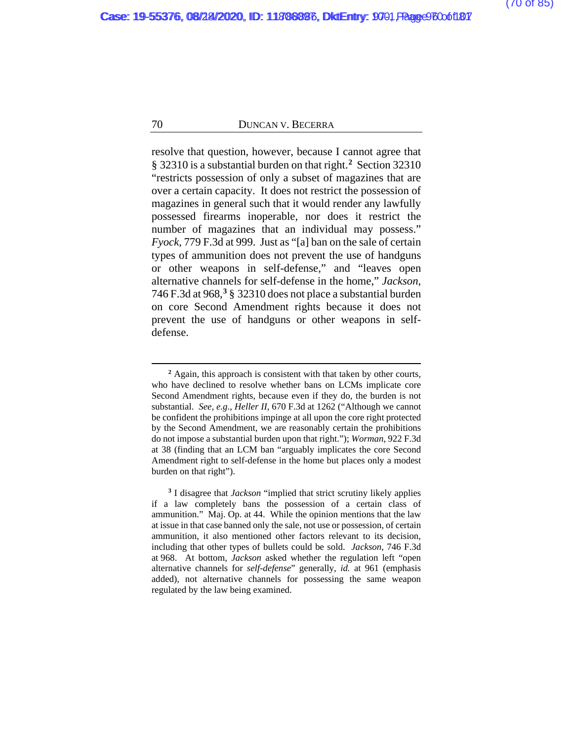resolve that question, however, because I cannot agree that § 32310 is a substantial burden on that right.**[2](#page-106-0)** Section 32310 "restricts possession of only a subset of magazines that are over a certain capacity. It does not restrict the possession of magazines in general such that it would render any lawfully possessed firearms inoperable, nor does it restrict the number of magazines that an individual may possess." *Fyock*, 779 F.3d at 999. Just as "[a] ban on the sale of certain types of ammunition does not prevent the use of handguns or other weapons in self-defense," and "leaves open alternative channels for self-defense in the home," *Jackson*, 746 F.3d at 968,**[3](#page-106-0)** § 32310 does not place a substantial burden on core Second Amendment rights because it does not prevent the use of handguns or other weapons in selfdefense.

<sup>&</sup>lt;sup>2</sup> Again, this approach is consistent with that taken by other courts, who have declined to resolve whether bans on LCMs implicate core Second Amendment rights, because even if they do, the burden is not substantial. *See, e.g.*, *Heller II*, 670 F.3d at 1262 ("Although we cannot be confident the prohibitions impinge at all upon the core right protected by the Second Amendment, we are reasonably certain the prohibitions do not impose a substantial burden upon that right."); *Worman*, 922 F.3d at 38 (finding that an LCM ban "arguably implicates the core Second Amendment right to self-defense in the home but places only a modest burden on that right").

**<sup>3</sup>** I disagree that *Jackson* "implied that strict scrutiny likely applies if a law completely bans the possession of a certain class of ammunition." Maj. Op. at [44.](#page-106-0) While the opinion mentions that the law at issue in that case banned only the sale, not use or possession, of certain ammunition, it also mentioned other factors relevant to its decision, including that other types of bullets could be sold. *Jackson*, 746 F.3d at 968. At bottom, *Jackson* asked whether the regulation left "open alternative channels for *self-defense*" generally, *id.* at 961 (emphasis added), not alternative channels for possessing the same weapon regulated by the law being examined.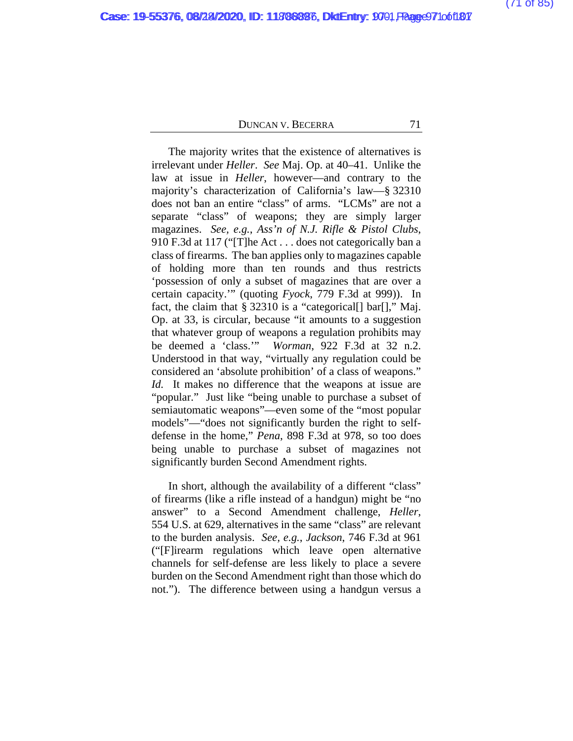The majority writes that the existence of alternatives is irrelevant under *Heller*. *See* Maj. Op. at [40–41.](#page-106-0) Unlike the law at issue in *Heller*, however—and contrary to the majority's characterization of California's law—§ 32310 does not ban an entire "class" of arms. "LCMs" are not a separate "class" of weapons; they are simply larger magazines. *See, e.g.*, *Ass'n of N.J. Rifle & Pistol Clubs*, 910 F.3d at 117 ("[T]he Act . . . does not categorically ban a class of firearms. The ban applies only to magazines capable of holding more than ten rounds and thus restricts 'possession of only a subset of magazines that are over a certain capacity.'" (quoting *Fyock*, 779 F.3d at 999)).In fact, the claim that § 32310 is a "categorical[] bar[]," Maj. Op. at [33,](#page-106-0) is circular, because "it amounts to a suggestion that whatever group of weapons a regulation prohibits may be deemed a 'class.'" *Worman*, 922 F.3d at 32 n.2. Understood in that way, "virtually any regulation could be considered an 'absolute prohibition' of a class of weapons." *Id.* It makes no difference that the weapons at issue are "popular." Just like "being unable to purchase a subset of semiautomatic weapons"—even some of the "most popular models"—"does not significantly burden the right to selfdefense in the home," *Pena*, 898 F.3d at 978, so too does being unable to purchase a subset of magazines not significantly burden Second Amendment rights.

In short, although the availability of a different "class" of firearms (like a rifle instead of a handgun) might be "no answer" to a Second Amendment challenge, *Heller*, 554 U.S. at 629, alternatives in the same "class" are relevant to the burden analysis. *See, e.g.*, *Jackson*, 746 F.3d at 961 ("[F]irearm regulations which leave open alternative channels for self-defense are less likely to place a severe burden on the Second Amendment right than those which do not."). The difference between using a handgun versus a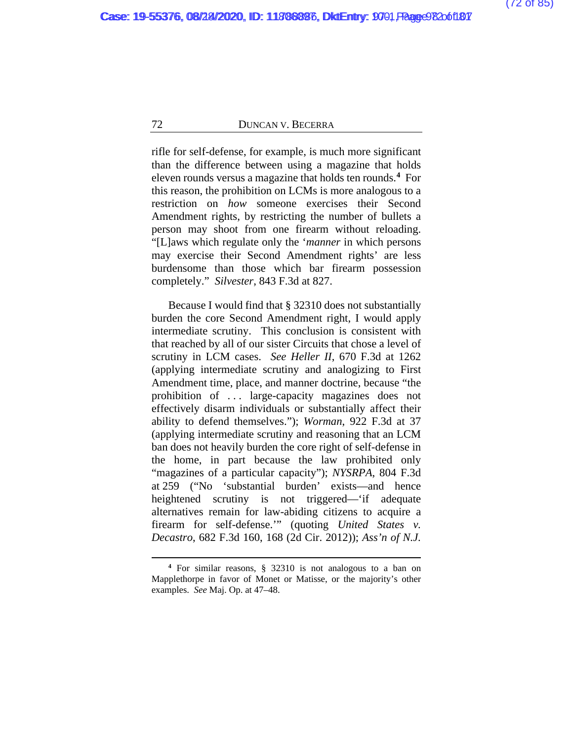rifle for self-defense, for example, is much more significant than the difference between using a magazine that holds eleven rounds versus a magazine that holds ten rounds.**[4](#page-106-0)** For this reason, the prohibition on LCMs is more analogous to a restriction on *how* someone exercises their Second Amendment rights, by restricting the number of bullets a person may shoot from one firearm without reloading. "[L]aws which regulate only the '*manner* in which persons may exercise their Second Amendment rights' are less burdensome than those which bar firearm possession completely." *Silvester*, 843 F.3d at 827.

Because I would find that § 32310 does not substantially burden the core Second Amendment right, I would apply intermediate scrutiny. This conclusion is consistent with that reached by all of our sister Circuits that chose a level of scrutiny in LCM cases. *See Heller II*, 670 F.3d at 1262 (applying intermediate scrutiny and analogizing to First Amendment time, place, and manner doctrine, because "the prohibition of . . . large-capacity magazines does not effectively disarm individuals or substantially affect their ability to defend themselves."); *Worman*, 922 F.3d at 37 (applying intermediate scrutiny and reasoning that an LCM ban does not heavily burden the core right of self-defense in the home, in part because the law prohibited only "magazines of a particular capacity"); *NYSRPA*, 804 F.3d at 259 ("No 'substantial burden' exists—and hence heightened scrutiny is not triggered—'if adequate alternatives remain for law-abiding citizens to acquire a firearm for self-defense.'" (quoting *United States v. Decastro*, 682 F.3d 160, 168 (2d Cir. 2012)); *Ass'n of N.J.* 

**<sup>4</sup>** For similar reasons, § 32310 is not analogous to a ban on Mapplethorpe in favor of Monet or Matisse, or the majority's other examples. *See* Maj. Op. a[t 47–48.](#page-106-0)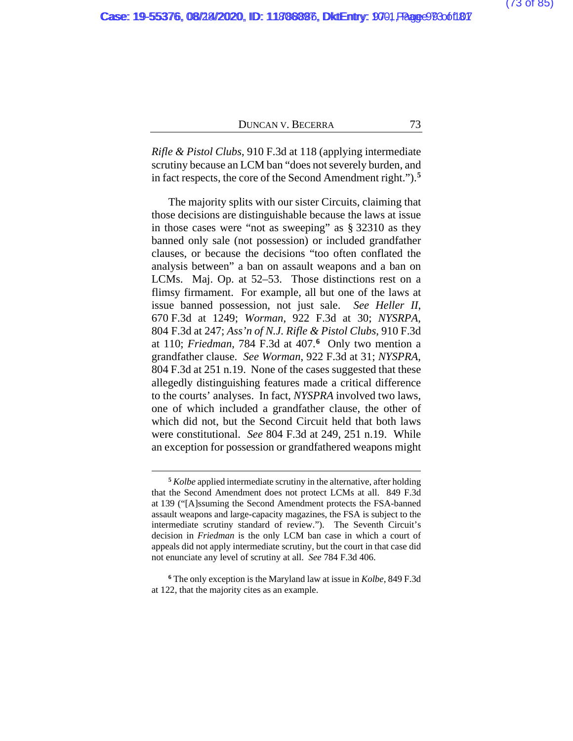*Rifle & Pistol Clubs*, 910 F.3d at 118 (applying intermediate scrutiny because an LCM ban "does not severely burden, and in fact respects, the core of the Second Amendment right.").**[5](#page-106-0)**

The majority splits with our sister Circuits, claiming that those decisions are distinguishable because the laws at issue in those cases were "not as sweeping" as § 32310 as they banned only sale (not possession) or included grandfather clauses, or because the decisions "too often conflated the analysis between" a ban on assault weapons and a ban on LCMs. Maj. Op. at [52–53.](#page-106-0) Those distinctions rest on a flimsy firmament. For example, all but one of the laws at issue banned possession, not just sale. *See Heller II*, 670 F.3d at 1249; *Worman*, 922 F.3d at 30; *NYSRPA*, 804 F.3d at 247; *Ass'n of N.J. Rifle & Pistol Clubs*, 910 F.3d at 110; *Friedman*, 784 F.3d at 407.**[6](#page-106-0)** Only two mention a grandfather clause. *See Worman*, 922 F.3d at 31; *NYSPRA*, 804 F.3d at 251 n.19. None of the cases suggested that these allegedly distinguishing features made a critical difference to the courts' analyses. In fact, *NYSPRA* involved two laws, one of which included a grandfather clause, the other of which did not, but the Second Circuit held that both laws were constitutional. *See* 804 F.3d at 249, 251 n.19. While an exception for possession or grandfathered weapons might

**<sup>5</sup>** *Kolbe* applied intermediate scrutiny in the alternative, after holding that the Second Amendment does not protect LCMs at all. 849 F.3d at 139 ("[A]ssuming the Second Amendment protects the FSA-banned assault weapons and large-capacity magazines, the FSA is subject to the intermediate scrutiny standard of review."). The Seventh Circuit's decision in *Friedman* is the only LCM ban case in which a court of appeals did not apply intermediate scrutiny, but the court in that case did not enunciate any level of scrutiny at all. *See* 784 F.3d 406.

**<sup>6</sup>** The only exception is the Maryland law at issue in *Kolbe*, 849 F.3d at 122, that the majority cites as an example.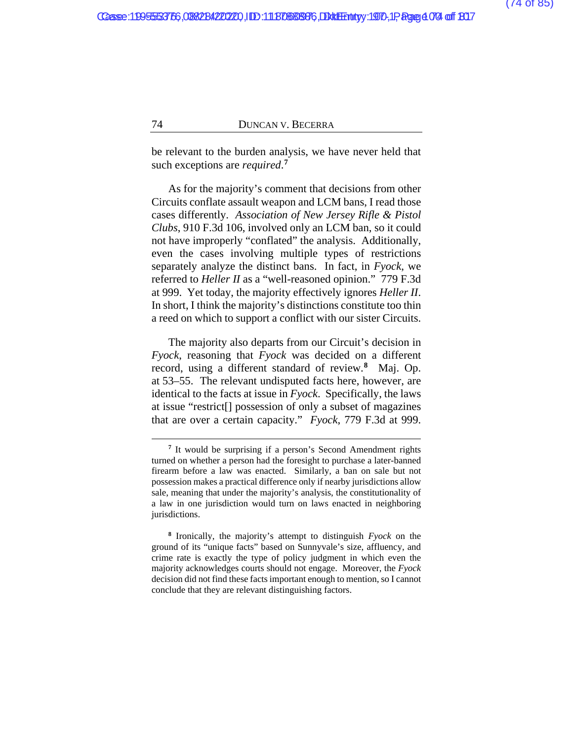be relevant to the burden analysis, we have never held that such exceptions are *required*. **[7](#page-106-0)**

As for the majority's comment that decisions from other Circuits conflate assault weapon and LCM bans, I read those cases differently. *Association of New Jersey Rifle & Pistol Clubs*, 910 F.3d 106, involved only an LCM ban, so it could not have improperly "conflated" the analysis. Additionally, even the cases involving multiple types of restrictions separately analyze the distinct bans. In fact, in *Fyock*, we referred to *Heller II* as a "well-reasoned opinion." 779 F.3d at 999. Yet today, the majority effectively ignores *Heller II*. In short, I think the majority's distinctions constitute too thin a reed on which to support a conflict with our sister Circuits.

The majority also departs from our Circuit's decision in *Fyock*, reasoning that *Fyock* was decided on a different record, using a different standard of review.**[8](#page-106-0)** Maj. Op. at [53–55.](#page-106-0) The relevant undisputed facts here, however, are identical to the facts at issue in *Fyock*. Specifically, the laws at issue "restrict[] possession of only a subset of magazines that are over a certain capacity." *Fyock*, 779 F.3d at 999.

**<sup>7</sup>** It would be surprising if a person's Second Amendment rights turned on whether a person had the foresight to purchase a later-banned firearm before a law was enacted. Similarly, a ban on sale but not possession makes a practical difference only if nearby jurisdictions allow sale, meaning that under the majority's analysis, the constitutionality of a law in one jurisdiction would turn on laws enacted in neighboring jurisdictions.

**<sup>8</sup>** Ironically, the majority's attempt to distinguish *Fyock* on the ground of its "unique facts" based on Sunnyvale's size, affluency, and crime rate is exactly the type of policy judgment in which even the majority acknowledges courts should not engage. Moreover, the *Fyock*  decision did not find these facts important enough to mention, so I cannot conclude that they are relevant distinguishing factors.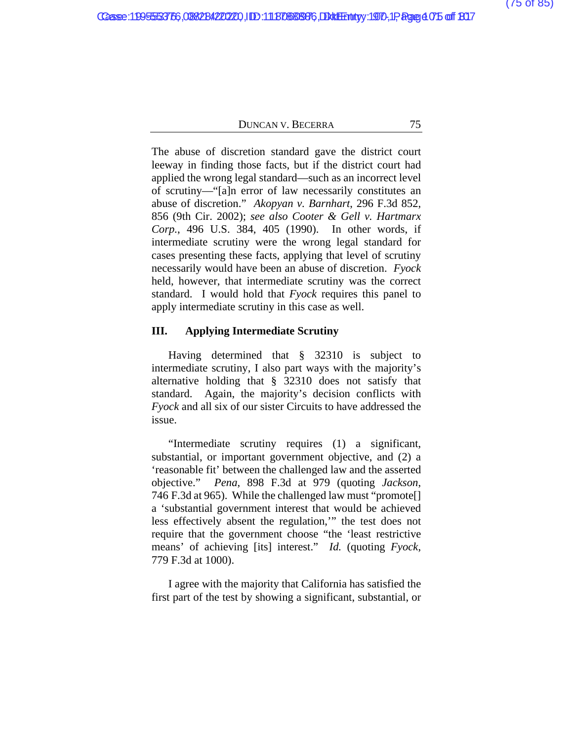The abuse of discretion standard gave the district court leeway in finding those facts, but if the district court had applied the wrong legal standard—such as an incorrect level of scrutiny—"[a]n error of law necessarily constitutes an abuse of discretion." *Akopyan v. Barnhart*, 296 F.3d 852, 856 (9th Cir. 2002); *see also Cooter & Gell v. Hartmarx Corp.*, 496 U.S. 384, 405 (1990). In other words, if intermediate scrutiny were the wrong legal standard for cases presenting these facts, applying that level of scrutiny necessarily would have been an abuse of discretion. *Fyock*  held, however, that intermediate scrutiny was the correct standard. I would hold that *Fyock* requires this panel to apply intermediate scrutiny in this case as well.

# **III. Applying Intermediate Scrutiny**

Having determined that § 32310 is subject to intermediate scrutiny, I also part ways with the majority's alternative holding that § 32310 does not satisfy that standard. Again, the majority's decision conflicts with *Fyock* and all six of our sister Circuits to have addressed the issue.

"Intermediate scrutiny requires (1) a significant, substantial, or important government objective, and (2) a 'reasonable fit' between the challenged law and the asserted objective." *Pena*, 898 F.3d at 979 (quoting *Jackson*, 746 F.3d at 965). While the challenged law must "promote[] a 'substantial government interest that would be achieved less effectively absent the regulation,'" the test does not require that the government choose "the 'least restrictive means' of achieving [its] interest." *Id.* (quoting *Fyock*, 779 F.3d at 1000).

I agree with the majority that California has satisfied the first part of the test by showing a significant, substantial, or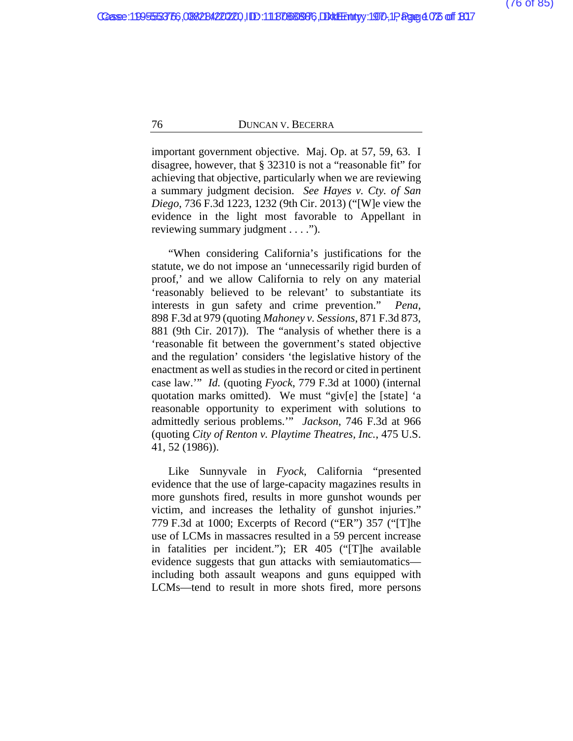important government objective. Maj. Op. at [57, 59, 63.](#page-106-0) I disagree, however, that § 32310 is not a "reasonable fit" for achieving that objective, particularly when we are reviewing a summary judgment decision. *See Hayes v. Cty. of San Diego*, 736 F.3d 1223, 1232 (9th Cir. 2013) ("[W]e view the evidence in the light most favorable to Appellant in reviewing summary judgment . . . .").

"When considering California's justifications for the statute, we do not impose an 'unnecessarily rigid burden of proof,' and we allow California to rely on any material 'reasonably believed to be relevant' to substantiate its interests in gun safety and crime prevention." *Pena*, 898 F.3d at 979 (quoting *Mahoney v. Sessions*, 871 F.3d 873, 881 (9th Cir. 2017)). The "analysis of whether there is a 'reasonable fit between the government's stated objective and the regulation' considers 'the legislative history of the enactment as well as studies in the record or cited in pertinent case law.'" *Id.* (quoting *Fyock*, 779 F.3d at 1000) (internal quotation marks omitted). We must "giv[e] the [state] 'a reasonable opportunity to experiment with solutions to admittedly serious problems.'" *Jackson*, 746 F.3d at 966 (quoting *City of Renton v. Playtime Theatres, Inc.*, 475 U.S. 41, 52 (1986)).

Like Sunnyvale in *Fyock*, California "presented evidence that the use of large-capacity magazines results in more gunshots fired, results in more gunshot wounds per victim, and increases the lethality of gunshot injuries." 779 F.3d at 1000; Excerpts of Record ("ER") 357 ("[T]he use of LCMs in massacres resulted in a 59 percent increase in fatalities per incident."); ER 405 ("[T]he available evidence suggests that gun attacks with semiautomatics including both assault weapons and guns equipped with LCMs—tend to result in more shots fired, more persons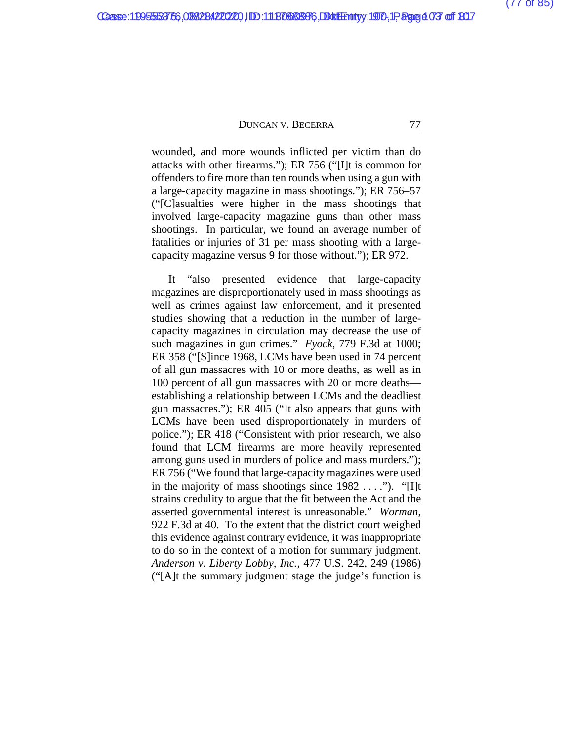wounded, and more wounds inflicted per victim than do attacks with other firearms."); ER 756 ("[I]t is common for offenders to fire more than ten rounds when using a gun with a large-capacity magazine in mass shootings."); ER 756–57 ("[C]asualties were higher in the mass shootings that involved large-capacity magazine guns than other mass shootings. In particular, we found an average number of fatalities or injuries of 31 per mass shooting with a largecapacity magazine versus 9 for those without."); ER 972.

It "also presented evidence that large-capacity magazines are disproportionately used in mass shootings as well as crimes against law enforcement, and it presented studies showing that a reduction in the number of largecapacity magazines in circulation may decrease the use of such magazines in gun crimes." *Fyock*, 779 F.3d at 1000; ER 358 ("[S]ince 1968, LCMs have been used in 74 percent of all gun massacres with 10 or more deaths, as well as in 100 percent of all gun massacres with 20 or more deaths establishing a relationship between LCMs and the deadliest gun massacres."); ER 405 ("It also appears that guns with LCMs have been used disproportionately in murders of police."); ER 418 ("Consistent with prior research, we also found that LCM firearms are more heavily represented among guns used in murders of police and mass murders."); ER 756 ("We found that large-capacity magazines were used in the majority of mass shootings since  $1982 \ldots$ "). "[I]t strains credulity to argue that the fit between the Act and the asserted governmental interest is unreasonable." *Worman*, 922 F.3d at 40. To the extent that the district court weighed this evidence against contrary evidence, it was inappropriate to do so in the context of a motion for summary judgment. *Anderson v. Liberty Lobby, Inc.*, 477 U.S. 242, 249 (1986) ("[A]t the summary judgment stage the judge's function is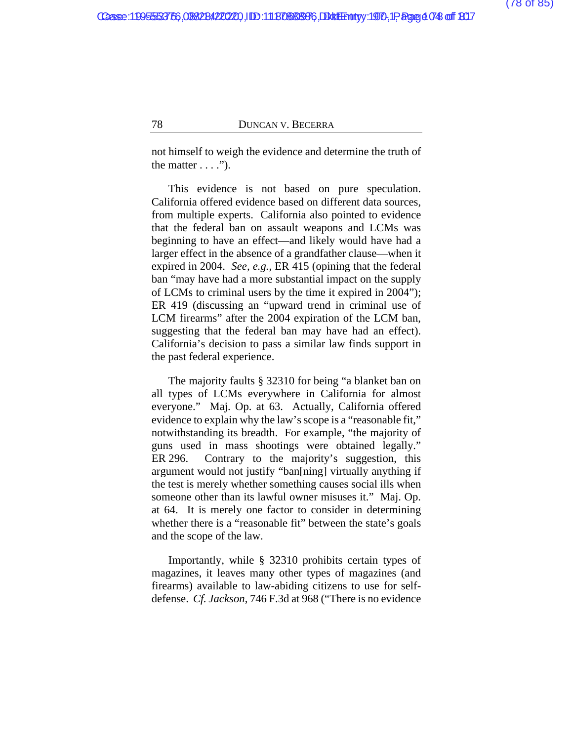not himself to weigh the evidence and determine the truth of the matter  $\dots$  .").

This evidence is not based on pure speculation. California offered evidence based on different data sources, from multiple experts. California also pointed to evidence that the federal ban on assault weapons and LCMs was beginning to have an effect—and likely would have had a larger effect in the absence of a grandfather clause—when it expired in 2004. *See, e.g.*, ER 415 (opining that the federal ban "may have had a more substantial impact on the supply of LCMs to criminal users by the time it expired in 2004"); ER 419 (discussing an "upward trend in criminal use of LCM firearms" after the 2004 expiration of the LCM ban, suggesting that the federal ban may have had an effect). California's decision to pass a similar law finds support in the past federal experience.

The majority faults § 32310 for being "a blanket ban on all types of LCMs everywhere in California for almost everyone." Maj. Op. at [63.](#page-106-0) Actually, California offered evidence to explain why the law's scope is a "reasonable fit," notwithstanding its breadth. For example, "the majority of guns used in mass shootings were obtained legally." ER 296. Contrary to the majority's suggestion, this argument would not justify "ban[ning] virtually anything if the test is merely whether something causes social ills when someone other than its lawful owner misuses it." Maj. Op. at [64.](#page-106-0) It is merely one factor to consider in determining whether there is a "reasonable fit" between the state's goals and the scope of the law.

Importantly, while § 32310 prohibits certain types of magazines, it leaves many other types of magazines (and firearms) available to law-abiding citizens to use for selfdefense. *Cf. Jackson*, 746 F.3d at 968 ("There is no evidence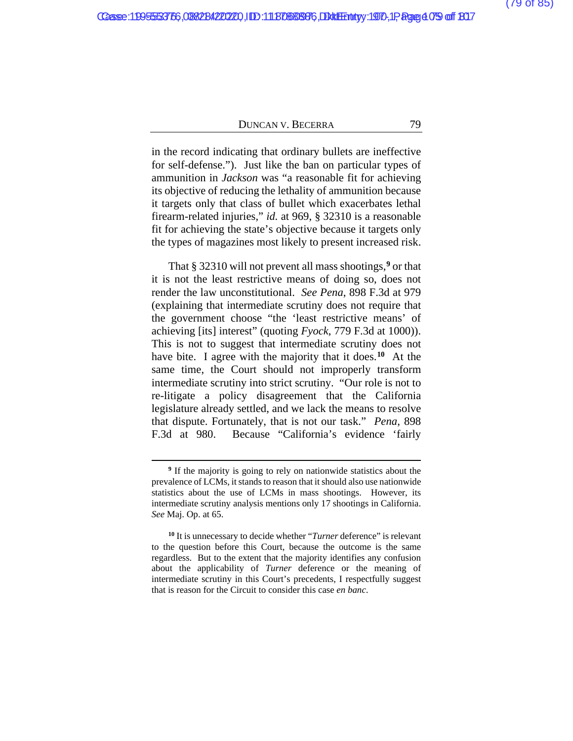in the record indicating that ordinary bullets are ineffective for self-defense."). Just like the ban on particular types of ammunition in *Jackson* was "a reasonable fit for achieving its objective of reducing the lethality of ammunition because it targets only that class of bullet which exacerbates lethal firearm-related injuries," *id.* at 969, § 32310 is a reasonable fit for achieving the state's objective because it targets only the types of magazines most likely to present increased risk.

That § 32310 will not prevent all mass shootings,**[9](#page-106-0)** or that it is not the least restrictive means of doing so, does not render the law unconstitutional. *See Pena*, 898 F.3d at 979 (explaining that intermediate scrutiny does not require that the government choose "the 'least restrictive means' of achieving [its] interest" (quoting *Fyock*, 779 F.3d at 1000)). This is not to suggest that intermediate scrutiny does not have bite. I agree with the majority that it does.**[10](#page-106-0)** At the same time, the Court should not improperly transform intermediate scrutiny into strict scrutiny. "Our role is not to re-litigate a policy disagreement that the California legislature already settled, and we lack the means to resolve that dispute. Fortunately, that is not our task." *Pena*, 898 F.3d at 980. Because "California's evidence 'fairly

**<sup>9</sup>** If the majority is going to rely on nationwide statistics about the prevalence of LCMs, it stands to reason that it should also use nationwide statistics about the use of LCMs in mass shootings. However, its intermediate scrutiny analysis mentions only 17 shootings in California. *See* Maj. Op. at [65.](#page-106-0)

**<sup>10</sup>** It is unnecessary to decide whether "*Turner* deference" is relevant to the question before this Court, because the outcome is the same regardless. But to the extent that the majority identifies any confusion about the applicability of *Turner* deference or the meaning of intermediate scrutiny in this Court's precedents, I respectfully suggest that is reason for the Circuit to consider this case *en banc*.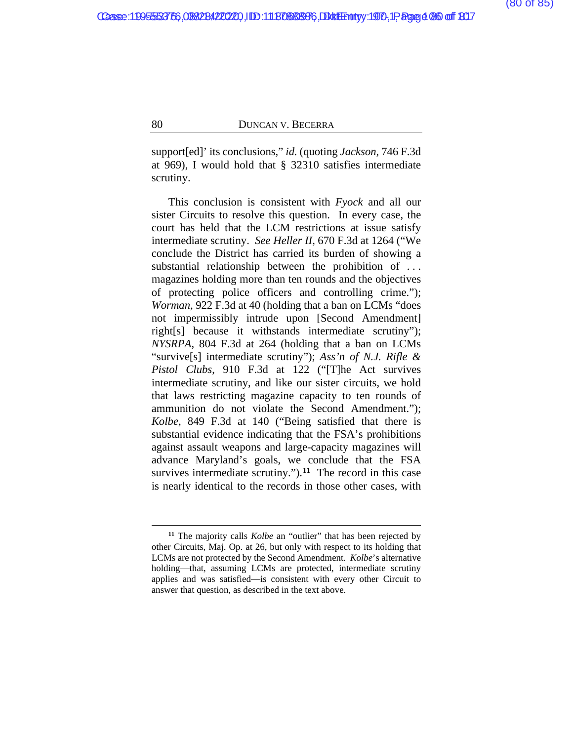support[ed]' its conclusions," *id.* (quoting *Jackson*, 746 F.3d at 969), I would hold that § 32310 satisfies intermediate scrutiny.

This conclusion is consistent with *Fyock* and all our sister Circuits to resolve this question. In every case, the court has held that the LCM restrictions at issue satisfy intermediate scrutiny. *See Heller II*, 670 F.3d at 1264 ("We conclude the District has carried its burden of showing a substantial relationship between the prohibition of . . . magazines holding more than ten rounds and the objectives of protecting police officers and controlling crime."); *Worman*, 922 F.3d at 40 (holding that a ban on LCMs "does not impermissibly intrude upon [Second Amendment] right[s] because it withstands intermediate scrutiny"); *NYSRPA*, 804 F.3d at 264 (holding that a ban on LCMs "survive[s] intermediate scrutiny"); *Ass'n of N.J. Rifle & Pistol Clubs*, 910 F.3d at 122 ("[T]he Act survives intermediate scrutiny, and like our sister circuits, we hold that laws restricting magazine capacity to ten rounds of ammunition do not violate the Second Amendment."); *Kolbe*, 849 F.3d at 140 ("Being satisfied that there is substantial evidence indicating that the FSA's prohibitions against assault weapons and large-capacity magazines will advance Maryland's goals, we conclude that the FSA survives intermediate scrutiny.").<sup>[11](#page-106-0)</sup> The record in this case is nearly identical to the records in those other cases, with

**<sup>11</sup>** The majority calls *Kolbe* an "outlier" that has been rejected by other Circuits, Maj. Op. at [26,](#page-106-0) but only with respect to its holding that LCMs are not protected by the Second Amendment. *Kolbe*'s alternative holding—that, assuming LCMs are protected, intermediate scrutiny applies and was satisfied—is consistent with every other Circuit to answer that question, as described in the text above.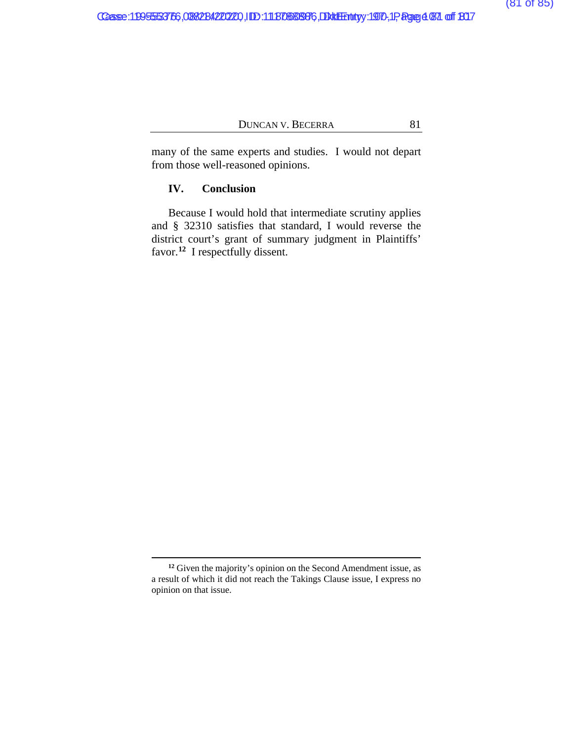many of the same experts and studies. I would not depart from those well-reasoned opinions.

# **IV. Conclusion**

Because I would hold that intermediate scrutiny applies and § 32310 satisfies that standard, I would reverse the district court's grant of summary judgment in Plaintiffs' favor.<sup>[12](#page-106-0)</sup> I respectfully dissent.

<span id="page-106-0"></span>**<sup>12</sup>** Given the majority's opinion on the Second Amendment issue, as a result of which it did not reach the Takings Clause issue, I express no opinion on that issue.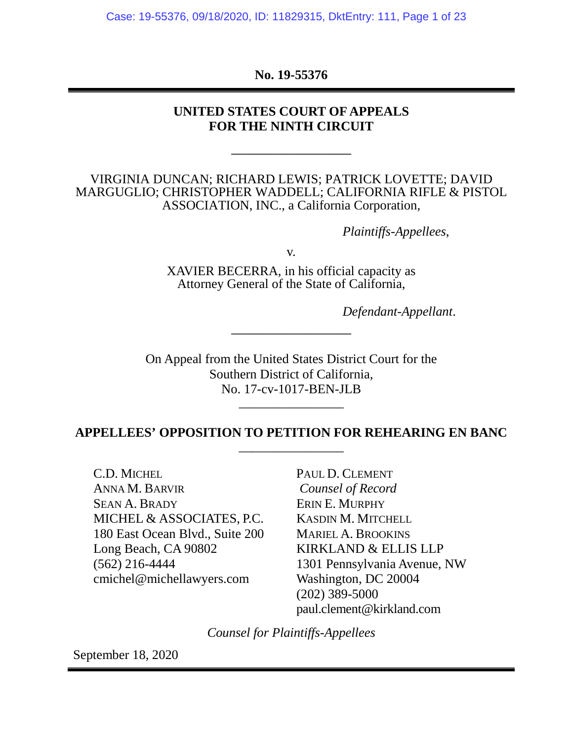Case: 19-55376, 09/18/2020, ID: 11829315, DktEntry: 111, Page 1 of 23

**No. 19-55376**

# **UNITED STATES COURT OF APPEALS FOR THE NINTH CIRCUIT**

\_\_\_\_\_\_\_\_\_\_\_\_\_\_\_\_

VIRGINIA DUNCAN; RICHARD LEWIS; PATRICK LOVETTE; DAVID MARGUGLIO; CHRISTOPHER WADDELL; CALIFORNIA RIFLE & PISTOL ASSOCIATION, INC., a California Corporation,

*Plaintiffs-Appellees*,

v.

XAVIER BECERRA, in his official capacity as Attorney General of the State of California,

\_\_\_\_\_\_\_\_\_\_\_\_\_\_\_\_

*Defendant-Appellant*.

On Appeal from the United States District Court for the Southern District of California, No. 17-cv-1017-BEN-JLB

# **APPELLEES' OPPOSITION TO PETITION FOR REHEARING EN BANC** \_\_\_\_\_\_\_\_\_\_\_\_\_\_\_\_

\_\_\_\_\_\_\_\_\_\_\_\_\_\_\_\_

C.D. MICHEL ANNA M. BARVIR SEAN A. BRADY MICHEL & ASSOCIATES, P.C. 180 East Ocean Blvd., Suite 200 Long Beach, CA 90802 (562) 216-4444 cmichel@michellawyers.com

PAUL D. CLEMENT *Counsel of Record* ERIN E. MURPHY KASDIN M. MITCHELL MARIEL A. BROOKINS KIRKLAND & ELLIS LLP 1301 Pennsylvania Avenue, NW Washington, DC 20004 (202) 389-5000 paul.clement@kirkland.com

*Counsel for Plaintiffs-Appellees*

September 18, 2020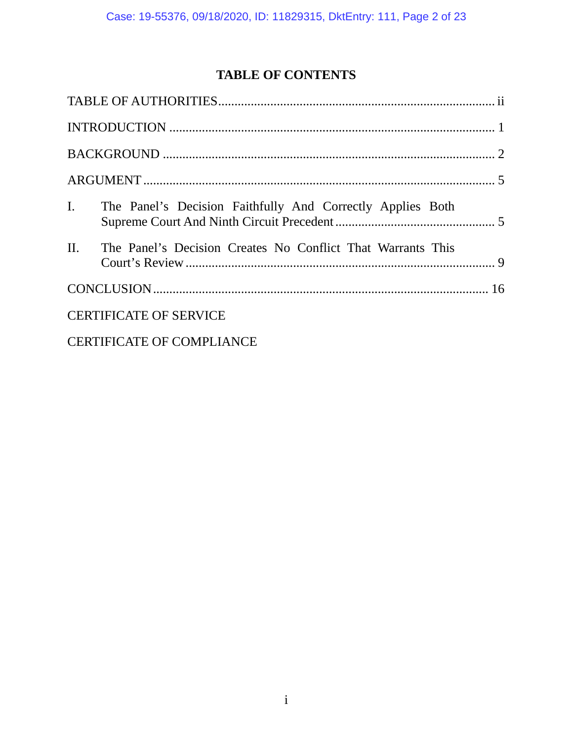# **TABLE OF CONTENTS**

|                                  | I. The Panel's Decision Faithfully And Correctly Applies Both   |  |  |  |
|----------------------------------|-----------------------------------------------------------------|--|--|--|
|                                  | II. The Panel's Decision Creates No Conflict That Warrants This |  |  |  |
|                                  |                                                                 |  |  |  |
| <b>CERTIFICATE OF SERVICE</b>    |                                                                 |  |  |  |
| <b>CERTIFICATE OF COMPLIANCE</b> |                                                                 |  |  |  |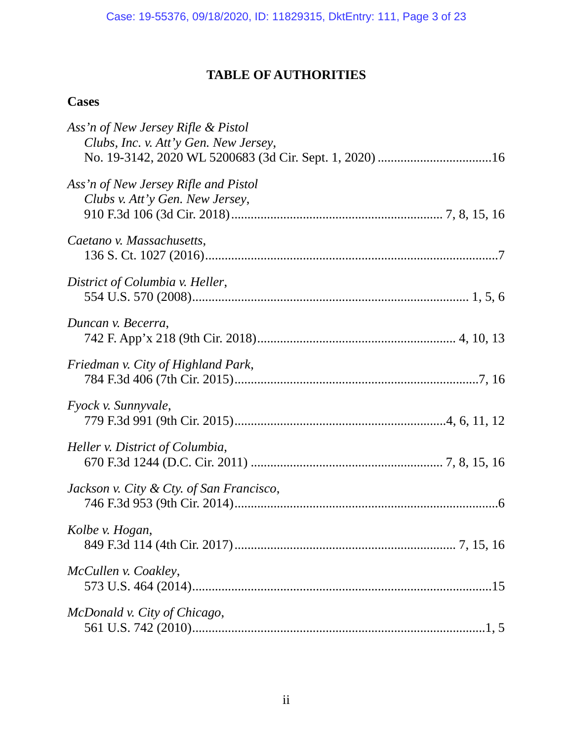# **TABLE OF AUTHORITIES**

# <span id="page-109-0"></span>**Cases**

| Ass'n of New Jersey Rifle & Pistol<br>Clubs, Inc. v. Att'y Gen. New Jersey, |
|-----------------------------------------------------------------------------|
| Ass'n of New Jersey Rifle and Pistol<br>Clubs v. Att'y Gen. New Jersey,     |
| Caetano v. Massachusetts,                                                   |
| District of Columbia v. Heller,                                             |
| Duncan v. Becerra,                                                          |
| Friedman v. City of Highland Park,                                          |
| Fyock v. Sunnyvale,                                                         |
| Heller v. District of Columbia,                                             |
| Jackson v. City & Cty. of San Francisco,                                    |
| Kolbe v. Hogan,                                                             |
| McCullen v. Coakley,                                                        |
| McDonald v. City of Chicago,                                                |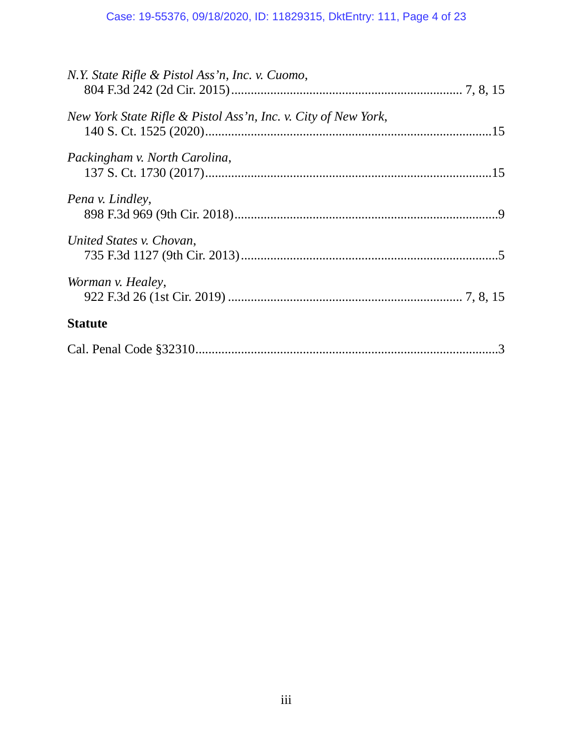# Case: 19-55376, 09/18/2020, ID: 11829315, DktEntry: 111, Page 4 of 23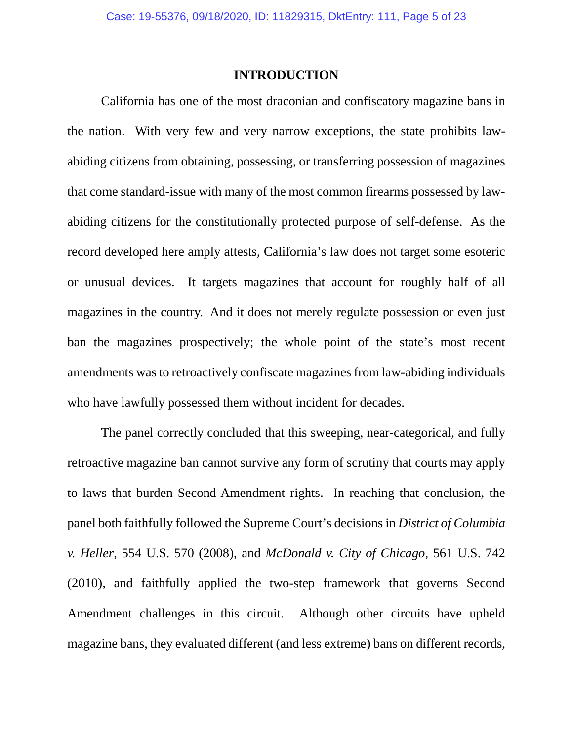### **INTRODUCTION**

<span id="page-111-0"></span>California has one of the most draconian and confiscatory magazine bans in the nation. With very few and very narrow exceptions, the state prohibits lawabiding citizens from obtaining, possessing, or transferring possession of magazines that come standard-issue with many of the most common firearms possessed by lawabiding citizens for the constitutionally protected purpose of self-defense. As the record developed here amply attests, California's law does not target some esoteric or unusual devices. It targets magazines that account for roughly half of all magazines in the country. And it does not merely regulate possession or even just ban the magazines prospectively; the whole point of the state's most recent amendments was to retroactively confiscate magazines from law-abiding individuals who have lawfully possessed them without incident for decades.

The panel correctly concluded that this sweeping, near-categorical, and fully retroactive magazine ban cannot survive any form of scrutiny that courts may apply to laws that burden Second Amendment rights. In reaching that conclusion, the panel both faithfully followed the Supreme Court's decisions in *District of Columbia v. Heller*, 554 U.S. 570 (2008), and *McDonald v. City of Chicago*, 561 U.S. 742 (2010), and faithfully applied the two-step framework that governs Second Amendment challenges in this circuit. Although other circuits have upheld magazine bans, they evaluated different (and less extreme) bans on different records,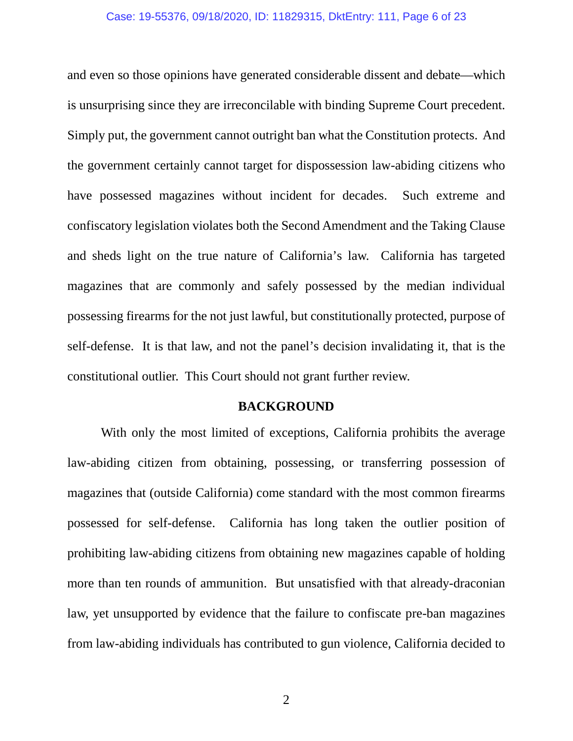### Case: 19-55376, 09/18/2020, ID: 11829315, DktEntry: 111, Page 6 of 23

and even so those opinions have generated considerable dissent and debate—which is unsurprising since they are irreconcilable with binding Supreme Court precedent. Simply put, the government cannot outright ban what the Constitution protects. And the government certainly cannot target for dispossession law-abiding citizens who have possessed magazines without incident for decades. Such extreme and confiscatory legislation violates both the Second Amendment and the Taking Clause and sheds light on the true nature of California's law. California has targeted magazines that are commonly and safely possessed by the median individual possessing firearms for the not just lawful, but constitutionally protected, purpose of self-defense. It is that law, and not the panel's decision invalidating it, that is the constitutional outlier. This Court should not grant further review.

### **BACKGROUND**

<span id="page-112-0"></span>With only the most limited of exceptions, California prohibits the average law-abiding citizen from obtaining, possessing, or transferring possession of magazines that (outside California) come standard with the most common firearms possessed for self-defense. California has long taken the outlier position of prohibiting law-abiding citizens from obtaining new magazines capable of holding more than ten rounds of ammunition. But unsatisfied with that already-draconian law, yet unsupported by evidence that the failure to confiscate pre-ban magazines from law-abiding individuals has contributed to gun violence, California decided to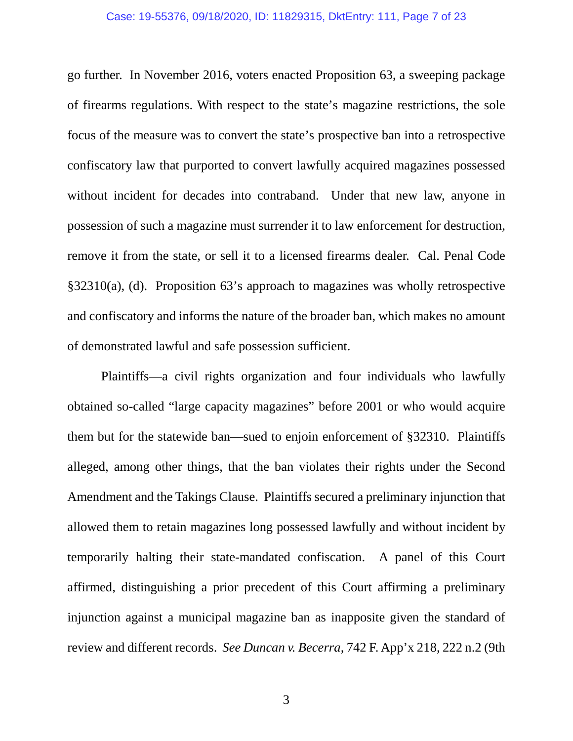### Case: 19-55376, 09/18/2020, ID: 11829315, DktEntry: 111, Page 7 of 23

go further. In November 2016, voters enacted Proposition 63, a sweeping package of firearms regulations. With respect to the state's magazine restrictions, the sole focus of the measure was to convert the state's prospective ban into a retrospective confiscatory law that purported to convert lawfully acquired magazines possessed without incident for decades into contraband. Under that new law, anyone in possession of such a magazine must surrender it to law enforcement for destruction, remove it from the state, or sell it to a licensed firearms dealer. Cal. Penal Code §32310(a), (d). Proposition 63's approach to magazines was wholly retrospective and confiscatory and informs the nature of the broader ban, which makes no amount of demonstrated lawful and safe possession sufficient.

Plaintiffs—a civil rights organization and four individuals who lawfully obtained so-called "large capacity magazines" before 2001 or who would acquire them but for the statewide ban—sued to enjoin enforcement of §32310. Plaintiffs alleged, among other things, that the ban violates their rights under the Second Amendment and the Takings Clause. Plaintiffs secured a preliminary injunction that allowed them to retain magazines long possessed lawfully and without incident by temporarily halting their state-mandated confiscation. A panel of this Court affirmed, distinguishing a prior precedent of this Court affirming a preliminary injunction against a municipal magazine ban as inapposite given the standard of review and different records. *See Duncan v. Becerra*, 742 F. App'x 218, 222 n.2 (9th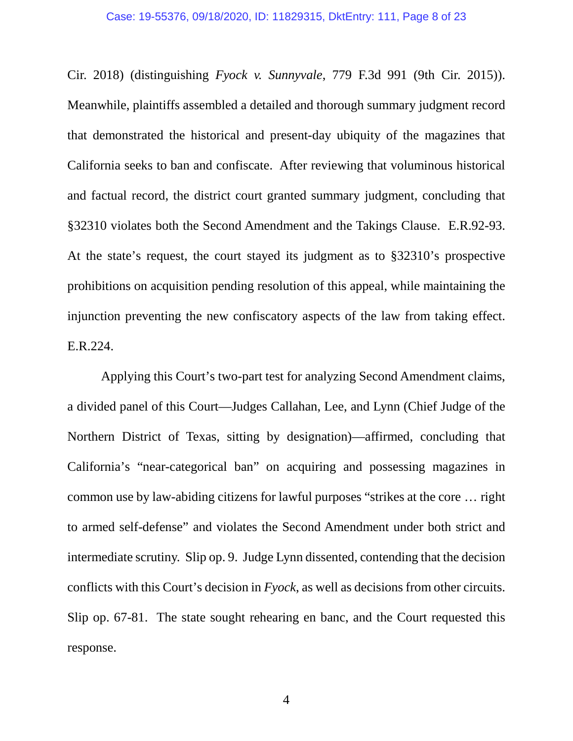#### Case: 19-55376, 09/18/2020, ID: 11829315, DktEntry: 111, Page 8 of 23

Cir. 2018) (distinguishing *Fyock v. Sunnyvale*, 779 F.3d 991 (9th Cir. 2015)). Meanwhile, plaintiffs assembled a detailed and thorough summary judgment record that demonstrated the historical and present-day ubiquity of the magazines that California seeks to ban and confiscate. After reviewing that voluminous historical and factual record, the district court granted summary judgment, concluding that §32310 violates both the Second Amendment and the Takings Clause. E.R.92-93. At the state's request, the court stayed its judgment as to §32310's prospective prohibitions on acquisition pending resolution of this appeal, while maintaining the injunction preventing the new confiscatory aspects of the law from taking effect. E.R.224.

Applying this Court's two-part test for analyzing Second Amendment claims, a divided panel of this Court—Judges Callahan, Lee, and Lynn (Chief Judge of the Northern District of Texas, sitting by designation)—affirmed, concluding that California's "near-categorical ban" on acquiring and possessing magazines in common use by law-abiding citizens for lawful purposes "strikes at the core … right to armed self-defense" and violates the Second Amendment under both strict and intermediate scrutiny. Slip op. 9. Judge Lynn dissented, contending that the decision conflicts with this Court's decision in *Fyock*, as well as decisions from other circuits. Slip op. 67-81. The state sought rehearing en banc, and the Court requested this response.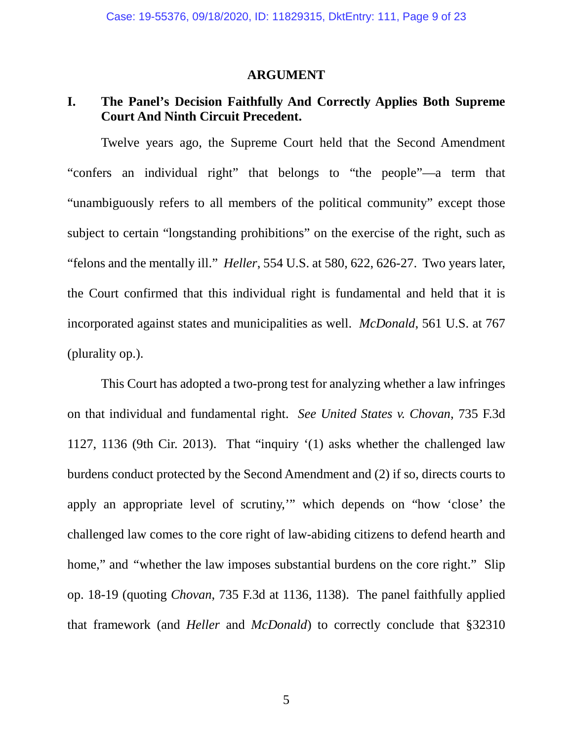#### **ARGUMENT**

### <span id="page-115-1"></span><span id="page-115-0"></span>**I. The Panel's Decision Faithfully And Correctly Applies Both Supreme Court And Ninth Circuit Precedent.**

Twelve years ago, the Supreme Court held that the Second Amendment "confers an individual right" that belongs to "the people"—a term that "unambiguously refers to all members of the political community" except those subject to certain "longstanding prohibitions" on the exercise of the right, such as "felons and the mentally ill." *Heller*, 554 U.S. at 580, 622, 626-27. Two years later, the Court confirmed that this individual right is fundamental and held that it is incorporated against states and municipalities as well. *McDonald*, 561 U.S. at 767 (plurality op.).

This Court has adopted a two-prong test for analyzing whether a law infringes on that individual and fundamental right. *See United States v. Chovan*, 735 F.3d 1127, 1136 (9th Cir. 2013). That "inquiry '(1) asks whether the challenged law burdens conduct protected by the Second Amendment and (2) if so, directs courts to apply an appropriate level of scrutiny,'" which depends on "how 'close' the challenged law comes to the core right of law-abiding citizens to defend hearth and home," and "whether the law imposes substantial burdens on the core right." Slip op. 18-19 (quoting *Chovan*, 735 F.3d at 1136, 1138). The panel faithfully applied that framework (and *Heller* and *McDonald*) to correctly conclude that §32310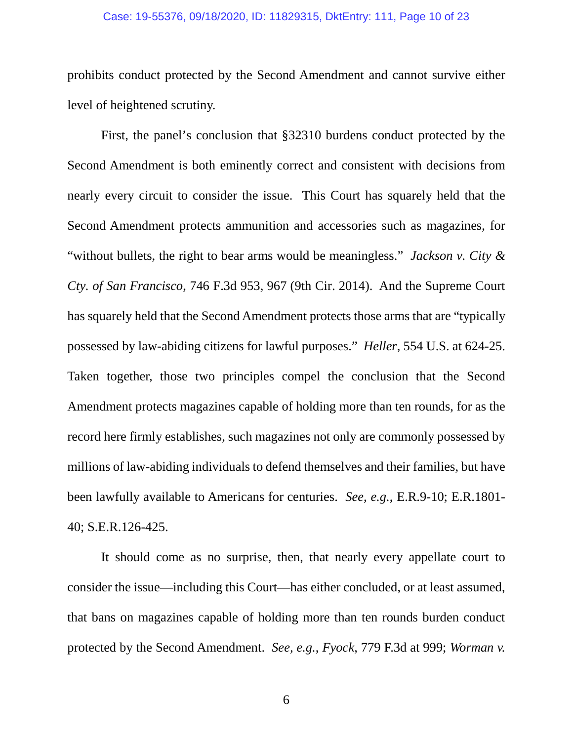### Case: 19-55376, 09/18/2020, ID: 11829315, DktEntry: 111, Page 10 of 23

prohibits conduct protected by the Second Amendment and cannot survive either level of heightened scrutiny.

First, the panel's conclusion that §32310 burdens conduct protected by the Second Amendment is both eminently correct and consistent with decisions from nearly every circuit to consider the issue. This Court has squarely held that the Second Amendment protects ammunition and accessories such as magazines, for "without bullets, the right to bear arms would be meaningless." *Jackson v. City & Cty. of San Francisco*, 746 F.3d 953, 967 (9th Cir. 2014). And the Supreme Court has squarely held that the Second Amendment protects those arms that are "typically possessed by law-abiding citizens for lawful purposes." *Heller*, 554 U.S. at 624-25. Taken together, those two principles compel the conclusion that the Second Amendment protects magazines capable of holding more than ten rounds, for as the record here firmly establishes, such magazines not only are commonly possessed by millions of law-abiding individuals to defend themselves and their families, but have been lawfully available to Americans for centuries. *See, e.g.*, E.R.9-10; E.R.1801- 40; S.E.R.126-425.

It should come as no surprise, then, that nearly every appellate court to consider the issue—including this Court—has either concluded, or at least assumed, that bans on magazines capable of holding more than ten rounds burden conduct protected by the Second Amendment. *See, e.g.*, *Fyock*, 779 F.3d at 999; *Worman v.*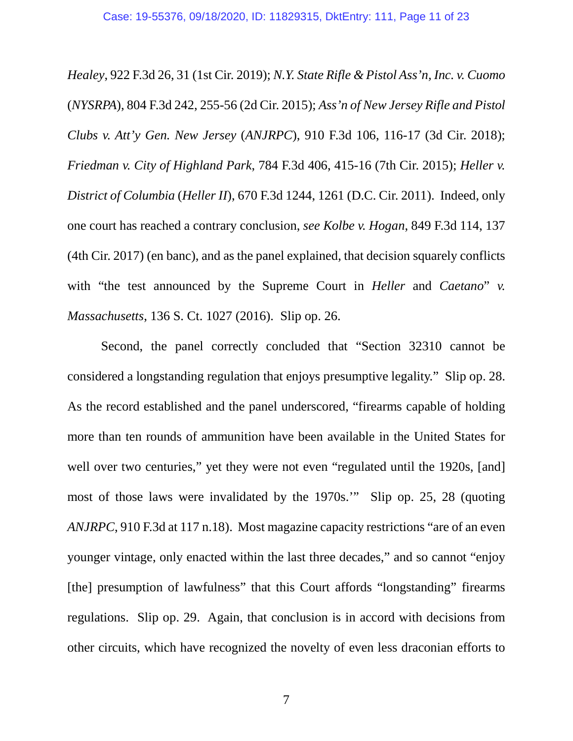*Healey*, 922 F.3d 26, 31 (1st Cir. 2019); *N.Y. State Rifle & Pistol Ass'n, Inc. v. Cuomo* (*NYSRPA*), 804 F.3d 242, 255-56 (2d Cir. 2015); *Ass'n of New Jersey Rifle and Pistol Clubs v. Att'y Gen. New Jersey* (*ANJRPC*), 910 F.3d 106, 116-17 (3d Cir. 2018); *Friedman v. City of Highland Park*, 784 F.3d 406, 415-16 (7th Cir. 2015); *Heller v. District of Columbia* (*Heller II*), 670 F.3d 1244, 1261 (D.C. Cir. 2011). Indeed, only one court has reached a contrary conclusion, *see Kolbe v. Hogan*, 849 F.3d 114, 137 (4th Cir. 2017) (en banc), and as the panel explained, that decision squarely conflicts with "the test announced by the Supreme Court in *Heller* and *Caetano*" *v. Massachusetts*, 136 S. Ct. 1027 (2016). Slip op. 26.

Second, the panel correctly concluded that "Section 32310 cannot be considered a longstanding regulation that enjoys presumptive legality." Slip op. 28. As the record established and the panel underscored, "firearms capable of holding more than ten rounds of ammunition have been available in the United States for well over two centuries," yet they were not even "regulated until the 1920s, [and] most of those laws were invalidated by the 1970s.'" Slip op. 25, 28 (quoting *ANJRPC*, 910 F.3d at 117 n.18). Most magazine capacity restrictions "are of an even younger vintage, only enacted within the last three decades," and so cannot "enjoy [the] presumption of lawfulness" that this Court affords "longstanding" firearms regulations. Slip op. 29. Again, that conclusion is in accord with decisions from other circuits, which have recognized the novelty of even less draconian efforts to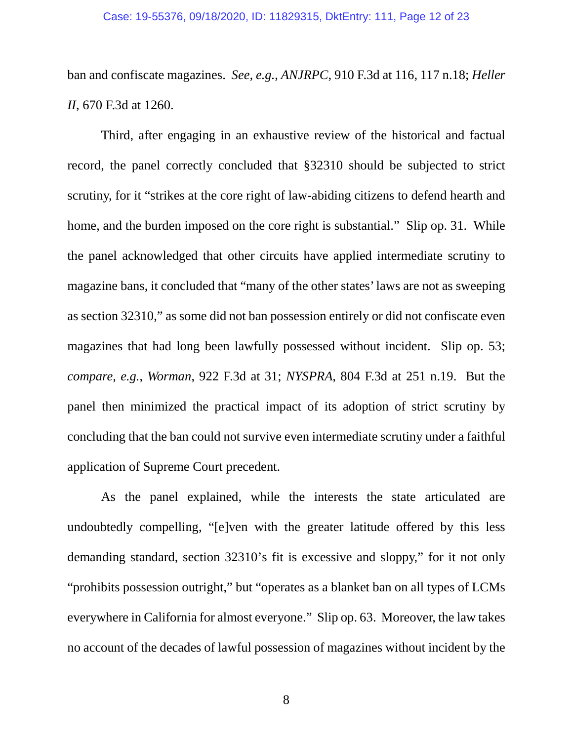ban and confiscate magazines. *See, e.g.*, *ANJRPC*, 910 F.3d at 116, 117 n.18; *Heller II*, 670 F.3d at 1260.

Third, after engaging in an exhaustive review of the historical and factual record, the panel correctly concluded that §32310 should be subjected to strict scrutiny, for it "strikes at the core right of law-abiding citizens to defend hearth and home, and the burden imposed on the core right is substantial." Slip op. 31. While the panel acknowledged that other circuits have applied intermediate scrutiny to magazine bans, it concluded that "many of the other states' laws are not as sweeping as section 32310," as some did not ban possession entirely or did not confiscate even magazines that had long been lawfully possessed without incident. Slip op. 53; *compare, e.g.*, *Worman*, 922 F.3d at 31; *NYSPRA*, 804 F.3d at 251 n.19. But the panel then minimized the practical impact of its adoption of strict scrutiny by concluding that the ban could not survive even intermediate scrutiny under a faithful application of Supreme Court precedent.

As the panel explained, while the interests the state articulated are undoubtedly compelling, "[e]ven with the greater latitude offered by this less demanding standard, section 32310's fit is excessive and sloppy," for it not only "prohibits possession outright," but "operates as a blanket ban on all types of LCMs everywhere in California for almost everyone." Slip op. 63. Moreover, the law takes no account of the decades of lawful possession of magazines without incident by the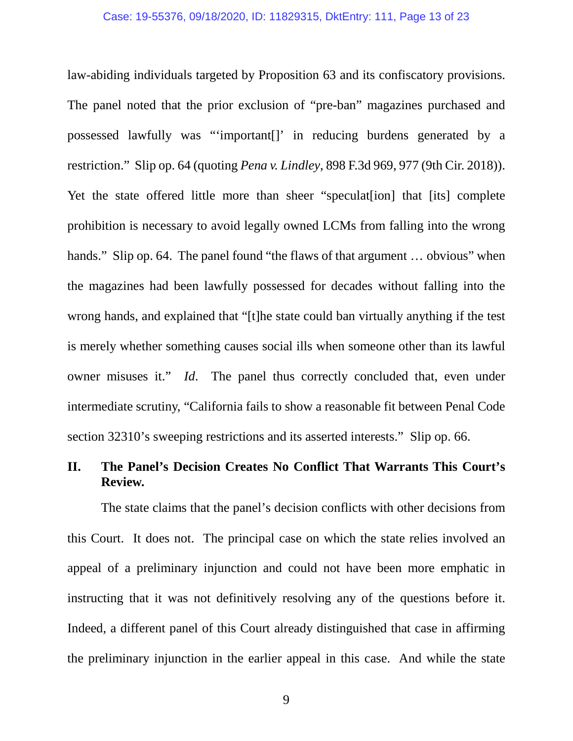law-abiding individuals targeted by Proposition 63 and its confiscatory provisions. The panel noted that the prior exclusion of "pre-ban" magazines purchased and possessed lawfully was "'important[]' in reducing burdens generated by a restriction." Slip op. 64 (quoting *Pena v. Lindley*, 898 F.3d 969, 977 (9th Cir. 2018)). Yet the state offered little more than sheer "speculaterion] that [its] complete prohibition is necessary to avoid legally owned LCMs from falling into the wrong hands." Slip op. 64. The panel found "the flaws of that argument ... obvious" when the magazines had been lawfully possessed for decades without falling into the wrong hands, and explained that "[t]he state could ban virtually anything if the test is merely whether something causes social ills when someone other than its lawful owner misuses it." *Id*. The panel thus correctly concluded that, even under intermediate scrutiny, "California fails to show a reasonable fit between Penal Code section 32310's sweeping restrictions and its asserted interests." Slip op. 66.

## <span id="page-119-0"></span>**II. The Panel's Decision Creates No Conflict That Warrants This Court's Review.**

The state claims that the panel's decision conflicts with other decisions from this Court. It does not. The principal case on which the state relies involved an appeal of a preliminary injunction and could not have been more emphatic in instructing that it was not definitively resolving any of the questions before it. Indeed, a different panel of this Court already distinguished that case in affirming the preliminary injunction in the earlier appeal in this case. And while the state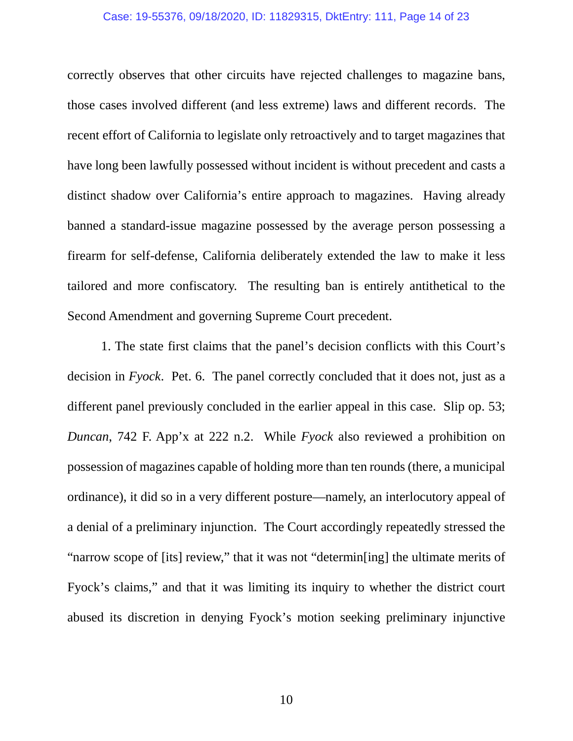### Case: 19-55376, 09/18/2020, ID: 11829315, DktEntry: 111, Page 14 of 23

correctly observes that other circuits have rejected challenges to magazine bans, those cases involved different (and less extreme) laws and different records. The recent effort of California to legislate only retroactively and to target magazines that have long been lawfully possessed without incident is without precedent and casts a distinct shadow over California's entire approach to magazines. Having already banned a standard-issue magazine possessed by the average person possessing a firearm for self-defense, California deliberately extended the law to make it less tailored and more confiscatory. The resulting ban is entirely antithetical to the Second Amendment and governing Supreme Court precedent.

1. The state first claims that the panel's decision conflicts with this Court's decision in *Fyock*. Pet. 6. The panel correctly concluded that it does not, just as a different panel previously concluded in the earlier appeal in this case. Slip op. 53; *Duncan*, 742 F. App'x at 222 n.2. While *Fyock* also reviewed a prohibition on possession of magazines capable of holding more than ten rounds (there, a municipal ordinance), it did so in a very different posture—namely, an interlocutory appeal of a denial of a preliminary injunction. The Court accordingly repeatedly stressed the "narrow scope of [its] review," that it was not "determin[ing] the ultimate merits of Fyock's claims," and that it was limiting its inquiry to whether the district court abused its discretion in denying Fyock's motion seeking preliminary injunctive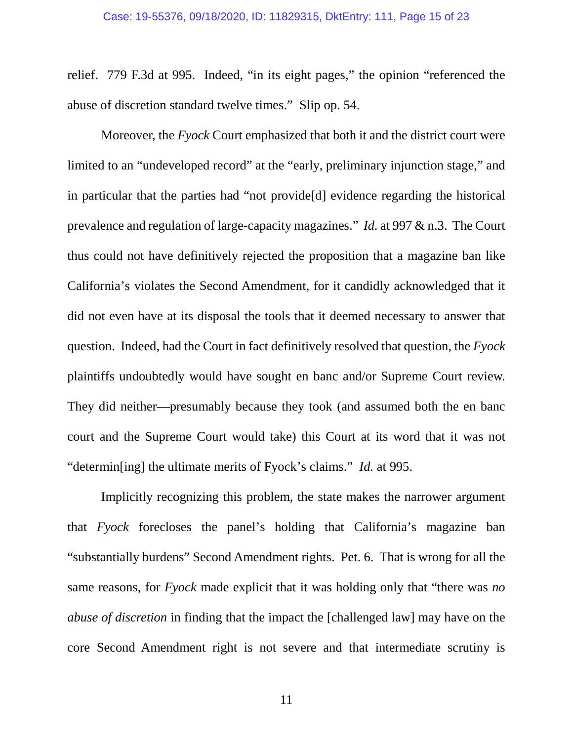relief. 779 F.3d at 995. Indeed, "in its eight pages," the opinion "referenced the abuse of discretion standard twelve times." Slip op. 54.

Moreover, the *Fyock* Court emphasized that both it and the district court were limited to an "undeveloped record" at the "early, preliminary injunction stage," and in particular that the parties had "not provide[d] evidence regarding the historical prevalence and regulation of large-capacity magazines." *Id.* at 997 & n.3. The Court thus could not have definitively rejected the proposition that a magazine ban like California's violates the Second Amendment, for it candidly acknowledged that it did not even have at its disposal the tools that it deemed necessary to answer that question. Indeed, had the Court in fact definitively resolved that question, the *Fyock* plaintiffs undoubtedly would have sought en banc and/or Supreme Court review. They did neither—presumably because they took (and assumed both the en banc court and the Supreme Court would take) this Court at its word that it was not "determin[ing] the ultimate merits of Fyock's claims." *Id.* at 995.

Implicitly recognizing this problem, the state makes the narrower argument that *Fyock* forecloses the panel's holding that California's magazine ban "substantially burdens" Second Amendment rights. Pet. 6. That is wrong for all the same reasons, for *Fyock* made explicit that it was holding only that "there was *no abuse of discretion* in finding that the impact the [challenged law] may have on the core Second Amendment right is not severe and that intermediate scrutiny is

11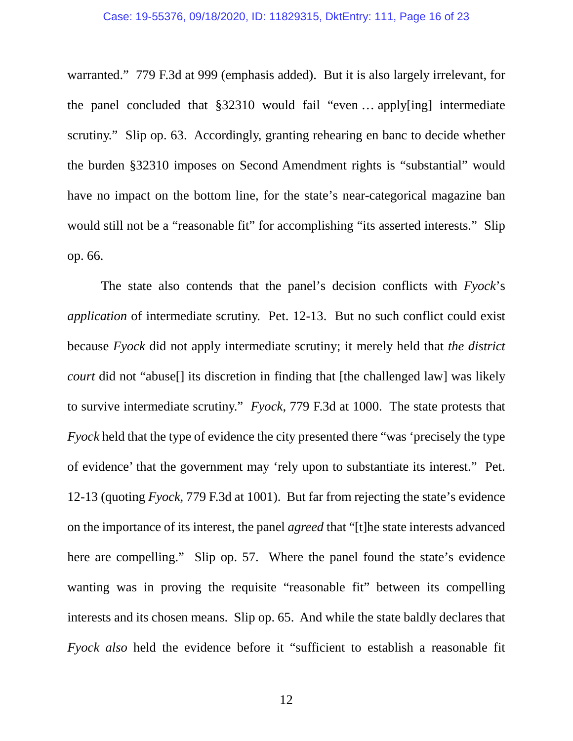### Case: 19-55376, 09/18/2020, ID: 11829315, DktEntry: 111, Page 16 of 23

warranted." 779 F.3d at 999 (emphasis added). But it is also largely irrelevant, for the panel concluded that §32310 would fail "even … apply[ing] intermediate scrutiny." Slip op. 63. Accordingly, granting rehearing en banc to decide whether the burden §32310 imposes on Second Amendment rights is "substantial" would have no impact on the bottom line, for the state's near-categorical magazine ban would still not be a "reasonable fit" for accomplishing "its asserted interests." Slip op. 66.

The state also contends that the panel's decision conflicts with *Fyock*'s *application* of intermediate scrutiny. Pet. 12-13. But no such conflict could exist because *Fyock* did not apply intermediate scrutiny; it merely held that *the district court* did not "abuse<sup>[]</sup> its discretion in finding that [the challenged law] was likely to survive intermediate scrutiny." *Fyock*, 779 F.3d at 1000. The state protests that *Fyock* held that the type of evidence the city presented there "was 'precisely the type of evidence' that the government may 'rely upon to substantiate its interest." Pet. 12-13 (quoting *Fyock*, 779 F.3d at 1001). But far from rejecting the state's evidence on the importance of its interest, the panel *agreed* that "[t]he state interests advanced here are compelling." Slip op. 57. Where the panel found the state's evidence wanting was in proving the requisite "reasonable fit" between its compelling interests and its chosen means. Slip op. 65. And while the state baldly declares that *Fyock also* held the evidence before it "sufficient to establish a reasonable fit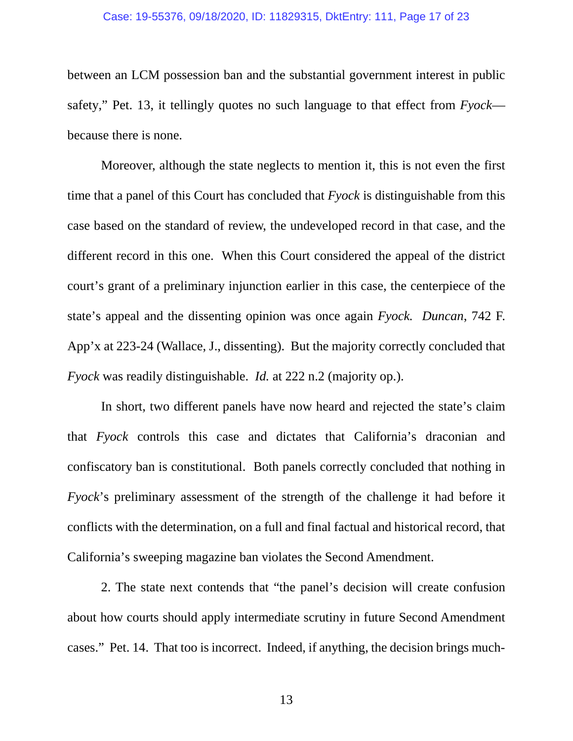### Case: 19-55376, 09/18/2020, ID: 11829315, DktEntry: 111, Page 17 of 23

between an LCM possession ban and the substantial government interest in public safety," Pet. 13, it tellingly quotes no such language to that effect from *Fyock* because there is none.

Moreover, although the state neglects to mention it, this is not even the first time that a panel of this Court has concluded that *Fyock* is distinguishable from this case based on the standard of review, the undeveloped record in that case, and the different record in this one. When this Court considered the appeal of the district court's grant of a preliminary injunction earlier in this case, the centerpiece of the state's appeal and the dissenting opinion was once again *Fyock. Duncan*, 742 F. App'x at 223-24 (Wallace, J., dissenting). But the majority correctly concluded that *Fyock* was readily distinguishable. *Id.* at 222 n.2 (majority op.).

In short, two different panels have now heard and rejected the state's claim that *Fyock* controls this case and dictates that California's draconian and confiscatory ban is constitutional. Both panels correctly concluded that nothing in *Fyock*'s preliminary assessment of the strength of the challenge it had before it conflicts with the determination, on a full and final factual and historical record, that California's sweeping magazine ban violates the Second Amendment.

2. The state next contends that "the panel's decision will create confusion about how courts should apply intermediate scrutiny in future Second Amendment cases." Pet. 14. That too is incorrect. Indeed, if anything, the decision brings much-

13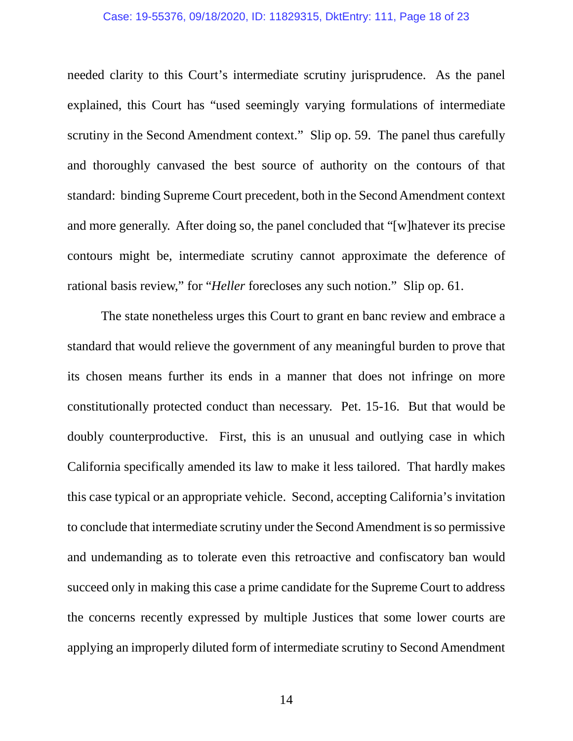### Case: 19-55376, 09/18/2020, ID: 11829315, DktEntry: 111, Page 18 of 23

needed clarity to this Court's intermediate scrutiny jurisprudence. As the panel explained, this Court has "used seemingly varying formulations of intermediate scrutiny in the Second Amendment context." Slip op. 59. The panel thus carefully and thoroughly canvased the best source of authority on the contours of that standard: binding Supreme Court precedent, both in the Second Amendment context and more generally. After doing so, the panel concluded that "[w]hatever its precise contours might be, intermediate scrutiny cannot approximate the deference of rational basis review," for "*Heller* forecloses any such notion." Slip op. 61.

The state nonetheless urges this Court to grant en banc review and embrace a standard that would relieve the government of any meaningful burden to prove that its chosen means further its ends in a manner that does not infringe on more constitutionally protected conduct than necessary. Pet. 15-16. But that would be doubly counterproductive. First, this is an unusual and outlying case in which California specifically amended its law to make it less tailored. That hardly makes this case typical or an appropriate vehicle. Second, accepting California's invitation to conclude that intermediate scrutiny under the Second Amendment is so permissive and undemanding as to tolerate even this retroactive and confiscatory ban would succeed only in making this case a prime candidate for the Supreme Court to address the concerns recently expressed by multiple Justices that some lower courts are applying an improperly diluted form of intermediate scrutiny to Second Amendment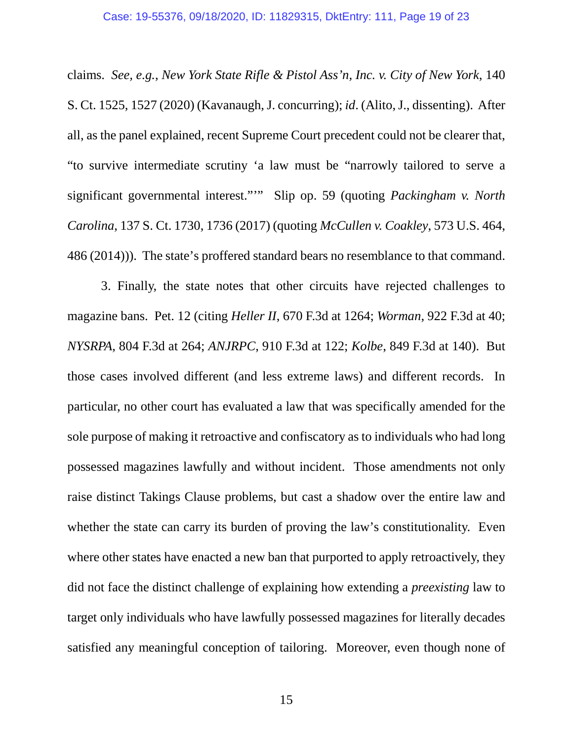claims. *See, e.g.*, *New York State Rifle & Pistol Ass'n, Inc. v. City of New York*, 140 S. Ct. 1525, 1527 (2020) (Kavanaugh, J. concurring); *id*. (Alito, J., dissenting). After all, as the panel explained, recent Supreme Court precedent could not be clearer that, "to survive intermediate scrutiny 'a law must be "narrowly tailored to serve a significant governmental interest."'" Slip op. 59 (quoting *Packingham v. North Carolina*, 137 S. Ct. 1730, 1736 (2017) (quoting *McCullen v. Coakley*, 573 U.S. 464, 486 (2014))). The state's proffered standard bears no resemblance to that command.

3. Finally, the state notes that other circuits have rejected challenges to magazine bans. Pet. 12 (citing *Heller II*, 670 F.3d at 1264; *Worman*, 922 F.3d at 40; *NYSRPA*, 804 F.3d at 264; *ANJRPC*, 910 F.3d at 122; *Kolbe*, 849 F.3d at 140). But those cases involved different (and less extreme laws) and different records. In particular, no other court has evaluated a law that was specifically amended for the sole purpose of making it retroactive and confiscatory as to individuals who had long possessed magazines lawfully and without incident. Those amendments not only raise distinct Takings Clause problems, but cast a shadow over the entire law and whether the state can carry its burden of proving the law's constitutionality. Even where other states have enacted a new ban that purported to apply retroactively, they did not face the distinct challenge of explaining how extending a *preexisting* law to target only individuals who have lawfully possessed magazines for literally decades satisfied any meaningful conception of tailoring. Moreover, even though none of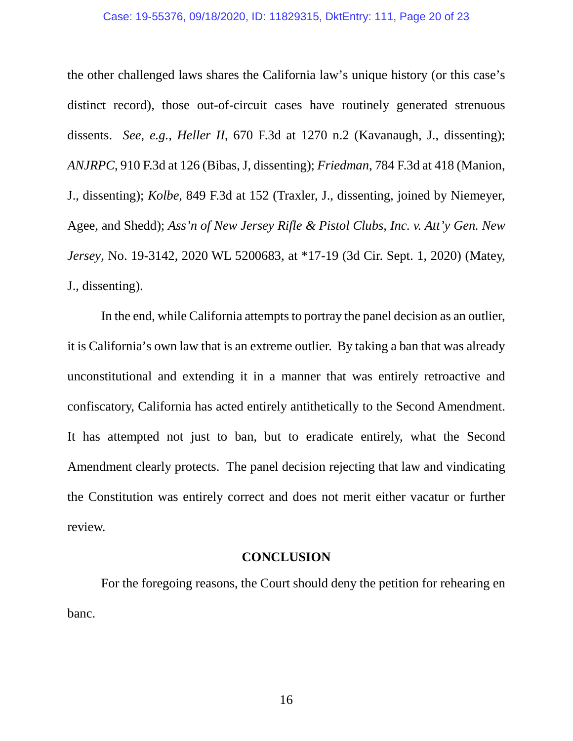### Case: 19-55376, 09/18/2020, ID: 11829315, DktEntry: 111, Page 20 of 23

the other challenged laws shares the California law's unique history (or this case's distinct record), those out-of-circuit cases have routinely generated strenuous dissents. *See, e.g.*, *Heller II*, 670 F.3d at 1270 n.2 (Kavanaugh, J., dissenting); *ANJRPC*, 910 F.3d at 126 (Bibas, J, dissenting); *Friedman*, 784 F.3d at 418 (Manion, J., dissenting); *Kolbe*, 849 F.3d at 152 (Traxler, J., dissenting, joined by Niemeyer, Agee, and Shedd); *Ass'n of New Jersey Rifle & Pistol Clubs, Inc. v. Att'y Gen. New Jersey*, No. 19-3142, 2020 WL 5200683, at \*17-19 (3d Cir. Sept. 1, 2020) (Matey, J., dissenting).

In the end, while California attempts to portray the panel decision as an outlier, it is California's own law that is an extreme outlier. By taking a ban that was already unconstitutional and extending it in a manner that was entirely retroactive and confiscatory, California has acted entirely antithetically to the Second Amendment. It has attempted not just to ban, but to eradicate entirely, what the Second Amendment clearly protects. The panel decision rejecting that law and vindicating the Constitution was entirely correct and does not merit either vacatur or further review.

### **CONCLUSION**

<span id="page-126-0"></span>For the foregoing reasons, the Court should deny the petition for rehearing en banc.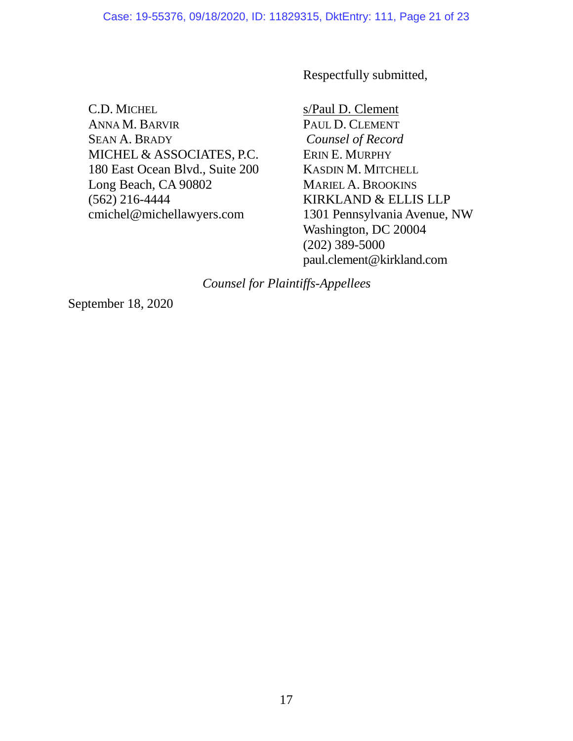Respectfully submitted,

C.D. MICHEL ANNA M. BARVIR SEAN A. BRADY MICHEL & ASSOCIATES, P.C. 180 East Ocean Blvd., Suite 200 Long Beach, CA 90802 (562) 216-4444 cmichel@michellawyers.com

s/Paul D. Clement PAUL D. CLEMENT *Counsel of Record* ERIN E. MURPHY KASDIN M. MITCHELL MARIEL A. BROOKINS KIRKLAND & ELLIS LLP 1301 Pennsylvania Avenue, NW Washington, DC 20004 (202) 389-5000 paul.clement@kirkland.com

*Counsel for Plaintiffs-Appellees*

September 18, 2020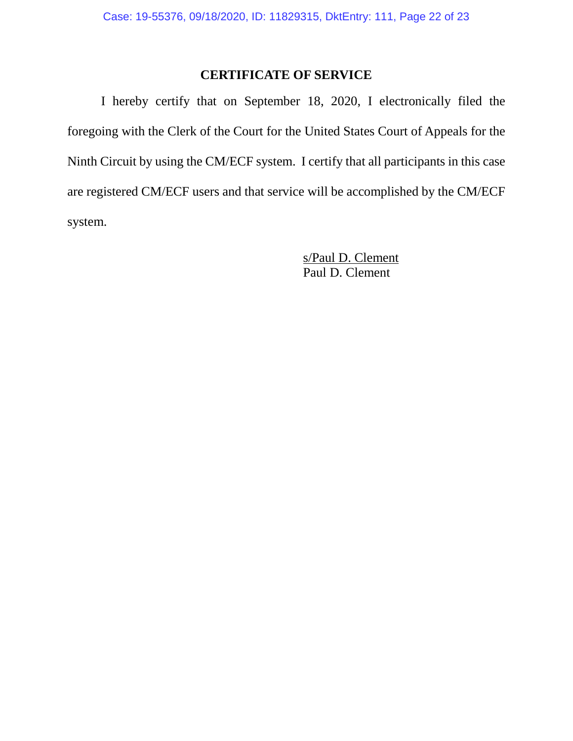## **CERTIFICATE OF SERVICE**

<span id="page-128-0"></span>I hereby certify that on September 18, 2020, I electronically filed the foregoing with the Clerk of the Court for the United States Court of Appeals for the Ninth Circuit by using the CM/ECF system. I certify that all participants in this case are registered CM/ECF users and that service will be accomplished by the CM/ECF system.

> s/Paul D. Clement Paul D. Clement